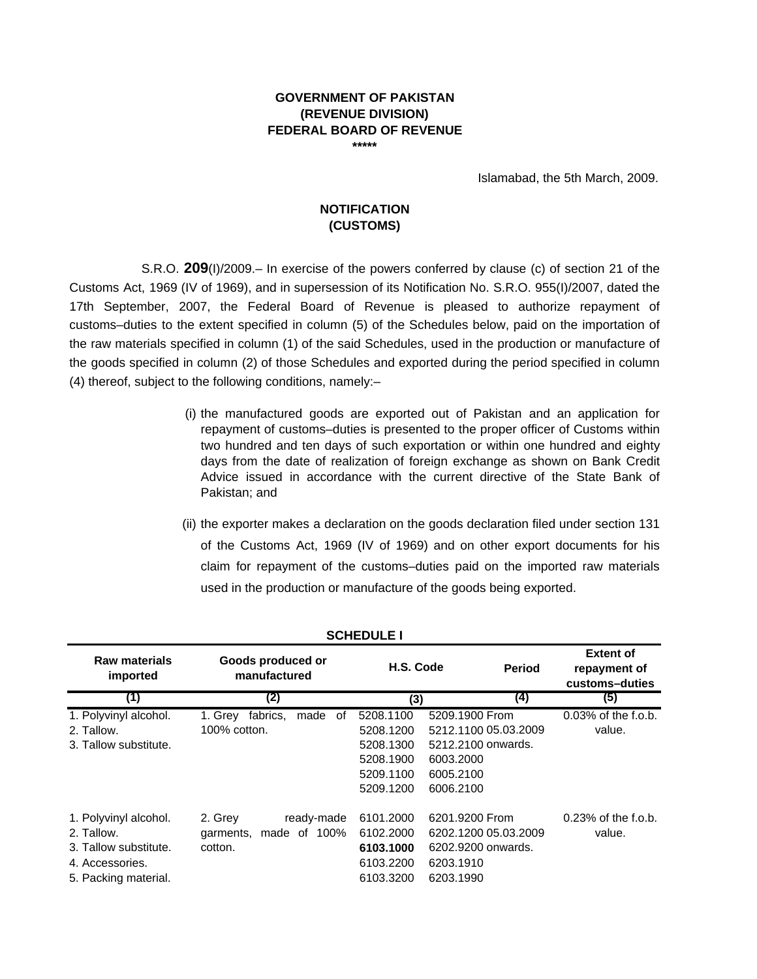## **GOVERNMENT OF PAKISTAN (REVENUE DIVISION) FEDERAL BOARD OF REVENUE \*\*\*\*\***

Islamabad, the 5th March, 2009.

# **NOTIFICATION (CUSTOMS)**

S.R.O. **209**(I)/2009.– In exercise of the powers conferred by clause (c) of section 21 of the Customs Act, 1969 (IV of 1969), and in supersession of its Notification No. S.R.O. 955(I)/2007, dated the 17th September, 2007, the Federal Board of Revenue is pleased to authorize repayment of customs–duties to the extent specified in column (5) of the Schedules below, paid on the importation of the raw materials specified in column (1) of the said Schedules, used in the production or manufacture of the goods specified in column (2) of those Schedules and exported during the period specified in column (4) thereof, subject to the following conditions, namely:–

- (i) the manufactured goods are exported out of Pakistan and an application for repayment of customs–duties is presented to the proper officer of Customs within two hundred and ten days of such exportation or within one hundred and eighty days from the date of realization of foreign exchange as shown on Bank Credit Advice issued in accordance with the current directive of the State Bank of Pakistan; and
- (ii) the exporter makes a declaration on the goods declaration filed under section 131 of the Customs Act, 1969 (IV of 1969) and on other export documents for his claim for repayment of the customs–duties paid on the imported raw materials used in the production or manufacture of the goods being exported.

| <b>Raw materials</b><br>imported | Goods produced or<br>manufactured |           | H.S. Code<br><b>Period</b> | <b>Extent of</b><br>repayment of<br>customs-duties |
|----------------------------------|-----------------------------------|-----------|----------------------------|----------------------------------------------------|
| (1)                              | (2)                               | (3)       | $\left(4\right)$           | (5)                                                |
| 1. Polyvinyl alcohol.            | fabrics,<br>made<br>1. Grev<br>of | 5208.1100 | 5209.1900 From             | $0.03\%$ of the f.o.b.                             |
| 2. Tallow.                       | $100\%$ cotton.                   | 5208.1200 | 5212.1100 05.03.2009       | value.                                             |
| 3. Tallow substitute.            |                                   | 5208.1300 | 5212.2100 onwards.         |                                                    |
|                                  |                                   | 5208.1900 | 6003.2000                  |                                                    |
|                                  |                                   | 5209.1100 | 6005.2100                  |                                                    |
|                                  |                                   | 5209.1200 | 6006.2100                  |                                                    |
| 1. Polyvinyl alcohol.            | 2. Grey<br>ready-made             | 6101.2000 | 6201.9200 From             | $0.23\%$ of the f.o.b.                             |
| 2. Tallow.                       | made of 100%<br>garments,         | 6102.2000 | 6202.1200 05.03.2009       | value.                                             |
| 3. Tallow substitute.            | cotton.                           | 6103.1000 | 6202.9200 onwards.         |                                                    |
| 4. Accessories.                  |                                   | 6103.2200 | 6203.1910                  |                                                    |
| 5. Packing material.             |                                   | 6103.3200 | 6203.1990                  |                                                    |

## **SCHEDULE I**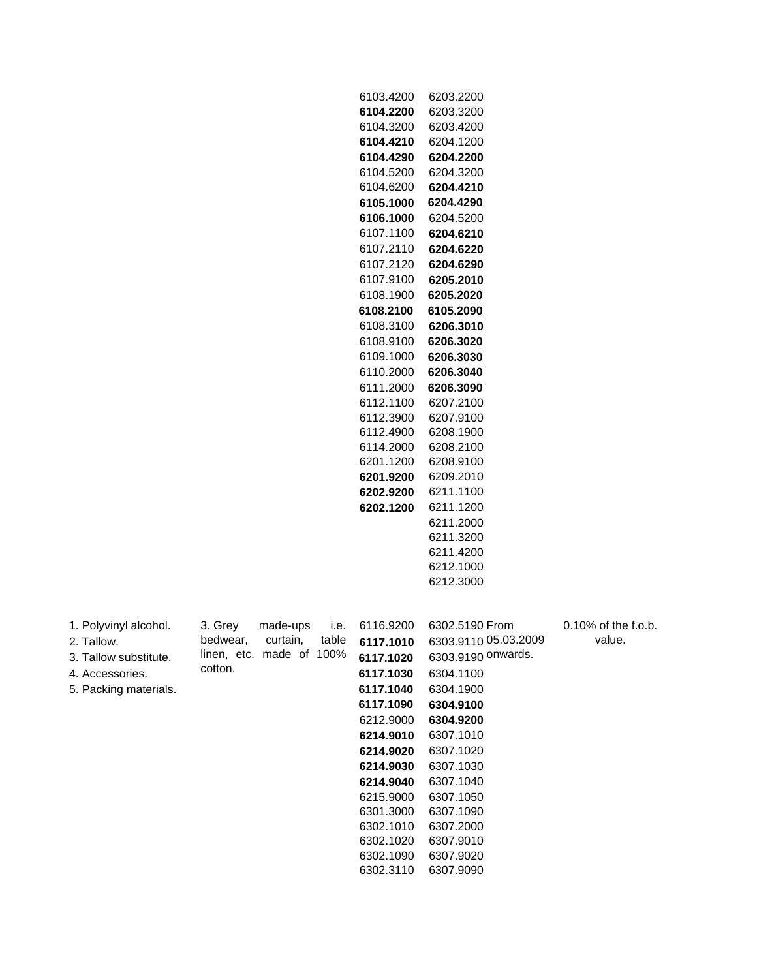| 6104.2200<br>6203.3200<br>6104.3200<br>6203.4200<br>6204.1200<br>6104.4210<br>6104.4290<br>6204.2200<br>6104.5200<br>6204.3200<br>6104.6200<br>6204.4210<br>6105.1000<br>6204.4290<br>6106.1000<br>6204.5200<br>6107.1100<br>6204.6210<br>6107.2110<br>6204.6220<br>6107.2120<br>6204.6290<br>6107.9100<br>6205.2010<br>6108.1900<br>6205.2020<br>6108.2100<br>6105.2090<br>6108.3100<br>6206.3010<br>6108.9100<br>6206.3020<br>6109.1000<br>6206.3030<br>6110.2000<br>6206.3040<br>6111.2000<br>6206.3090<br>6112.1100<br>6207.2100<br>6112.3900<br>6207.9100<br>6112.4900<br>6208.1900<br>6114.2000<br>6208.2100<br>6201.1200<br>6208.9100<br>6201.9200<br>6209.2010<br>6202.9200<br>6211.1100<br>6202.1200<br>6211.1200<br>6211.2000<br>6211.3200<br>6211.4200<br>6212.1000<br>6212.3000<br>1. Polyvinyl alcohol.<br>6116.9200<br>6302.5190 From<br>0.10% of the f.o.b.<br>3. Grey<br>made-ups<br>i.e.<br>bedwear,<br>curtain,<br>table<br>value.<br>6303.9110 05.03.2009<br>6117.1010<br>2. Tallow.<br>linen, etc. made of 100%<br>6303.9190 onwards.<br>3. Tallow substitute.<br>6117.1020<br>cotton.<br>4. Accessories.<br>6117.1030<br>6304.1100<br>5. Packing materials.<br>6304.1900<br>6117.1040<br>6117.1090<br>6304.9100<br>6212.9000<br>6304.9200<br>6214.9010<br>6307.1010<br>6214.9020<br>6307.1020<br>6307.1030<br>6214.9030<br>6307.1040<br>6214.9040<br>6215.9000<br>6307.1050<br>6307.1090<br>6301.3000<br>6302.1010<br>6307.2000<br>6302.1020<br>6307.9010<br>6302.1090<br>6307.9020<br>6302.3110<br>6307.9090 |  |  | 6103.4200 | 6203.2200 |  |
|------------------------------------------------------------------------------------------------------------------------------------------------------------------------------------------------------------------------------------------------------------------------------------------------------------------------------------------------------------------------------------------------------------------------------------------------------------------------------------------------------------------------------------------------------------------------------------------------------------------------------------------------------------------------------------------------------------------------------------------------------------------------------------------------------------------------------------------------------------------------------------------------------------------------------------------------------------------------------------------------------------------------------------------------------------------------------------------------------------------------------------------------------------------------------------------------------------------------------------------------------------------------------------------------------------------------------------------------------------------------------------------------------------------------------------------------------------------------------------------------------------------------------------|--|--|-----------|-----------|--|
|                                                                                                                                                                                                                                                                                                                                                                                                                                                                                                                                                                                                                                                                                                                                                                                                                                                                                                                                                                                                                                                                                                                                                                                                                                                                                                                                                                                                                                                                                                                                    |  |  |           |           |  |
|                                                                                                                                                                                                                                                                                                                                                                                                                                                                                                                                                                                                                                                                                                                                                                                                                                                                                                                                                                                                                                                                                                                                                                                                                                                                                                                                                                                                                                                                                                                                    |  |  |           |           |  |
|                                                                                                                                                                                                                                                                                                                                                                                                                                                                                                                                                                                                                                                                                                                                                                                                                                                                                                                                                                                                                                                                                                                                                                                                                                                                                                                                                                                                                                                                                                                                    |  |  |           |           |  |
|                                                                                                                                                                                                                                                                                                                                                                                                                                                                                                                                                                                                                                                                                                                                                                                                                                                                                                                                                                                                                                                                                                                                                                                                                                                                                                                                                                                                                                                                                                                                    |  |  |           |           |  |
|                                                                                                                                                                                                                                                                                                                                                                                                                                                                                                                                                                                                                                                                                                                                                                                                                                                                                                                                                                                                                                                                                                                                                                                                                                                                                                                                                                                                                                                                                                                                    |  |  |           |           |  |
|                                                                                                                                                                                                                                                                                                                                                                                                                                                                                                                                                                                                                                                                                                                                                                                                                                                                                                                                                                                                                                                                                                                                                                                                                                                                                                                                                                                                                                                                                                                                    |  |  |           |           |  |
|                                                                                                                                                                                                                                                                                                                                                                                                                                                                                                                                                                                                                                                                                                                                                                                                                                                                                                                                                                                                                                                                                                                                                                                                                                                                                                                                                                                                                                                                                                                                    |  |  |           |           |  |
|                                                                                                                                                                                                                                                                                                                                                                                                                                                                                                                                                                                                                                                                                                                                                                                                                                                                                                                                                                                                                                                                                                                                                                                                                                                                                                                                                                                                                                                                                                                                    |  |  |           |           |  |
|                                                                                                                                                                                                                                                                                                                                                                                                                                                                                                                                                                                                                                                                                                                                                                                                                                                                                                                                                                                                                                                                                                                                                                                                                                                                                                                                                                                                                                                                                                                                    |  |  |           |           |  |
|                                                                                                                                                                                                                                                                                                                                                                                                                                                                                                                                                                                                                                                                                                                                                                                                                                                                                                                                                                                                                                                                                                                                                                                                                                                                                                                                                                                                                                                                                                                                    |  |  |           |           |  |
|                                                                                                                                                                                                                                                                                                                                                                                                                                                                                                                                                                                                                                                                                                                                                                                                                                                                                                                                                                                                                                                                                                                                                                                                                                                                                                                                                                                                                                                                                                                                    |  |  |           |           |  |
|                                                                                                                                                                                                                                                                                                                                                                                                                                                                                                                                                                                                                                                                                                                                                                                                                                                                                                                                                                                                                                                                                                                                                                                                                                                                                                                                                                                                                                                                                                                                    |  |  |           |           |  |
|                                                                                                                                                                                                                                                                                                                                                                                                                                                                                                                                                                                                                                                                                                                                                                                                                                                                                                                                                                                                                                                                                                                                                                                                                                                                                                                                                                                                                                                                                                                                    |  |  |           |           |  |
|                                                                                                                                                                                                                                                                                                                                                                                                                                                                                                                                                                                                                                                                                                                                                                                                                                                                                                                                                                                                                                                                                                                                                                                                                                                                                                                                                                                                                                                                                                                                    |  |  |           |           |  |
|                                                                                                                                                                                                                                                                                                                                                                                                                                                                                                                                                                                                                                                                                                                                                                                                                                                                                                                                                                                                                                                                                                                                                                                                                                                                                                                                                                                                                                                                                                                                    |  |  |           |           |  |
|                                                                                                                                                                                                                                                                                                                                                                                                                                                                                                                                                                                                                                                                                                                                                                                                                                                                                                                                                                                                                                                                                                                                                                                                                                                                                                                                                                                                                                                                                                                                    |  |  |           |           |  |
|                                                                                                                                                                                                                                                                                                                                                                                                                                                                                                                                                                                                                                                                                                                                                                                                                                                                                                                                                                                                                                                                                                                                                                                                                                                                                                                                                                                                                                                                                                                                    |  |  |           |           |  |
|                                                                                                                                                                                                                                                                                                                                                                                                                                                                                                                                                                                                                                                                                                                                                                                                                                                                                                                                                                                                                                                                                                                                                                                                                                                                                                                                                                                                                                                                                                                                    |  |  |           |           |  |
|                                                                                                                                                                                                                                                                                                                                                                                                                                                                                                                                                                                                                                                                                                                                                                                                                                                                                                                                                                                                                                                                                                                                                                                                                                                                                                                                                                                                                                                                                                                                    |  |  |           |           |  |
|                                                                                                                                                                                                                                                                                                                                                                                                                                                                                                                                                                                                                                                                                                                                                                                                                                                                                                                                                                                                                                                                                                                                                                                                                                                                                                                                                                                                                                                                                                                                    |  |  |           |           |  |
|                                                                                                                                                                                                                                                                                                                                                                                                                                                                                                                                                                                                                                                                                                                                                                                                                                                                                                                                                                                                                                                                                                                                                                                                                                                                                                                                                                                                                                                                                                                                    |  |  |           |           |  |
|                                                                                                                                                                                                                                                                                                                                                                                                                                                                                                                                                                                                                                                                                                                                                                                                                                                                                                                                                                                                                                                                                                                                                                                                                                                                                                                                                                                                                                                                                                                                    |  |  |           |           |  |
|                                                                                                                                                                                                                                                                                                                                                                                                                                                                                                                                                                                                                                                                                                                                                                                                                                                                                                                                                                                                                                                                                                                                                                                                                                                                                                                                                                                                                                                                                                                                    |  |  |           |           |  |
|                                                                                                                                                                                                                                                                                                                                                                                                                                                                                                                                                                                                                                                                                                                                                                                                                                                                                                                                                                                                                                                                                                                                                                                                                                                                                                                                                                                                                                                                                                                                    |  |  |           |           |  |
|                                                                                                                                                                                                                                                                                                                                                                                                                                                                                                                                                                                                                                                                                                                                                                                                                                                                                                                                                                                                                                                                                                                                                                                                                                                                                                                                                                                                                                                                                                                                    |  |  |           |           |  |
|                                                                                                                                                                                                                                                                                                                                                                                                                                                                                                                                                                                                                                                                                                                                                                                                                                                                                                                                                                                                                                                                                                                                                                                                                                                                                                                                                                                                                                                                                                                                    |  |  |           |           |  |
|                                                                                                                                                                                                                                                                                                                                                                                                                                                                                                                                                                                                                                                                                                                                                                                                                                                                                                                                                                                                                                                                                                                                                                                                                                                                                                                                                                                                                                                                                                                                    |  |  |           |           |  |
|                                                                                                                                                                                                                                                                                                                                                                                                                                                                                                                                                                                                                                                                                                                                                                                                                                                                                                                                                                                                                                                                                                                                                                                                                                                                                                                                                                                                                                                                                                                                    |  |  |           |           |  |
|                                                                                                                                                                                                                                                                                                                                                                                                                                                                                                                                                                                                                                                                                                                                                                                                                                                                                                                                                                                                                                                                                                                                                                                                                                                                                                                                                                                                                                                                                                                                    |  |  |           |           |  |
|                                                                                                                                                                                                                                                                                                                                                                                                                                                                                                                                                                                                                                                                                                                                                                                                                                                                                                                                                                                                                                                                                                                                                                                                                                                                                                                                                                                                                                                                                                                                    |  |  |           |           |  |
|                                                                                                                                                                                                                                                                                                                                                                                                                                                                                                                                                                                                                                                                                                                                                                                                                                                                                                                                                                                                                                                                                                                                                                                                                                                                                                                                                                                                                                                                                                                                    |  |  |           |           |  |
|                                                                                                                                                                                                                                                                                                                                                                                                                                                                                                                                                                                                                                                                                                                                                                                                                                                                                                                                                                                                                                                                                                                                                                                                                                                                                                                                                                                                                                                                                                                                    |  |  |           |           |  |
|                                                                                                                                                                                                                                                                                                                                                                                                                                                                                                                                                                                                                                                                                                                                                                                                                                                                                                                                                                                                                                                                                                                                                                                                                                                                                                                                                                                                                                                                                                                                    |  |  |           |           |  |
|                                                                                                                                                                                                                                                                                                                                                                                                                                                                                                                                                                                                                                                                                                                                                                                                                                                                                                                                                                                                                                                                                                                                                                                                                                                                                                                                                                                                                                                                                                                                    |  |  |           |           |  |
|                                                                                                                                                                                                                                                                                                                                                                                                                                                                                                                                                                                                                                                                                                                                                                                                                                                                                                                                                                                                                                                                                                                                                                                                                                                                                                                                                                                                                                                                                                                                    |  |  |           |           |  |
|                                                                                                                                                                                                                                                                                                                                                                                                                                                                                                                                                                                                                                                                                                                                                                                                                                                                                                                                                                                                                                                                                                                                                                                                                                                                                                                                                                                                                                                                                                                                    |  |  |           |           |  |
|                                                                                                                                                                                                                                                                                                                                                                                                                                                                                                                                                                                                                                                                                                                                                                                                                                                                                                                                                                                                                                                                                                                                                                                                                                                                                                                                                                                                                                                                                                                                    |  |  |           |           |  |
|                                                                                                                                                                                                                                                                                                                                                                                                                                                                                                                                                                                                                                                                                                                                                                                                                                                                                                                                                                                                                                                                                                                                                                                                                                                                                                                                                                                                                                                                                                                                    |  |  |           |           |  |
|                                                                                                                                                                                                                                                                                                                                                                                                                                                                                                                                                                                                                                                                                                                                                                                                                                                                                                                                                                                                                                                                                                                                                                                                                                                                                                                                                                                                                                                                                                                                    |  |  |           |           |  |
|                                                                                                                                                                                                                                                                                                                                                                                                                                                                                                                                                                                                                                                                                                                                                                                                                                                                                                                                                                                                                                                                                                                                                                                                                                                                                                                                                                                                                                                                                                                                    |  |  |           |           |  |
|                                                                                                                                                                                                                                                                                                                                                                                                                                                                                                                                                                                                                                                                                                                                                                                                                                                                                                                                                                                                                                                                                                                                                                                                                                                                                                                                                                                                                                                                                                                                    |  |  |           |           |  |
|                                                                                                                                                                                                                                                                                                                                                                                                                                                                                                                                                                                                                                                                                                                                                                                                                                                                                                                                                                                                                                                                                                                                                                                                                                                                                                                                                                                                                                                                                                                                    |  |  |           |           |  |
|                                                                                                                                                                                                                                                                                                                                                                                                                                                                                                                                                                                                                                                                                                                                                                                                                                                                                                                                                                                                                                                                                                                                                                                                                                                                                                                                                                                                                                                                                                                                    |  |  |           |           |  |
|                                                                                                                                                                                                                                                                                                                                                                                                                                                                                                                                                                                                                                                                                                                                                                                                                                                                                                                                                                                                                                                                                                                                                                                                                                                                                                                                                                                                                                                                                                                                    |  |  |           |           |  |
|                                                                                                                                                                                                                                                                                                                                                                                                                                                                                                                                                                                                                                                                                                                                                                                                                                                                                                                                                                                                                                                                                                                                                                                                                                                                                                                                                                                                                                                                                                                                    |  |  |           |           |  |
|                                                                                                                                                                                                                                                                                                                                                                                                                                                                                                                                                                                                                                                                                                                                                                                                                                                                                                                                                                                                                                                                                                                                                                                                                                                                                                                                                                                                                                                                                                                                    |  |  |           |           |  |
|                                                                                                                                                                                                                                                                                                                                                                                                                                                                                                                                                                                                                                                                                                                                                                                                                                                                                                                                                                                                                                                                                                                                                                                                                                                                                                                                                                                                                                                                                                                                    |  |  |           |           |  |
|                                                                                                                                                                                                                                                                                                                                                                                                                                                                                                                                                                                                                                                                                                                                                                                                                                                                                                                                                                                                                                                                                                                                                                                                                                                                                                                                                                                                                                                                                                                                    |  |  |           |           |  |
|                                                                                                                                                                                                                                                                                                                                                                                                                                                                                                                                                                                                                                                                                                                                                                                                                                                                                                                                                                                                                                                                                                                                                                                                                                                                                                                                                                                                                                                                                                                                    |  |  |           |           |  |
|                                                                                                                                                                                                                                                                                                                                                                                                                                                                                                                                                                                                                                                                                                                                                                                                                                                                                                                                                                                                                                                                                                                                                                                                                                                                                                                                                                                                                                                                                                                                    |  |  |           |           |  |
|                                                                                                                                                                                                                                                                                                                                                                                                                                                                                                                                                                                                                                                                                                                                                                                                                                                                                                                                                                                                                                                                                                                                                                                                                                                                                                                                                                                                                                                                                                                                    |  |  |           |           |  |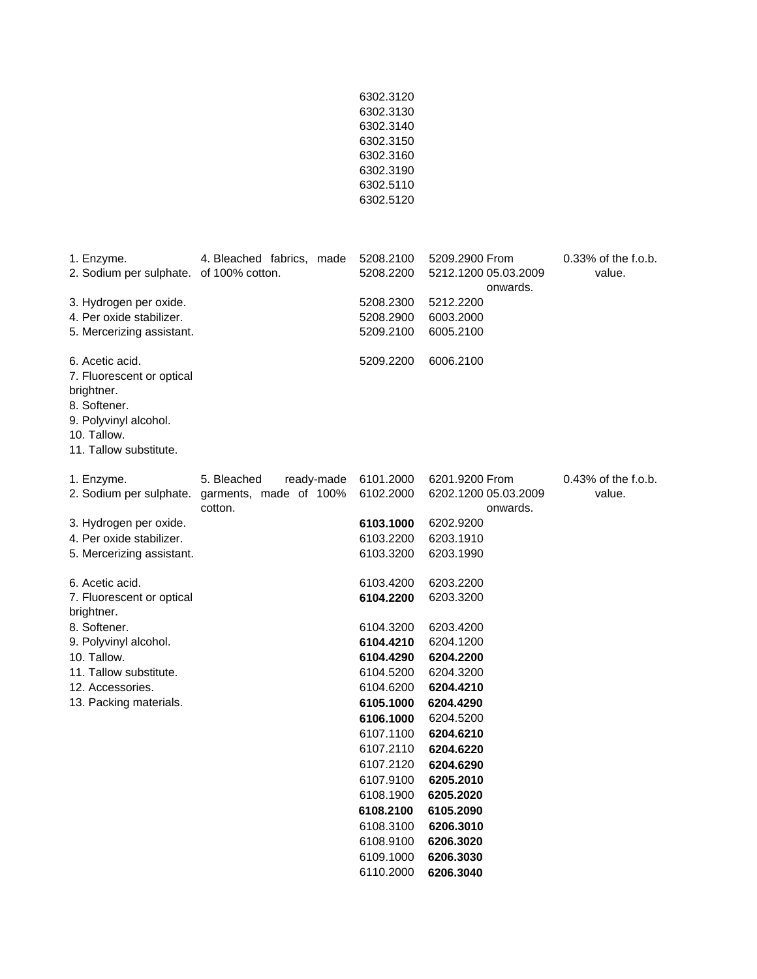|                                                                                                                                              |                                                                                        | 6302.3120<br>6302.3130<br>6302.3140<br>6302.3150<br>6302.3160<br>6302.3190<br>6302.5110<br>6302.5120                                                     |                                                                                                                                                          |                                  |
|----------------------------------------------------------------------------------------------------------------------------------------------|----------------------------------------------------------------------------------------|----------------------------------------------------------------------------------------------------------------------------------------------------------|----------------------------------------------------------------------------------------------------------------------------------------------------------|----------------------------------|
| 1. Enzyme.<br>2. Sodium per sulphate. of 100% cotton.                                                                                        | 4. Bleached fabrics, made                                                              | 5208.2100<br>5208.2200                                                                                                                                   | 5209.2900 From<br>5212.1200 05.03.2009<br>onwards.                                                                                                       | 0.33% of the f.o.b.<br>value.    |
| 3. Hydrogen per oxide.<br>4. Per oxide stabilizer.<br>5. Mercerizing assistant.                                                              |                                                                                        | 5208.2300<br>5208.2900<br>5209.2100                                                                                                                      | 5212.2200<br>6003.2000<br>6005.2100                                                                                                                      |                                  |
| 6. Acetic acid.<br>7. Fluorescent or optical<br>brightner.<br>8. Softener.<br>9. Polyvinyl alcohol.<br>10. Tallow.<br>11. Tallow substitute. |                                                                                        | 5209.2200                                                                                                                                                | 6006.2100                                                                                                                                                |                                  |
| 1. Enzyme.                                                                                                                                   | 5. Bleached<br>ready-made<br>2. Sodium per sulphate. garments, made of 100%<br>cotton. | 6101.2000<br>6102.2000                                                                                                                                   | 6201.9200 From<br>6202.1200 05.03.2009<br>onwards.                                                                                                       | $0.43\%$ of the f.o.b.<br>value. |
| 3. Hydrogen per oxide.<br>4. Per oxide stabilizer.<br>5. Mercerizing assistant.                                                              |                                                                                        | 6103.1000<br>6103.2200<br>6103.3200                                                                                                                      | 6202.9200<br>6203.1910<br>6203.1990                                                                                                                      |                                  |
| 6. Acetic acid.<br>7. Fluorescent or optical<br>brightner.                                                                                   |                                                                                        | 6103.4200<br>6104.2200                                                                                                                                   | 6203.2200<br>6203.3200                                                                                                                                   |                                  |
| 8. Softener.<br>9. Polyvinyl alcohol.<br>10. Tallow.<br>11. Tallow substitute.<br>12. Accessories.<br>13. Packing materials.                 |                                                                                        | 6104.3200<br>6104.4210<br>6104.4290<br>6104.5200<br>6104.6200<br>6105.1000<br>6106.1000<br>6107.1100<br>6107.2110<br>6107.2120<br>6107.9100<br>6108.1900 | 6203.4200<br>6204.1200<br>6204.2200<br>6204.3200<br>6204.4210<br>6204.4290<br>6204.5200<br>6204.6210<br>6204.6220<br>6204.6290<br>6205.2010<br>6205.2020 |                                  |
|                                                                                                                                              |                                                                                        | 6108.2100<br>6108.3100<br>6108.9100<br>6109.1000<br>6110.2000                                                                                            | 6105.2090<br>6206.3010<br>6206.3020<br>6206.3030<br>6206.3040                                                                                            |                                  |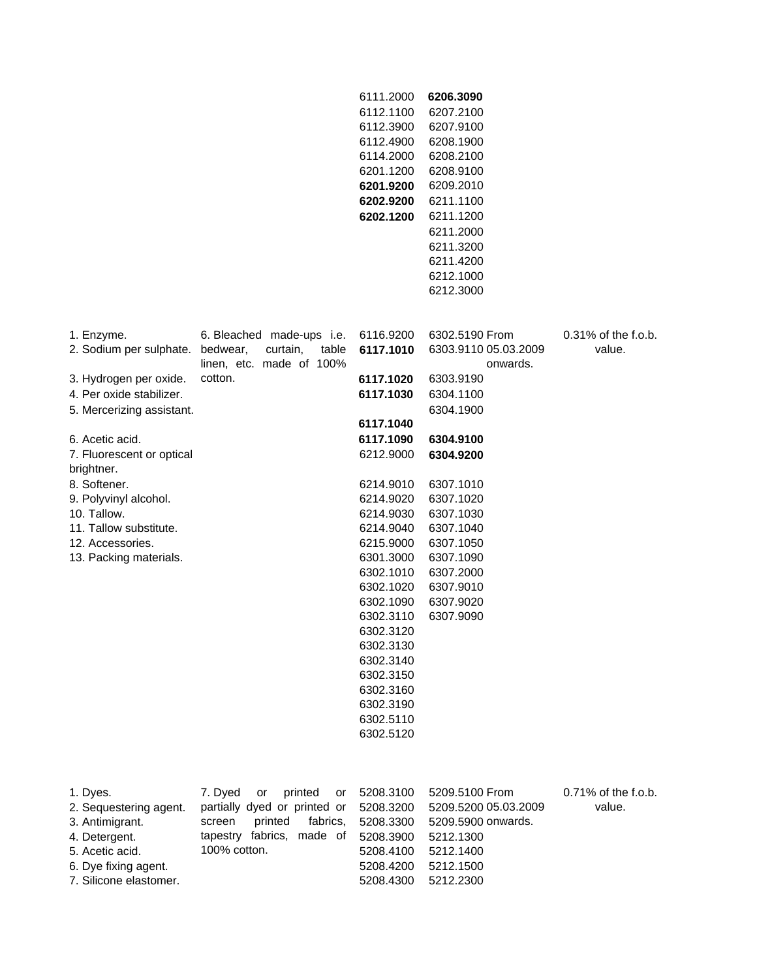|                                                                                                                                             |                                                                                                                                                 | 6111.2000<br>6112.1100<br>6112.3900<br>6112.4900<br>6114.2000<br>6201.1200<br>6201.9200<br>6202.9200<br>6202.1200                                                                                                                      | 6206.3090<br>6207.2100<br>6207.9100<br>6208.1900<br>6208.2100<br>6208.9100<br>6209.2010<br>6211.1100<br>6211.1200<br>6211.2000<br>6211.3200<br>6211.4200<br>6212.1000<br>6212.3000 |                                  |
|---------------------------------------------------------------------------------------------------------------------------------------------|-------------------------------------------------------------------------------------------------------------------------------------------------|----------------------------------------------------------------------------------------------------------------------------------------------------------------------------------------------------------------------------------------|------------------------------------------------------------------------------------------------------------------------------------------------------------------------------------|----------------------------------|
| 1. Enzyme.<br>2. Sodium per sulphate.                                                                                                       | 6. Bleached made-ups i.e.<br>bedwear,<br>curtain,<br>table<br>linen, etc. made of 100%                                                          | 6116.9200<br>6117.1010                                                                                                                                                                                                                 | 6302.5190 From<br>6303.9110 05.03.2009<br>onwards.                                                                                                                                 | $0.31\%$ of the f.o.b.<br>value. |
| 3. Hydrogen per oxide.<br>4. Per oxide stabilizer.<br>5. Mercerizing assistant.                                                             | cotton.                                                                                                                                         | 6117.1020<br>6117.1030<br>6117.1040                                                                                                                                                                                                    | 6303.9190<br>6304.1100<br>6304.1900                                                                                                                                                |                                  |
| 6. Acetic acid.<br>7. Fluorescent or optical<br>brightner.                                                                                  |                                                                                                                                                 | 6117.1090<br>6212.9000                                                                                                                                                                                                                 | 6304.9100<br>6304.9200                                                                                                                                                             |                                  |
| 8. Softener.<br>9. Polyvinyl alcohol.<br>10. Tallow.<br>11. Tallow substitute.<br>12. Accessories.<br>13. Packing materials.                |                                                                                                                                                 | 6214.9010<br>6214.9020<br>6214.9030<br>6214.9040<br>6215.9000<br>6301.3000<br>6302.1010<br>6302.1020<br>6302.1090<br>6302.3110<br>6302.3120<br>6302.3130<br>6302.3140<br>6302.3150<br>6302.3160<br>6302.3190<br>6302.5110<br>6302.5120 | 6307.1010<br>6307.1020<br>6307.1030<br>6307.1040<br>6307.1050<br>6307.1090<br>6307.2000<br>6307.9010<br>6307.9020<br>6307.9090                                                     |                                  |
| 1. Dyes.<br>2. Sequestering agent.<br>3. Antimigrant.<br>4. Detergent.<br>5. Acetic acid.<br>6. Dye fixing agent.<br>7. Silicone elastomer. | 7. Dyed<br>printed<br>or<br>or<br>partially dyed or printed or<br>printed<br>fabrics,<br>screen<br>tapestry fabrics,<br>made of<br>100% cotton. | 5208.3100<br>5208.3200<br>5208.3300<br>5208.3900<br>5208.4100<br>5208.4200<br>5208.4300                                                                                                                                                | 5209.5100 From<br>5209.5200 05.03.2009<br>5209.5900 onwards.<br>5212.1300<br>5212.1400<br>5212.1500<br>5212.2300                                                                   | $0.71\%$ of the f.o.b.<br>value. |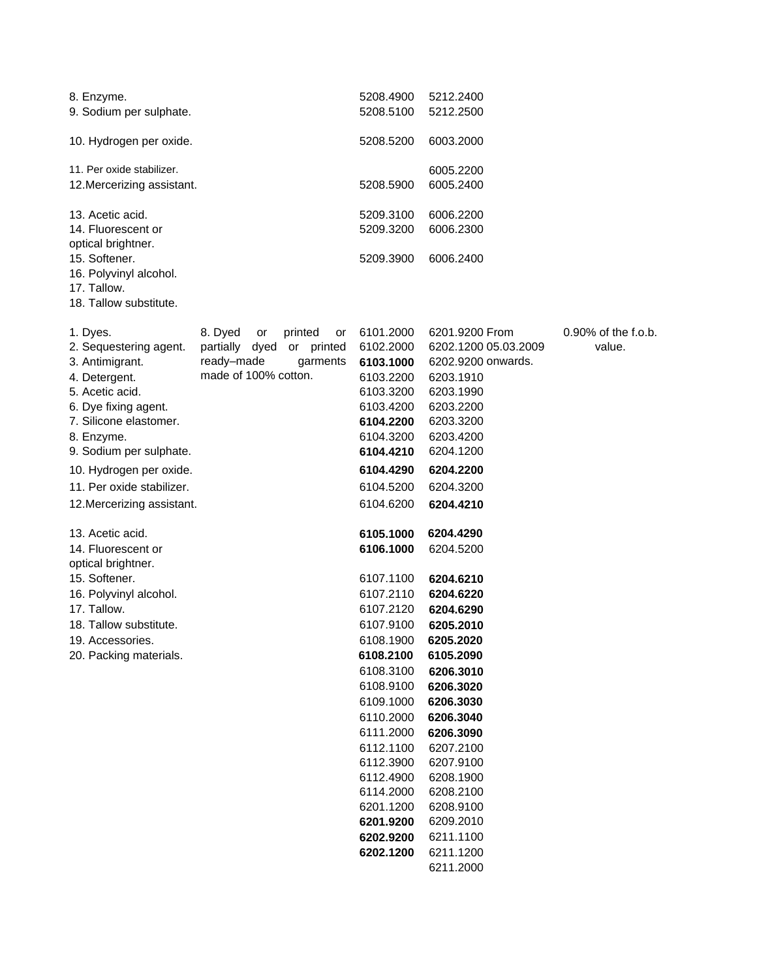| 8. Enzyme.<br>9. Sodium per sulphate.    |                           |               | 5208.4900<br>5208.5100 | 5212.2400<br>5212.2500 |                     |
|------------------------------------------|---------------------------|---------------|------------------------|------------------------|---------------------|
| 10. Hydrogen per oxide.                  |                           |               | 5208.5200              | 6003.2000              |                     |
| 11. Per oxide stabilizer.                |                           |               |                        | 6005.2200              |                     |
| 12. Mercerizing assistant.               |                           |               | 5208.5900              | 6005.2400              |                     |
| 13. Acetic acid.                         |                           |               | 5209.3100              | 6006.2200              |                     |
| 14. Fluorescent or<br>optical brightner. |                           |               | 5209.3200              | 6006.2300              |                     |
| 15. Softener.                            |                           |               | 5209.3900              | 6006.2400              |                     |
| 16. Polyvinyl alcohol.                   |                           |               |                        |                        |                     |
| 17. Tallow.                              |                           |               |                        |                        |                     |
| 18. Tallow substitute.                   |                           |               |                        |                        |                     |
| 1. Dyes.                                 | 8. Dyed<br>or             | printed<br>or | 6101.2000              | 6201.9200 From         | 0.90% of the f.o.b. |
| 2. Sequestering agent.                   | partially dyed or printed |               | 6102.2000              | 6202.1200 05.03.2009   | value.              |
| 3. Antimigrant.                          | ready-made                | garments      | 6103.1000              | 6202.9200 onwards.     |                     |
| 4. Detergent.<br>5. Acetic acid.         | made of 100% cotton.      |               | 6103.2200<br>6103.3200 | 6203.1910<br>6203.1990 |                     |
| 6. Dye fixing agent.                     |                           |               | 6103.4200              | 6203.2200              |                     |
| 7. Silicone elastomer.                   |                           |               | 6104.2200              | 6203.3200              |                     |
| 8. Enzyme.                               |                           |               | 6104.3200              | 6203.4200              |                     |
| 9. Sodium per sulphate.                  |                           |               | 6104.4210              | 6204.1200              |                     |
| 10. Hydrogen per oxide.                  |                           |               | 6104.4290              | 6204.2200              |                     |
| 11. Per oxide stabilizer.                |                           |               | 6104.5200              | 6204.3200              |                     |
| 12. Mercerizing assistant.               |                           |               | 6104.6200              | 6204.4210              |                     |
| 13. Acetic acid.                         |                           |               | 6105.1000              | 6204.4290              |                     |
| 14. Fluorescent or                       |                           |               | 6106.1000              | 6204.5200              |                     |
| optical brightner.                       |                           |               |                        |                        |                     |
| 15. Softener.                            |                           |               | 6107.1100              | 6204.6210              |                     |
| 16. Polyvinyl alcohol.<br>17. Tallow.    |                           |               | 6107.2110<br>6107.2120 | 6204.6220<br>6204.6290 |                     |
| 18. Tallow substitute.                   |                           |               | 6107.9100              | 6205.2010              |                     |
| 19. Accessories.                         |                           |               | 6108.1900              | 6205.2020              |                     |
| 20. Packing materials.                   |                           |               | 6108.2100              | 6105.2090              |                     |
|                                          |                           |               | 6108.3100              | 6206.3010              |                     |
|                                          |                           |               | 6108.9100              | 6206.3020              |                     |
|                                          |                           |               | 6109.1000              | 6206.3030              |                     |
|                                          |                           |               | 6110.2000              | 6206.3040              |                     |
|                                          |                           |               | 6111.2000              | 6206.3090              |                     |
|                                          |                           |               | 6112.1100<br>6112.3900 | 6207.2100<br>6207.9100 |                     |
|                                          |                           |               | 6112.4900              | 6208.1900              |                     |
|                                          |                           |               | 6114.2000              | 6208.2100              |                     |
|                                          |                           |               | 6201.1200              | 6208.9100              |                     |
|                                          |                           |               | 6201.9200              | 6209.2010              |                     |
|                                          |                           |               | 6202.9200              | 6211.1100              |                     |
|                                          |                           |               | 6202.1200              | 6211.1200              |                     |
|                                          |                           |               |                        | 6211.2000              |                     |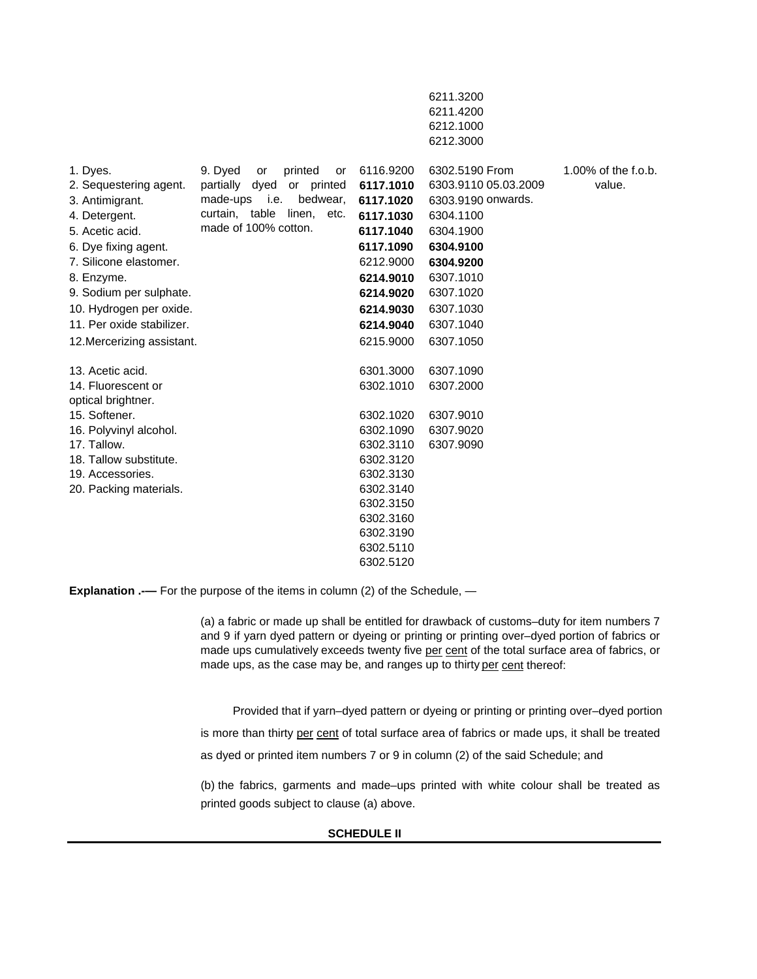|                                     |                                       |           | 6211.3200<br>6211.4200<br>6212.1000<br>6212.3000 |                        |
|-------------------------------------|---------------------------------------|-----------|--------------------------------------------------|------------------------|
| 1. Dyes.                            | 9. Dyed<br>printed<br>or<br><b>or</b> | 6116.9200 | 6302.5190 From                                   | $1.00\%$ of the f.o.b. |
| 2. Sequestering agent.              | partially dyed<br>or printed          | 6117.1010 | 6303.9110 05.03.2009                             | value.                 |
| 3. Antimigrant.                     | made-ups <i>i.e.</i><br>bedwear,      | 6117.1020 | 6303.9190 onwards.                               |                        |
| 4. Detergent.                       | curtain, table<br>linen,<br>etc.      | 6117.1030 | 6304.1100                                        |                        |
| 5. Acetic acid.                     | made of 100% cotton.                  | 6117.1040 | 6304.1900                                        |                        |
| 6. Dye fixing agent.                |                                       | 6117.1090 | 6304.9100                                        |                        |
| 7. Silicone elastomer.              |                                       | 6212.9000 | 6304.9200                                        |                        |
| 8. Enzyme.                          |                                       | 6214.9010 | 6307.1010                                        |                        |
| 9. Sodium per sulphate.             |                                       | 6214.9020 | 6307.1020                                        |                        |
| 10. Hydrogen per oxide.             |                                       | 6214.9030 | 6307.1030                                        |                        |
| 11. Per oxide stabilizer.           |                                       | 6214.9040 | 6307.1040                                        |                        |
| 12. Mercerizing assistant.          |                                       | 6215.9000 | 6307.1050                                        |                        |
| 13. Acetic acid.                    |                                       | 6301.3000 | 6307.1090                                        |                        |
| 14. Fluorescent or                  |                                       | 6302.1010 | 6307.2000                                        |                        |
| optical brightner.<br>15. Softener. |                                       | 6302.1020 | 6307.9010                                        |                        |
| 16. Polyvinyl alcohol.              |                                       | 6302.1090 | 6307.9020                                        |                        |
| 17. Tallow.                         |                                       | 6302.3110 | 6307.9090                                        |                        |
| 18. Tallow substitute.              |                                       | 6302.3120 |                                                  |                        |
| 19. Accessories.                    |                                       | 6302.3130 |                                                  |                        |
| 20. Packing materials.              |                                       | 6302.3140 |                                                  |                        |
|                                     |                                       | 6302.3150 |                                                  |                        |
|                                     |                                       | 6302.3160 |                                                  |                        |
|                                     |                                       | 6302.3190 |                                                  |                        |
|                                     |                                       | 6302.5110 |                                                  |                        |
|                                     |                                       | 6302.5120 |                                                  |                        |

**Explanation .---** For the purpose of the items in column (2) of the Schedule, -

(a) a fabric or made up shall be entitled for drawback of customs–duty for item numbers 7 and 9 if yarn dyed pattern or dyeing or printing or printing over–dyed portion of fabrics or made ups cumulatively exceeds twenty five per cent of the total surface area of fabrics, or made ups, as the case may be, and ranges up to thirty per cent thereof:

Provided that if yarn–dyed pattern or dyeing or printing or printing over–dyed portion

is more than thirty per cent of total surface area of fabrics or made ups, it shall be treated

as dyed or printed item numbers 7 or 9 in column (2) of the said Schedule; and

(b) the fabrics, garments and made–ups printed with white colour shall be treated as printed goods subject to clause (a) above.

## **SCHEDULE II**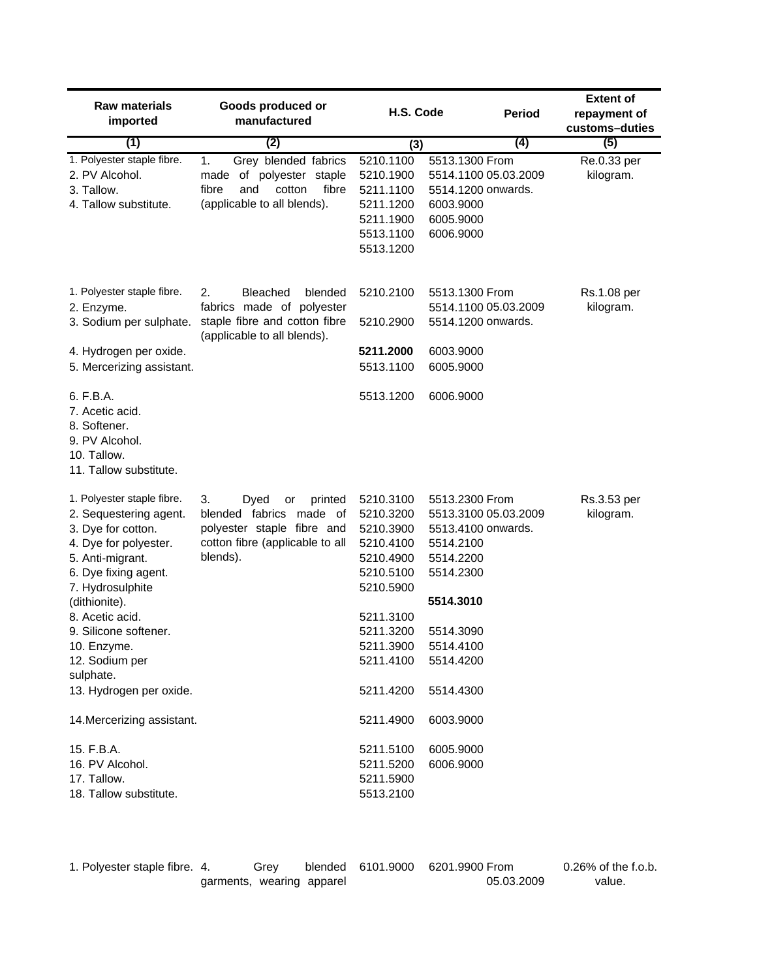| <b>Raw materials</b>             | Goods produced or                                            |                        |                      | <b>Extent of</b>      |
|----------------------------------|--------------------------------------------------------------|------------------------|----------------------|-----------------------|
| imported                         | manufactured                                                 | H.S. Code              | <b>Period</b>        | repayment of          |
| (1)                              | (2)                                                          | (3)                    | (4)                  | customs-duties<br>(5) |
| 1. Polyester staple fibre.       | Grey blended fabrics<br>1.                                   | 5210.1100              | 5513.1300 From       | Re.0.33 per           |
| 2. PV Alcohol.                   | of polyester staple<br>made                                  | 5210.1900              | 5514.1100 05.03.2009 | kilogram.             |
| 3. Tallow.                       | fibre<br>fibre<br>and<br>cotton                              | 5211.1100              | 5514.1200 onwards.   |                       |
| 4. Tallow substitute.            | (applicable to all blends).                                  | 5211.1200              | 6003.9000            |                       |
|                                  |                                                              | 5211.1900              | 6005.9000            |                       |
|                                  |                                                              | 5513.1100              | 6006.9000            |                       |
|                                  |                                                              | 5513.1200              |                      |                       |
|                                  |                                                              |                        |                      |                       |
| 1. Polyester staple fibre.       | 2.<br>Bleached<br>blended                                    | 5210.2100              | 5513.1300 From       | Rs.1.08 per           |
| 2. Enzyme.                       | fabrics made of polyester                                    |                        | 5514.1100 05.03.2009 | kilogram.             |
| 3. Sodium per sulphate.          | staple fibre and cotton fibre<br>(applicable to all blends). | 5210.2900              | 5514.1200 onwards.   |                       |
| 4. Hydrogen per oxide.           |                                                              | 5211.2000              | 6003.9000            |                       |
| 5. Mercerizing assistant.        |                                                              | 5513.1100              | 6005.9000            |                       |
| 6. F.B.A.                        |                                                              | 5513.1200              | 6006.9000            |                       |
| 7. Acetic acid.                  |                                                              |                        |                      |                       |
| 8. Softener.                     |                                                              |                        |                      |                       |
| 9. PV Alcohol.                   |                                                              |                        |                      |                       |
| 10. Tallow.                      |                                                              |                        |                      |                       |
| 11. Tallow substitute.           |                                                              |                        |                      |                       |
| 1. Polyester staple fibre.       | printed<br>3.<br>Dyed<br>or                                  | 5210.3100              | 5513.2300 From       | Rs.3.53 per           |
| 2. Sequestering agent.           | blended fabrics made of                                      | 5210.3200              | 5513.3100 05.03.2009 | kilogram.             |
| 3. Dye for cotton.               | polyester staple fibre and                                   | 5210.3900              | 5513.4100 onwards.   |                       |
| 4. Dye for polyester.            | cotton fibre (applicable to all                              | 5210.4100              | 5514.2100            |                       |
| 5. Anti-migrant.                 | blends).                                                     | 5210.4900              | 5514.2200            |                       |
| 6. Dye fixing agent.             |                                                              | 5210.5100              | 5514.2300            |                       |
| 7. Hydrosulphite                 |                                                              | 5210.5900              |                      |                       |
| (dithionite).<br>8. Acetic acid. |                                                              |                        | 5514.3010            |                       |
| 9. Silicone softener.            |                                                              | 5211.3100<br>5211.3200 | 5514.3090            |                       |
| 10. Enzyme.                      |                                                              | 5211.3900              | 5514.4100            |                       |
| 12. Sodium per                   |                                                              | 5211.4100              | 5514.4200            |                       |
| sulphate.                        |                                                              |                        |                      |                       |
| 13. Hydrogen per oxide.          |                                                              | 5211.4200              | 5514.4300            |                       |
| 14. Mercerizing assistant.       |                                                              | 5211.4900              | 6003.9000            |                       |
| 15. F.B.A.                       |                                                              | 5211.5100              | 6005.9000            |                       |
| 16. PV Alcohol.                  |                                                              | 5211.5200              | 6006.9000            |                       |
| 17. Tallow.                      |                                                              | 5211.5900              |                      |                       |
| 18. Tallow substitute.           |                                                              | 5513.2100              |                      |                       |
|                                  |                                                              |                        |                      |                       |

| 1. Polyester staple fibre. 4. |                           | Grev |  | blended 6101.9000 6201.9900 From | $0.26\%$ of the f.o.b. |
|-------------------------------|---------------------------|------|--|----------------------------------|------------------------|
|                               | garments, wearing apparel |      |  | 05.03.2009                       | value.                 |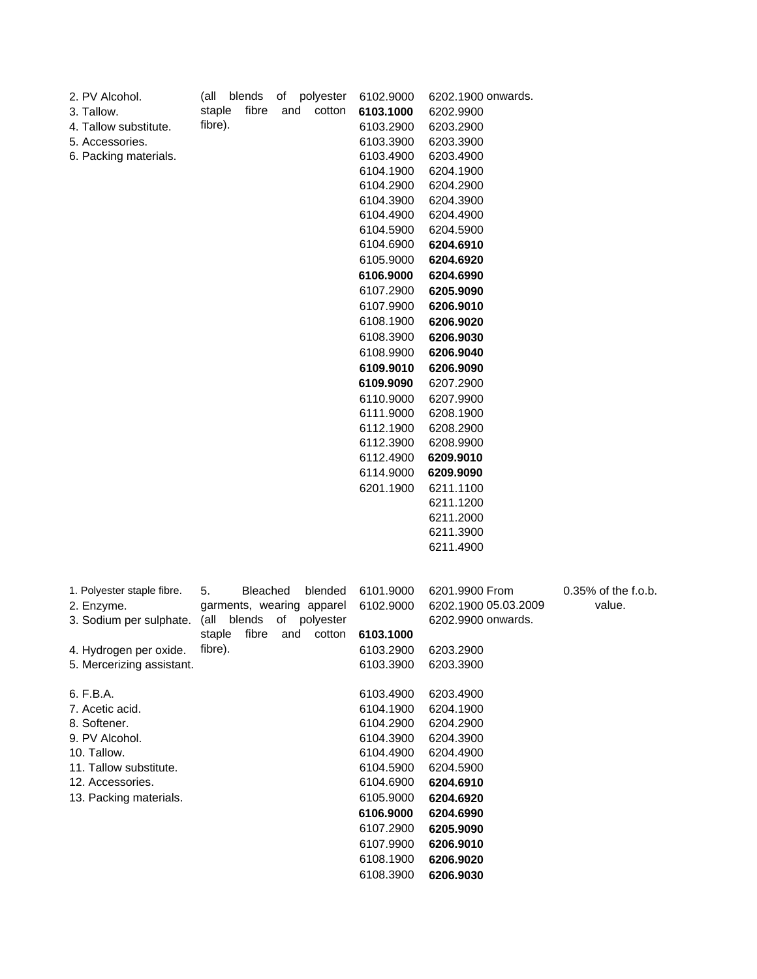| 2. PV Alcohol.             | blends<br>(all<br>of<br>polyester | 6102.9000 | 6202.1900 onwards.   |                     |
|----------------------------|-----------------------------------|-----------|----------------------|---------------------|
| 3. Tallow.                 | fibre<br>staple<br>cotton<br>and  | 6103.1000 | 6202.9900            |                     |
| 4. Tallow substitute.      | fibre).                           | 6103.2900 | 6203.2900            |                     |
| 5. Accessories.            |                                   | 6103.3900 | 6203.3900            |                     |
| 6. Packing materials.      |                                   | 6103.4900 | 6203.4900            |                     |
|                            |                                   | 6104.1900 | 6204.1900            |                     |
|                            |                                   | 6104.2900 | 6204.2900            |                     |
|                            |                                   | 6104.3900 | 6204.3900            |                     |
|                            |                                   | 6104.4900 | 6204.4900            |                     |
|                            |                                   | 6104.5900 | 6204.5900            |                     |
|                            |                                   | 6104.6900 | 6204.6910            |                     |
|                            |                                   | 6105.9000 | 6204.6920            |                     |
|                            |                                   | 6106.9000 | 6204.6990            |                     |
|                            |                                   | 6107.2900 | 6205.9090            |                     |
|                            |                                   | 6107.9900 | 6206.9010            |                     |
|                            |                                   | 6108.1900 | 6206.9020            |                     |
|                            |                                   | 6108.3900 | 6206.9030            |                     |
|                            |                                   | 6108.9900 |                      |                     |
|                            |                                   |           | 6206.9040            |                     |
|                            |                                   | 6109.9010 | 6206.9090            |                     |
|                            |                                   | 6109.9090 | 6207.2900            |                     |
|                            |                                   | 6110.9000 | 6207.9900            |                     |
|                            |                                   | 6111.9000 | 6208.1900            |                     |
|                            |                                   | 6112.1900 | 6208.2900            |                     |
|                            |                                   | 6112.3900 | 6208.9900            |                     |
|                            |                                   | 6112.4900 | 6209.9010            |                     |
|                            |                                   | 6114.9000 | 6209.9090            |                     |
|                            |                                   | 6201.1900 | 6211.1100            |                     |
|                            |                                   |           | 6211.1200            |                     |
|                            |                                   |           | 6211.2000            |                     |
|                            |                                   |           | 6211.3900            |                     |
|                            |                                   |           | 6211.4900            |                     |
|                            |                                   |           |                      |                     |
| 1. Polyester staple fibre. | 5.<br><b>Bleached</b><br>blended  | 6101.9000 | 6201.9900 From       | 0.35% of the f.o.b. |
| 2. Enzyme.                 | garments, wearing apparel         | 6102.9000 | 6202.1900 05.03.2009 | value.              |
| 3. Sodium per sulphate.    | blends<br>polyester<br>(all<br>of |           | 6202.9900 onwards.   |                     |
|                            | fibre<br>staple<br>cotton<br>and  | 6103.1000 |                      |                     |
| 4. Hydrogen per oxide.     | fibre).                           | 6103.2900 | 6203.2900            |                     |
| 5. Mercerizing assistant.  |                                   | 6103.3900 | 6203.3900            |                     |
| 6. F.B.A.                  |                                   | 6103.4900 | 6203.4900            |                     |
| 7. Acetic acid.            |                                   | 6104.1900 | 6204.1900            |                     |
| 8. Softener.               |                                   | 6104.2900 | 6204.2900            |                     |
| 9. PV Alcohol.             |                                   | 6104.3900 | 6204.3900            |                     |
| 10. Tallow.                |                                   | 6104.4900 | 6204.4900            |                     |
| 11. Tallow substitute.     |                                   | 6104.5900 | 6204.5900            |                     |
| 12. Accessories.           |                                   | 6104.6900 | 6204.6910            |                     |
| 13. Packing materials.     |                                   | 6105.9000 | 6204.6920            |                     |
|                            |                                   | 6106.9000 | 6204.6990            |                     |
|                            |                                   | 6107.2900 | 6205.9090            |                     |
|                            |                                   | 6107.9900 | 6206.9010            |                     |
|                            |                                   | 6108.1900 | 6206.9020            |                     |
|                            |                                   | 6108.3900 | 6206.9030            |                     |
|                            |                                   |           |                      |                     |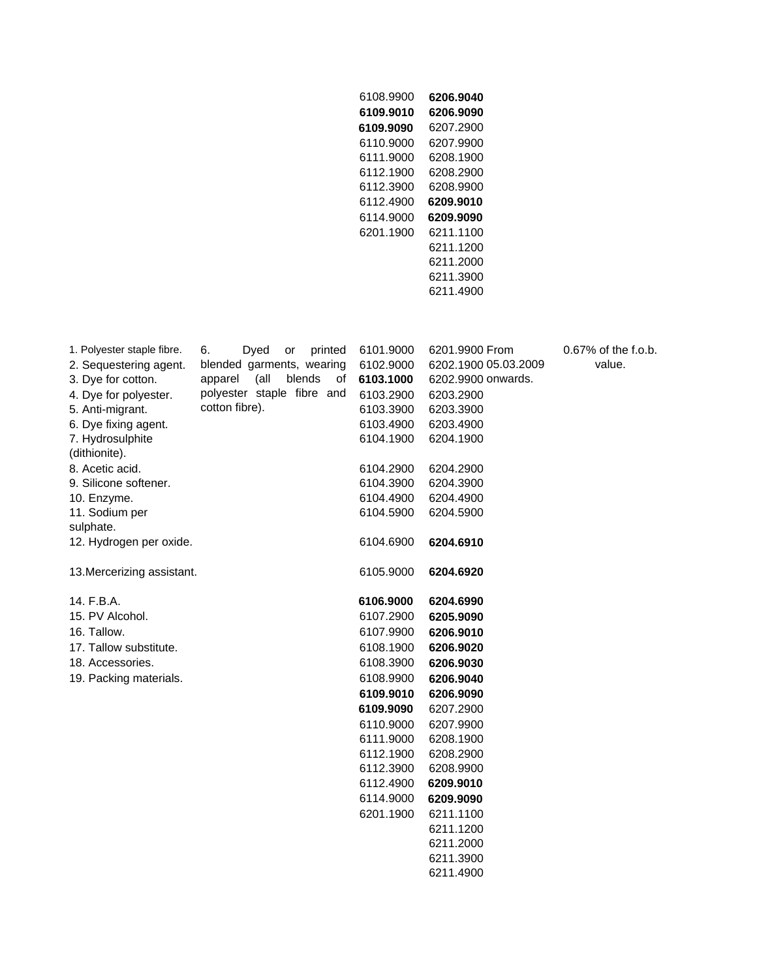| 6108.9900 | 6206.9040 |
|-----------|-----------|
| 6109.9010 | 6206.9090 |
| 6109.9090 | 6207.2900 |
| 6110 9000 | 6207.9900 |
| 6111 9000 | 6208.1900 |
| 6112 1900 | 6208.2900 |
| 6112.3900 | 6208.9900 |
|           |           |
| 6112.4900 | 6209.9010 |
| 6114 9000 | 6209.9090 |
| 6201 1900 | 6211 1100 |
|           | 6211.1200 |
|           | 6211 2000 |
|           | 6211.3900 |

| 1. Polyester staple fibre. | Dyed<br>6.<br>or<br>printed     | 6101.9000 | 6201.9900 From       | 0.67% of the f.o.b. |
|----------------------------|---------------------------------|-----------|----------------------|---------------------|
| 2. Sequestering agent.     | blended garments, wearing       | 6102.9000 | 6202.1900 05.03.2009 | value.              |
| 3. Dye for cotton.         | (all<br>blends<br>apparel<br>οf | 6103.1000 | 6202.9900 onwards.   |                     |
| 4. Dye for polyester.      | polyester staple fibre and      | 6103.2900 | 6203.2900            |                     |
| 5. Anti-migrant.           | cotton fibre).                  | 6103.3900 | 6203.3900            |                     |
| 6. Dye fixing agent.       |                                 | 6103.4900 | 6203.4900            |                     |
| 7. Hydrosulphite           |                                 | 6104.1900 | 6204.1900            |                     |
| (dithionite).              |                                 |           |                      |                     |
| 8. Acetic acid.            |                                 | 6104.2900 | 6204.2900            |                     |
| 9. Silicone softener.      |                                 | 6104.3900 | 6204.3900            |                     |
| 10. Enzyme.                |                                 | 6104.4900 | 6204.4900            |                     |
| 11. Sodium per             |                                 | 6104.5900 | 6204.5900            |                     |
| sulphate.                  |                                 |           |                      |                     |
| 12. Hydrogen per oxide.    |                                 | 6104.6900 | 6204.6910            |                     |
|                            |                                 |           |                      |                     |
| 13. Mercerizing assistant. |                                 | 6105.9000 | 6204.6920            |                     |
|                            |                                 |           |                      |                     |
| 14. F.B.A.                 |                                 | 6106.9000 | 6204.6990            |                     |
| 15. PV Alcohol.            |                                 | 6107.2900 | 6205.9090            |                     |
| 16. Tallow.                |                                 | 6107.9900 | 6206.9010            |                     |
| 17. Tallow substitute.     |                                 | 6108.1900 | 6206.9020            |                     |
| 18. Accessories.           |                                 | 6108.3900 | 6206.9030            |                     |
| 19. Packing materials.     |                                 | 6108.9900 | 6206.9040            |                     |
|                            |                                 | 6109.9010 | 6206.9090            |                     |
|                            |                                 | 6109.9090 | 6207.2900            |                     |
|                            |                                 | 6110.9000 | 6207.9900            |                     |
|                            |                                 | 6111.9000 | 6208.1900            |                     |
|                            |                                 | 6112.1900 | 6208.2900            |                     |
|                            |                                 | 6112.3900 | 6208.9900            |                     |
|                            |                                 | 6112.4900 | 6209.9010            |                     |
|                            |                                 | 6114.9000 | 6209.9090            |                     |
|                            |                                 | 6201.1900 | 6211.1100            |                     |
|                            |                                 |           | 6211.1200            |                     |
|                            |                                 |           | 6211.2000            |                     |
|                            |                                 |           | 6211.3900            |                     |
|                            |                                 |           | 6211.4900            |                     |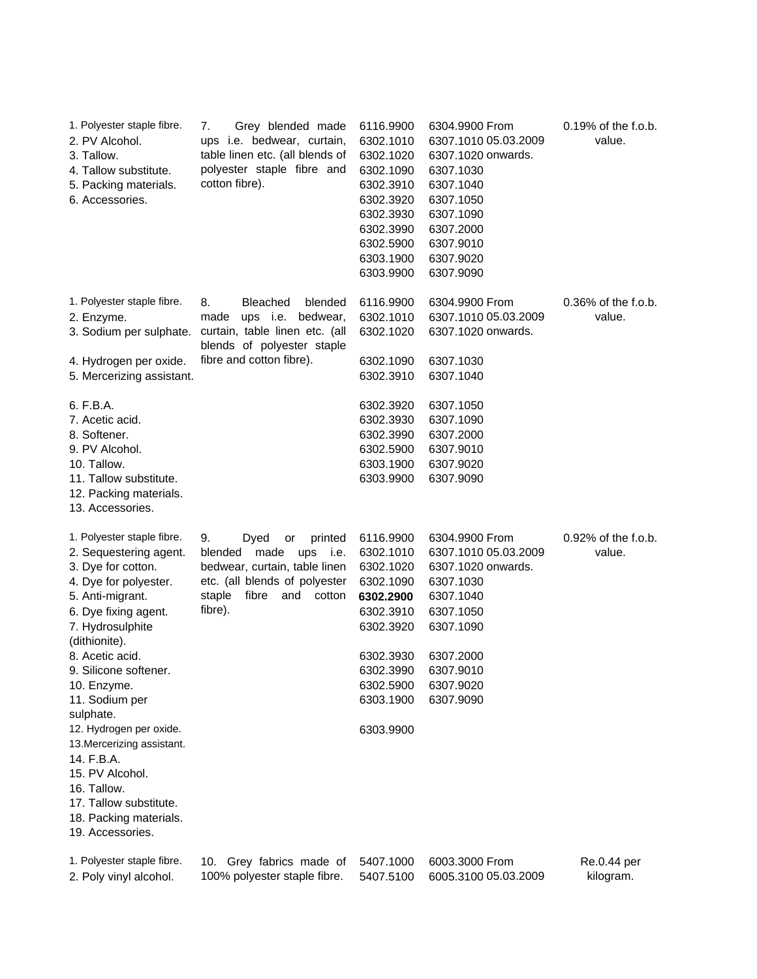| 1. Polyester staple fibre.<br>2. PV Alcohol.<br>3. Tallow.<br>4. Tallow substitute.<br>5. Packing materials.<br>6. Accessories. | Grey blended made<br>7.<br>ups i.e. bedwear, curtain,<br>table linen etc. (all blends of<br>polyester staple fibre and<br>cotton fibre). | 6116.9900<br>6302.1010<br>6302.1020<br>6302.1090<br>6302.3910<br>6302.3920<br>6302.3930<br>6302.3990<br>6302.5900<br>6303.1900<br>6303.9900 | 6304.9900 From<br>6307.1010 05.03.2009<br>6307.1020 onwards.<br>6307.1030<br>6307.1040<br>6307.1050<br>6307.1090<br>6307.2000<br>6307.9010<br>6307.9020<br>6307.9090 | $0.19\%$ of the f.o.b.<br>value. |
|---------------------------------------------------------------------------------------------------------------------------------|------------------------------------------------------------------------------------------------------------------------------------------|---------------------------------------------------------------------------------------------------------------------------------------------|----------------------------------------------------------------------------------------------------------------------------------------------------------------------|----------------------------------|
| 1. Polyester staple fibre.<br>2. Enzyme.                                                                                        | 8.<br><b>Bleached</b><br>blended<br>ups i.e. bedwear,<br>made                                                                            | 6116.9900<br>6302.1010                                                                                                                      | 6304.9900 From<br>6307.1010 05.03.2009                                                                                                                               | 0.36% of the f.o.b.<br>value.    |
| 3. Sodium per sulphate.                                                                                                         | curtain, table linen etc. (all<br>blends of polyester staple                                                                             | 6302.1020                                                                                                                                   | 6307.1020 onwards.                                                                                                                                                   |                                  |
| 4. Hydrogen per oxide.                                                                                                          | fibre and cotton fibre).                                                                                                                 | 6302.1090                                                                                                                                   | 6307.1030                                                                                                                                                            |                                  |
| 5. Mercerizing assistant.                                                                                                       |                                                                                                                                          | 6302.3910                                                                                                                                   | 6307.1040                                                                                                                                                            |                                  |
| 6. F.B.A.                                                                                                                       |                                                                                                                                          | 6302.3920                                                                                                                                   | 6307.1050                                                                                                                                                            |                                  |
| 7. Acetic acid.                                                                                                                 |                                                                                                                                          | 6302.3930                                                                                                                                   | 6307.1090                                                                                                                                                            |                                  |
| 8. Softener.                                                                                                                    |                                                                                                                                          | 6302.3990                                                                                                                                   | 6307.2000                                                                                                                                                            |                                  |
| 9. PV Alcohol.                                                                                                                  |                                                                                                                                          | 6302.5900                                                                                                                                   | 6307.9010                                                                                                                                                            |                                  |
| 10. Tallow.                                                                                                                     |                                                                                                                                          | 6303.1900                                                                                                                                   | 6307.9020                                                                                                                                                            |                                  |
| 11. Tallow substitute.<br>12. Packing materials.<br>13. Accessories.                                                            |                                                                                                                                          | 6303.9900                                                                                                                                   | 6307.9090                                                                                                                                                            |                                  |
| 1. Polyester staple fibre.                                                                                                      | 9.<br>Dyed<br>printed<br>or                                                                                                              | 6116.9900                                                                                                                                   | 6304.9900 From                                                                                                                                                       | 0.92% of the f.o.b.              |
| 2. Sequestering agent.                                                                                                          | blended made<br>ups<br>i.e.                                                                                                              | 6302.1010                                                                                                                                   | 6307.1010 05.03.2009                                                                                                                                                 | value.                           |
| 3. Dye for cotton.                                                                                                              | bedwear, curtain, table linen                                                                                                            | 6302.1020                                                                                                                                   | 6307.1020 onwards.                                                                                                                                                   |                                  |
| 4. Dye for polyester.                                                                                                           | etc. (all blends of polyester                                                                                                            | 6302.1090                                                                                                                                   | 6307.1030                                                                                                                                                            |                                  |
| 5. Anti-migrant.                                                                                                                | staple<br>fibre<br>and<br>cotton                                                                                                         | 6302.2900                                                                                                                                   | 6307.1040                                                                                                                                                            |                                  |
| 6. Dye fixing agent.                                                                                                            | fibre).                                                                                                                                  | 6302.3910                                                                                                                                   | 6307.1050                                                                                                                                                            |                                  |
| 7. Hydrosulphite<br>(dithionite).                                                                                               |                                                                                                                                          | 6302.3920                                                                                                                                   | 6307.1090                                                                                                                                                            |                                  |
| 8. Acetic acid.                                                                                                                 |                                                                                                                                          | 6302.3930                                                                                                                                   | 6307.2000                                                                                                                                                            |                                  |
| 9. Silicone softener.                                                                                                           |                                                                                                                                          | 6302.3990                                                                                                                                   | 6307.9010                                                                                                                                                            |                                  |
| 10. Enzyme.                                                                                                                     |                                                                                                                                          | 6302.5900                                                                                                                                   | 6307.9020                                                                                                                                                            |                                  |
| 11. Sodium per<br>sulphate.                                                                                                     |                                                                                                                                          | 6303.1900                                                                                                                                   | 6307.9090                                                                                                                                                            |                                  |
| 12. Hydrogen per oxide.<br>13. Mercerizing assistant.                                                                           |                                                                                                                                          | 6303.9900                                                                                                                                   |                                                                                                                                                                      |                                  |
| 14. F.B.A.                                                                                                                      |                                                                                                                                          |                                                                                                                                             |                                                                                                                                                                      |                                  |
| 15. PV Alcohol.                                                                                                                 |                                                                                                                                          |                                                                                                                                             |                                                                                                                                                                      |                                  |
| 16. Tallow.                                                                                                                     |                                                                                                                                          |                                                                                                                                             |                                                                                                                                                                      |                                  |
| 17. Tallow substitute.                                                                                                          |                                                                                                                                          |                                                                                                                                             |                                                                                                                                                                      |                                  |
| 18. Packing materials.                                                                                                          |                                                                                                                                          |                                                                                                                                             |                                                                                                                                                                      |                                  |
| 19. Accessories.                                                                                                                |                                                                                                                                          |                                                                                                                                             |                                                                                                                                                                      |                                  |
| 1. Polyester staple fibre.<br>2. Poly vinyl alcohol.                                                                            | 10. Grey fabrics made of<br>100% polyester staple fibre.                                                                                 | 5407.1000<br>5407.5100                                                                                                                      | 6003.3000 From<br>6005.3100 05.03.2009                                                                                                                               | Re.0.44 per<br>kilogram.         |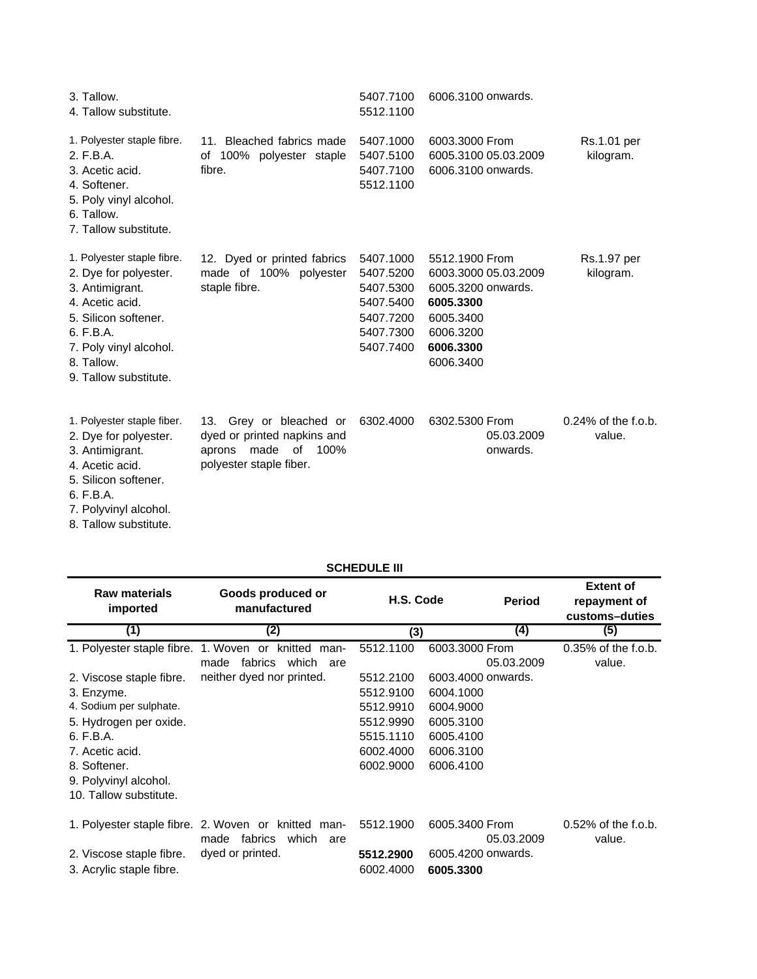| 3. Tallow.<br>4. Tallow substitute.                                                                                                                                                             |                                                                                                                | 5407.7100<br>5512.1100                                                                  | 6006.3100 onwards.                                                                                                            |                                  |
|-------------------------------------------------------------------------------------------------------------------------------------------------------------------------------------------------|----------------------------------------------------------------------------------------------------------------|-----------------------------------------------------------------------------------------|-------------------------------------------------------------------------------------------------------------------------------|----------------------------------|
| 1. Polyester staple fibre.<br>2. F.B.A.<br>3. Acetic acid.<br>4. Softener.<br>5. Poly vinyl alcohol.<br>6. Tallow.<br>7. Tallow substitute.                                                     | 11. Bleached fabrics made<br>of 100% polyester staple<br>fibre.                                                | 5407.1000<br>5407.5100<br>5407.7100<br>5512.1100                                        | 6003.3000 From<br>6005.3100 05.03.2009<br>6006.3100 onwards.                                                                  | Rs.1.01 per<br>kilogram.         |
| 1. Polyester staple fibre.<br>2. Dye for polyester.<br>3. Antimigrant.<br>4. Acetic acid.<br>5. Silicon softener.<br>6. F.B.A.<br>7. Poly vinyl alcohol.<br>8. Tallow.<br>9. Tallow substitute. | 12. Dyed or printed fabrics<br>made of 100% polyester<br>staple fibre.                                         | 5407.1000<br>5407.5200<br>5407.5300<br>5407.5400<br>5407.7200<br>5407.7300<br>5407.7400 | 5512.1900 From<br>6003.3000 05.03.2009<br>6005.3200 onwards.<br>6005.3300<br>6005.3400<br>6006.3200<br>6006.3300<br>6006.3400 | Rs.1.97 per<br>kilogram.         |
| 1. Polyester staple fiber.<br>2. Dye for polyester.<br>3. Antimigrant.<br>4. Acetic acid.<br>5. Silicon softener.<br>6. F.B.A.<br>7. Polyvinyl alcohol.                                         | 13. Grey or bleached or<br>dyed or printed napkins and<br>made<br>of 100%<br>aprons<br>polyester staple fiber. | 6302.4000                                                                               | 6302.5300 From<br>05.03.2009<br>onwards.                                                                                      | $0.24\%$ of the f.o.b.<br>value. |

8. Tallow substitute.

|                                                                                                                                                                                                | SUNEDULE III                                                                                               |                                                                                         |                                                                                                  |                                                    |  |  |  |
|------------------------------------------------------------------------------------------------------------------------------------------------------------------------------------------------|------------------------------------------------------------------------------------------------------------|-----------------------------------------------------------------------------------------|--------------------------------------------------------------------------------------------------|----------------------------------------------------|--|--|--|
| <b>Raw materials</b><br>imported                                                                                                                                                               | Goods produced or<br>manufactured                                                                          | H.S. Code                                                                               | <b>Period</b>                                                                                    | <b>Extent of</b><br>repayment of<br>customs-duties |  |  |  |
| (1)                                                                                                                                                                                            | (2)                                                                                                        | (3)                                                                                     | (4)                                                                                              | (5)                                                |  |  |  |
| 1. Polyester staple fibre. 1. Woven or                                                                                                                                                         | knitted man-<br>which<br>made<br>fabrics<br>are                                                            | 5512.1100                                                                               | 6003.3000 From<br>05.03.2009                                                                     | $0.35\%$ of the f.o.b.<br>value.                   |  |  |  |
| 2. Viscose staple fibre.<br>3. Enzyme.<br>4. Sodium per sulphate.<br>5. Hydrogen per oxide.<br>6. F.B.A.<br>7. Acetic acid.<br>8. Softener.<br>9. Polyvinyl alcohol.<br>10. Tallow substitute. | neither dyed nor printed.                                                                                  | 5512.2100<br>5512.9100<br>5512.9910<br>5512.9990<br>5515.1110<br>6002.4000<br>6002.9000 | 6003.4000 onwards.<br>6004.1000<br>6004.9000<br>6005.3100<br>6005.4100<br>6006.3100<br>6006.4100 |                                                    |  |  |  |
| 2. Viscose staple fibre.<br>3. Acrylic staple fibre.                                                                                                                                           | 1. Polyester staple fibre. 2. Woven or knitted man-<br>fabrics<br>which<br>made<br>are<br>dyed or printed. | 5512.1900<br>5512.2900<br>6002.4000                                                     | 6005.3400 From<br>05.03.2009<br>6005.4200 onwards.<br>6005.3300                                  | $0.52\%$ of the f.o.b.<br>value.                   |  |  |  |

# **SCHEDULE III**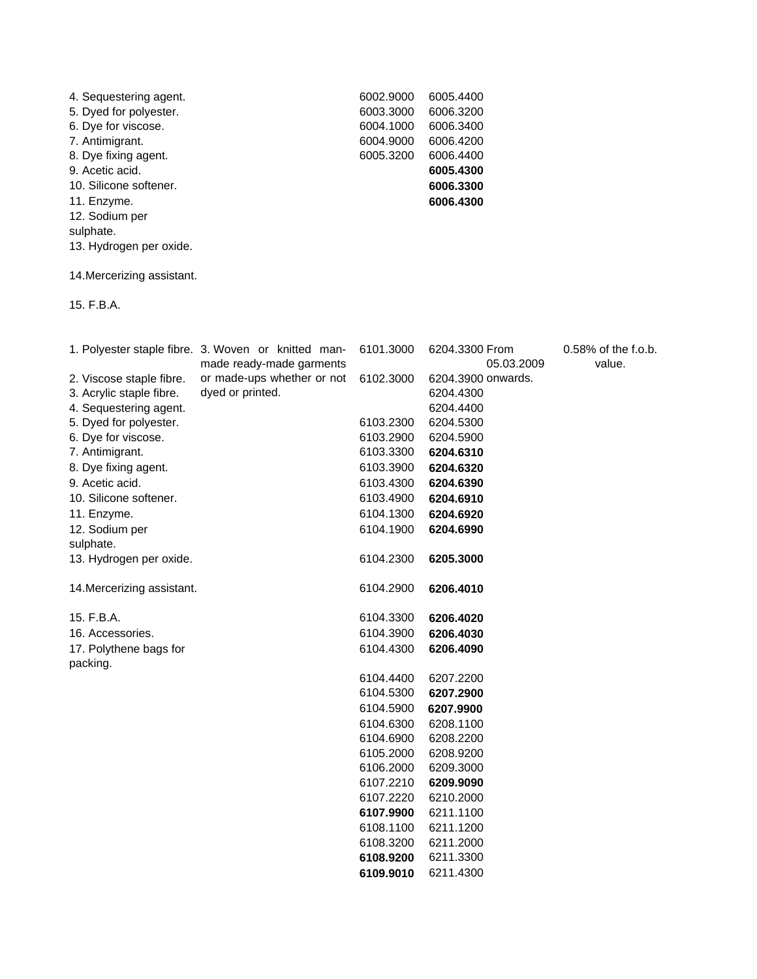| 4. Sequestering agent.  | 6002.9000 | 6005.4400 |
|-------------------------|-----------|-----------|
| 5. Dyed for polyester.  | 6003.3000 | 6006.3200 |
| 6. Dye for viscose.     | 6004.1000 | 6006.3400 |
| 7. Antimigrant.         | 6004.9000 | 6006.4200 |
| 8. Dye fixing agent.    | 6005.3200 | 6006.4400 |
| 9. Acetic acid.         |           | 6005.4300 |
| 10. Silicone softener.  |           | 6006.3300 |
| 11. Enzyme.             |           | 6006.4300 |
| 12. Sodium per          |           |           |
| sulphate.               |           |           |
| 13. Hydrogen per oxide. |           |           |
|                         |           |           |
|                         |           |           |

14.Mercerizing assistant.

15. F.B.A.

|                            | 1. Polyester staple fibre. 3. Woven or knitted man- | 6101.3000 | 6204.3300 From     | 0.58% of the f.o.b. |
|----------------------------|-----------------------------------------------------|-----------|--------------------|---------------------|
|                            | made ready-made garments                            |           | 05.03.2009         | value.              |
| 2. Viscose staple fibre.   | or made-ups whether or not                          | 6102.3000 | 6204.3900 onwards. |                     |
| 3. Acrylic staple fibre.   | dyed or printed.                                    |           | 6204.4300          |                     |
| 4. Sequestering agent.     |                                                     |           | 6204.4400          |                     |
| 5. Dyed for polyester.     |                                                     | 6103.2300 | 6204.5300          |                     |
| 6. Dye for viscose.        |                                                     | 6103.2900 | 6204.5900          |                     |
| 7. Antimigrant.            |                                                     | 6103.3300 | 6204.6310          |                     |
| 8. Dye fixing agent.       |                                                     | 6103.3900 | 6204.6320          |                     |
| 9. Acetic acid.            |                                                     | 6103.4300 | 6204.6390          |                     |
| 10. Silicone softener.     |                                                     | 6103.4900 | 6204.6910          |                     |
| 11. Enzyme.                |                                                     | 6104.1300 | 6204.6920          |                     |
| 12. Sodium per             |                                                     | 6104.1900 | 6204.6990          |                     |
| sulphate.                  |                                                     |           |                    |                     |
| 13. Hydrogen per oxide.    |                                                     | 6104.2300 | 6205.3000          |                     |
| 14. Mercerizing assistant. |                                                     | 6104.2900 | 6206.4010          |                     |
| 15. F.B.A.                 |                                                     | 6104.3300 | 6206.4020          |                     |
| 16. Accessories.           |                                                     | 6104.3900 | 6206.4030          |                     |
| 17. Polythene bags for     |                                                     | 6104.4300 | 6206.4090          |                     |
| packing.                   |                                                     |           |                    |                     |
|                            |                                                     | 6104.4400 | 6207.2200          |                     |
|                            |                                                     | 6104.5300 | 6207.2900          |                     |
|                            |                                                     | 6104.5900 | 6207.9900          |                     |
|                            |                                                     | 6104.6300 | 6208.1100          |                     |
|                            |                                                     | 6104.6900 | 6208.2200          |                     |
|                            |                                                     | 6105.2000 | 6208.9200          |                     |
|                            |                                                     | 6106.2000 | 6209.3000          |                     |
|                            |                                                     | 6107.2210 | 6209.9090          |                     |
|                            |                                                     | 6107.2220 | 6210.2000          |                     |
|                            |                                                     | 6107.9900 | 6211.1100          |                     |
|                            |                                                     | 6108.1100 | 6211.1200          |                     |
|                            |                                                     | 6108.3200 | 6211.2000          |                     |
|                            |                                                     | 6108.9200 | 6211.3300          |                     |
|                            |                                                     | 6109.9010 | 6211.4300          |                     |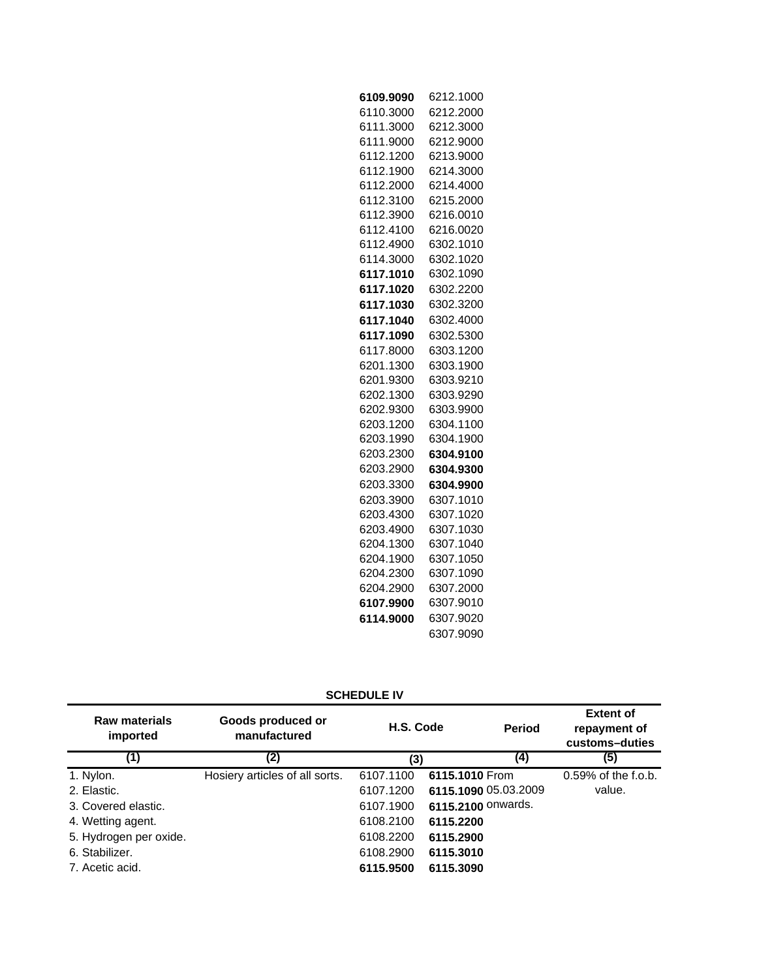| 6109.9090 | 6212.1000 |
|-----------|-----------|
| 6110.3000 | 6212.2000 |
| 6111.3000 | 6212.3000 |
| 6111.9000 | 6212.9000 |
| 6112.1200 | 6213.9000 |
| 6112.1900 | 6214.3000 |
| 6112.2000 | 6214.4000 |
| 6112.3100 | 6215.2000 |
| 6112.3900 | 6216.0010 |
| 6112.4100 | 6216.0020 |
| 6112.4900 | 6302.1010 |
| 6114.3000 | 6302.1020 |
| 6117.1010 | 6302.1090 |
| 6117.1020 | 6302.2200 |
| 6117.1030 | 6302.3200 |
| 6117.1040 | 6302.4000 |
| 6117.1090 | 6302.5300 |
| 6117.8000 | 6303.1200 |
| 6201.1300 | 6303.1900 |
| 6201.9300 | 6303.9210 |
| 6202.1300 | 6303.9290 |
| 6202.9300 | 6303.9900 |
| 6203.1200 | 6304.1100 |
| 6203.1990 | 6304.1900 |
| 6203.2300 | 6304.9100 |
| 6203.2900 | 6304.9300 |
| 6203.3300 | 6304.9900 |
| 6203.3900 | 6307.1010 |
| 6203.4300 | 6307.1020 |
| 6203.4900 | 6307.1030 |
| 6204.1300 | 6307.1040 |
| 6204.1900 | 6307.1050 |
| 6204.2300 | 6307.1090 |
| 6204.2900 | 6307.2000 |
| 6107.9900 | 6307.9010 |
| 6114.9000 | 6307.9020 |
|           | 6307.9090 |

| <b>Raw materials</b><br>imported | Goods produced or<br>manufactured | H.S. Code | <b>Period</b>        | <b>Extent of</b><br>repayment of<br>customs-duties |
|----------------------------------|-----------------------------------|-----------|----------------------|----------------------------------------------------|
| (1)                              | (2)                               | (3)       | (4)                  | (5)                                                |
| 1. Nylon.                        | Hosiery articles of all sorts.    | 6107.1100 | 6115.1010 From       | 0.59% of the f.o.b.                                |
| 2. Elastic.                      |                                   | 6107.1200 | 6115.1090 05.03.2009 | value.                                             |
| 3. Covered elastic.              |                                   | 6107.1900 | 6115.2100 Onwards.   |                                                    |
| 4. Wetting agent.                |                                   | 6108.2100 | 6115.2200            |                                                    |
| 5. Hydrogen per oxide.           |                                   | 6108.2200 | 6115.2900            |                                                    |
| 6. Stabilizer.                   |                                   | 6108.2900 | 6115.3010            |                                                    |
| 7. Acetic acid.                  |                                   | 6115.9500 | 6115.3090            |                                                    |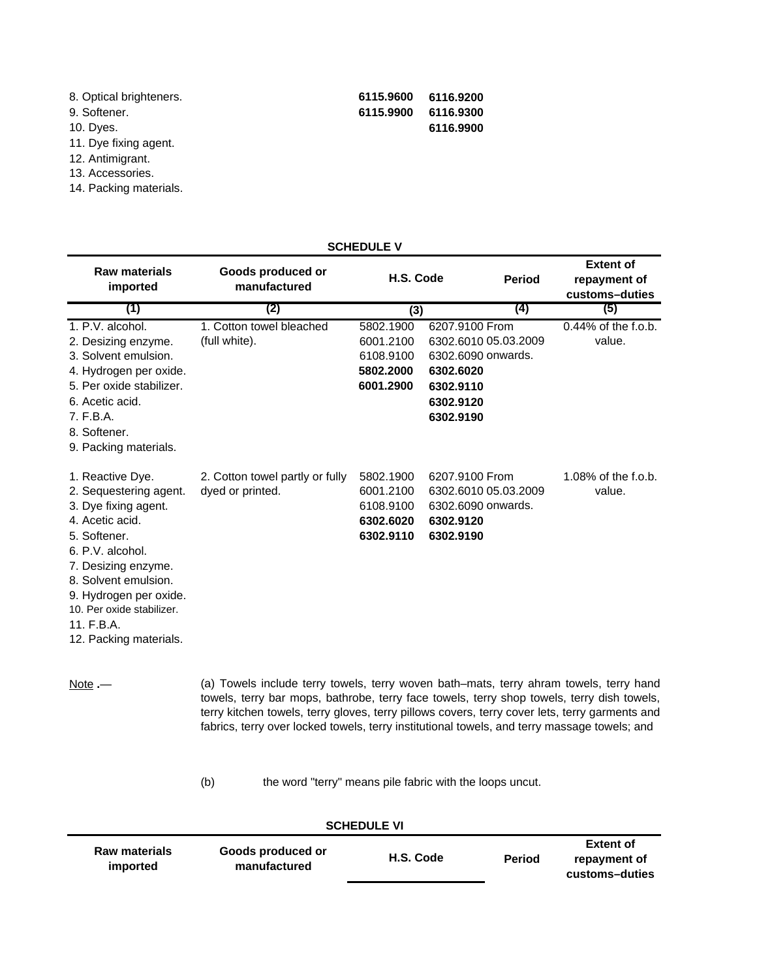| 8. Optical brighteners. | 6115.9600 | 6116.9200 |
|-------------------------|-----------|-----------|
| 9. Softener.            | 6115.9900 | 6116.9300 |
| 10. Dyes.               |           | 6116.9900 |
| 11 Dive fixing agent    |           |           |

- 11. Dye fixing agent.
- 12. Antimigrant. 13. Accessories.
- 14. Packing materials.

| <b>SCHEDULE V</b>                                                                                                                                                                                                                                                       |                                                                                                                                                                                                                                                                                                                                                                                        |                                                               |                                                                                                                  |               |                                                    |
|-------------------------------------------------------------------------------------------------------------------------------------------------------------------------------------------------------------------------------------------------------------------------|----------------------------------------------------------------------------------------------------------------------------------------------------------------------------------------------------------------------------------------------------------------------------------------------------------------------------------------------------------------------------------------|---------------------------------------------------------------|------------------------------------------------------------------------------------------------------------------|---------------|----------------------------------------------------|
| <b>Raw materials</b><br>imported                                                                                                                                                                                                                                        | Goods produced or<br>manufactured                                                                                                                                                                                                                                                                                                                                                      | H.S. Code                                                     |                                                                                                                  | <b>Period</b> | <b>Extent of</b><br>repayment of<br>customs-duties |
| (1)                                                                                                                                                                                                                                                                     | (2)                                                                                                                                                                                                                                                                                                                                                                                    | (3)                                                           |                                                                                                                  | (4)           | (5)                                                |
| 1. P.V. alcohol.<br>2. Desizing enzyme.<br>3. Solvent emulsion.<br>4. Hydrogen per oxide.<br>5. Per oxide stabilizer.<br>6. Acetic acid.<br>7. F.B.A.<br>8. Softener.<br>9. Packing materials.                                                                          | 1. Cotton towel bleached<br>(full white).                                                                                                                                                                                                                                                                                                                                              | 5802.1900<br>6001.2100<br>6108.9100<br>5802.2000<br>6001.2900 | 6207.9100 From<br>6302.6010 05.03.2009<br>6302.6090 onwards.<br>6302.6020<br>6302.9110<br>6302.9120<br>6302.9190 |               | $0.44\%$ of the f.o.b.<br>value.                   |
| 1. Reactive Dye.<br>2. Sequestering agent.<br>3. Dye fixing agent.<br>4. Acetic acid.<br>5. Softener.<br>6. P.V. alcohol.<br>7. Desizing enzyme.<br>8. Solvent emulsion.<br>9. Hydrogen per oxide.<br>10. Per oxide stabilizer.<br>11. F.B.A.<br>12. Packing materials. | 2. Cotton towel partly or fully<br>dyed or printed.                                                                                                                                                                                                                                                                                                                                    | 5802.1900<br>6001.2100<br>6108.9100<br>6302.6020<br>6302.9110 | 6207.9100 From<br>6302.6010 05.03.2009<br>6302.6090 onwards.<br>6302.9120<br>6302.9190                           |               | $1.08\%$ of the f.o.b.<br>value.                   |
| Note $-$                                                                                                                                                                                                                                                                | (a) Towels include terry towels, terry woven bath–mats, terry ahram towels, terry hand<br>towels, terry bar mops, bathrobe, terry face towels, terry shop towels, terry dish towels,<br>terry kitchen towels, terry gloves, terry pillows covers, terry cover lets, terry garments and<br>fabrics, terry over locked towels, terry institutional towels, and terry massage towels; and |                                                               |                                                                                                                  |               |                                                    |

(b) the word "terry" means pile fabric with the loops uncut.

| <b>SCHEDULE VI</b>               |                                   |           |               |                                                    |  |
|----------------------------------|-----------------------------------|-----------|---------------|----------------------------------------------------|--|
| <b>Raw materials</b><br>imported | Goods produced or<br>manufactured | H.S. Code | <b>Period</b> | <b>Extent of</b><br>repayment of<br>customs-duties |  |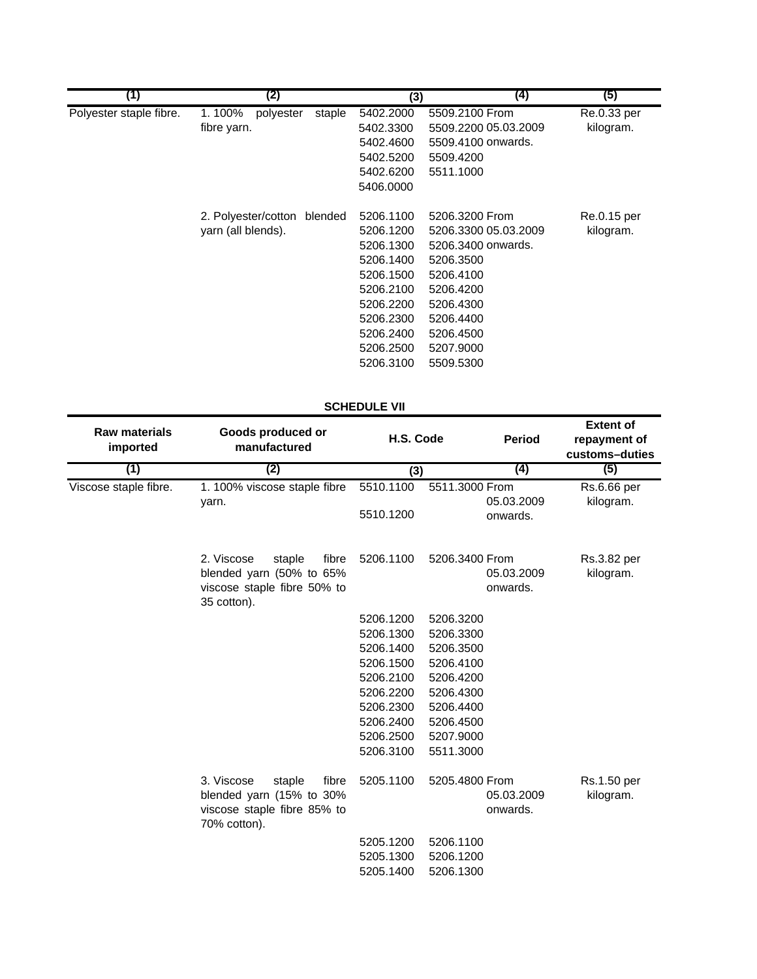| (1)                     | (2)                 |         | (3)       | (4)                  | (5)         |
|-------------------------|---------------------|---------|-----------|----------------------|-------------|
| Polyester staple fibre. | polyester<br>1.100% | staple  | 5402.2000 | 5509.2100 From       | Re.0.33 per |
|                         | fibre yarn.         |         | 5402.3300 | 5509.2200 05.03.2009 | kilogram.   |
|                         |                     |         | 5402.4600 | 5509.4100 onwards.   |             |
|                         |                     |         | 5402.5200 | 5509.4200            |             |
|                         |                     |         | 5402.6200 | 5511.1000            |             |
|                         |                     |         | 5406.0000 |                      |             |
|                         | 2. Polyester/cotton | blended | 5206.1100 | 5206.3200 From       | Re.0.15 per |
|                         | yarn (all blends).  |         | 5206.1200 | 5206.3300 05.03.2009 | kilogram.   |
|                         |                     |         | 5206.1300 | 5206.3400 onwards.   |             |
|                         |                     |         | 5206.1400 | 5206.3500            |             |
|                         |                     |         | 5206.1500 | 5206.4100            |             |
|                         |                     |         | 5206.2100 | 5206.4200            |             |
|                         |                     |         | 5206.2200 | 5206.4300            |             |
|                         |                     |         | 5206.2300 | 5206.4400            |             |
|                         |                     |         | 5206.2400 | 5206.4500            |             |
|                         |                     |         | 5206.2500 | 5207.9000            |             |
|                         |                     |         | 5206.3100 | 5509.5300            |             |

## **SCHEDULE VII**

| <b>Raw materials</b><br>imported | Goods produced or<br>manufactured                                                                        | H.S. Code              | <b>Period</b>                            | <b>Extent of</b><br>repayment of<br>customs-duties |  |
|----------------------------------|----------------------------------------------------------------------------------------------------------|------------------------|------------------------------------------|----------------------------------------------------|--|
| (1)<br>Viscose staple fibre.     | (2)                                                                                                      | (3)                    | (4)                                      | (5)                                                |  |
|                                  | 1. 100% viscose staple fibre<br>yarn.                                                                    | 5510.1100<br>5510.1200 | 5511.3000 From<br>05.03.2009<br>onwards. | Rs.6.66 per<br>kilogram.                           |  |
|                                  | 2. Viscose<br>fibre<br>staple<br>blended yarn (50% to 65%<br>viscose staple fibre 50% to<br>35 cotton).  | 5206.1100              | 5206.3400 From<br>05.03.2009<br>onwards. | Rs.3.82 per<br>kilogram.                           |  |
|                                  |                                                                                                          | 5206.1200              | 5206.3200                                |                                                    |  |
|                                  |                                                                                                          | 5206.1300              | 5206.3300                                |                                                    |  |
|                                  |                                                                                                          | 5206.1400              | 5206.3500                                |                                                    |  |
|                                  |                                                                                                          | 5206.1500              | 5206.4100                                |                                                    |  |
|                                  |                                                                                                          | 5206.2100              | 5206.4200                                |                                                    |  |
|                                  |                                                                                                          | 5206.2200              | 5206.4300                                |                                                    |  |
|                                  |                                                                                                          | 5206.2300              | 5206.4400                                |                                                    |  |
|                                  |                                                                                                          | 5206.2400              | 5206.4500                                |                                                    |  |
|                                  |                                                                                                          | 5206.2500              | 5207.9000                                |                                                    |  |
|                                  |                                                                                                          | 5206.3100              | 5511.3000                                |                                                    |  |
|                                  | 3. Viscose<br>fibre<br>staple<br>blended yarn (15% to 30%<br>viscose staple fibre 85% to<br>70% cotton). | 5205.1100              | 5205.4800 From<br>05.03.2009<br>onwards. | Rs.1.50 per<br>kilogram.                           |  |
|                                  |                                                                                                          | 5205.1200<br>5205.1300 | 5206.1100<br>5206.1200                   |                                                    |  |
|                                  |                                                                                                          | 5205.1400              | 5206.1300                                |                                                    |  |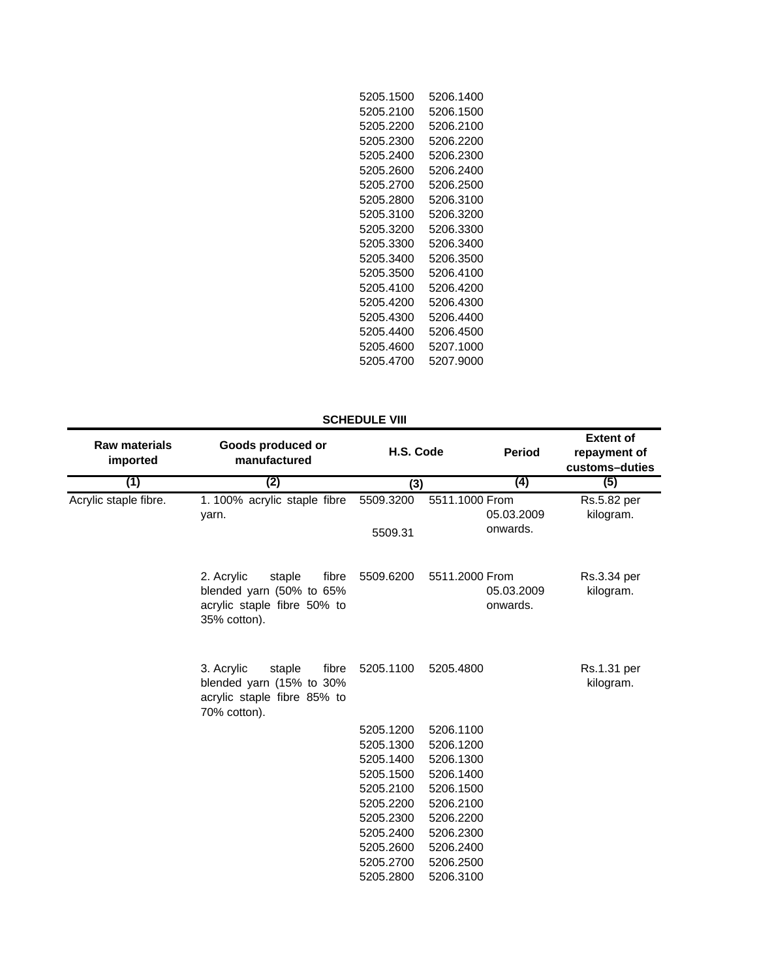| 5205.1500 | 5206.1400 |
|-----------|-----------|
| 5205.2100 | 5206.1500 |
| 5205.2200 | 5206.2100 |
| 5205.2300 | 5206.2200 |
| 5205.2400 | 5206.2300 |
| 5205.2600 | 5206.2400 |
| 5205.2700 | 5206.2500 |
| 5205.2800 | 5206.3100 |
| 5205.3100 | 5206.3200 |
| 5205.3200 | 5206.3300 |
| 5205.3300 | 5206.3400 |
| 5205.3400 | 5206.3500 |
| 5205.3500 | 5206.4100 |
| 5205.4100 | 5206.4200 |
| 5205.4200 | 5206.4300 |
| 5205.4300 | 5206.4400 |
| 5205.4400 | 5206.4500 |
| 5205.4600 | 5207.1000 |
| 5205.4700 | 5207.9000 |

## **SCHEDULE VIII**

| <b>Raw materials</b><br>imported | Goods produced or<br>manufactured                                                                        | H.S. Code              | <b>Period</b>                            | <b>Extent of</b><br>repayment of<br>customs-duties |
|----------------------------------|----------------------------------------------------------------------------------------------------------|------------------------|------------------------------------------|----------------------------------------------------|
| (1)                              | (2)                                                                                                      | (3)                    | (4)                                      | (5)                                                |
| Acrylic staple fibre.            | 1.100% acrylic staple fibre<br>yarn.                                                                     | 5509.3200<br>5509.31   | 5511.1000 From<br>05.03.2009<br>onwards. | Rs.5.82 per<br>kilogram.                           |
|                                  | 2. Acrylic<br>staple<br>fibre<br>blended yarn (50% to 65%<br>acrylic staple fibre 50% to<br>35% cotton). | 5509.6200              | 5511.2000 From<br>05.03.2009<br>onwards. | Rs.3.34 per<br>kilogram.                           |
|                                  | 3. Acrylic<br>fibre<br>staple<br>blended yarn (15% to 30%<br>acrylic staple fibre 85% to<br>70% cotton). | 5205.1100              | 5205.4800                                | Rs.1.31 per<br>kilogram.                           |
|                                  |                                                                                                          | 5205.1200              | 5206.1100                                |                                                    |
|                                  |                                                                                                          | 5205.1300              | 5206.1200                                |                                                    |
|                                  |                                                                                                          | 5205.1400              | 5206.1300                                |                                                    |
|                                  |                                                                                                          | 5205.1500              | 5206.1400                                |                                                    |
|                                  |                                                                                                          | 5205.2100              | 5206.1500                                |                                                    |
|                                  |                                                                                                          | 5205.2200              | 5206.2100                                |                                                    |
|                                  |                                                                                                          | 5205.2300              | 5206.2200                                |                                                    |
|                                  |                                                                                                          | 5205.2400              | 5206.2300                                |                                                    |
|                                  |                                                                                                          | 5205.2600<br>5205.2700 | 5206.2400<br>5206.2500                   |                                                    |
|                                  |                                                                                                          | 5205.2800              | 5206.3100                                |                                                    |
|                                  |                                                                                                          |                        |                                          |                                                    |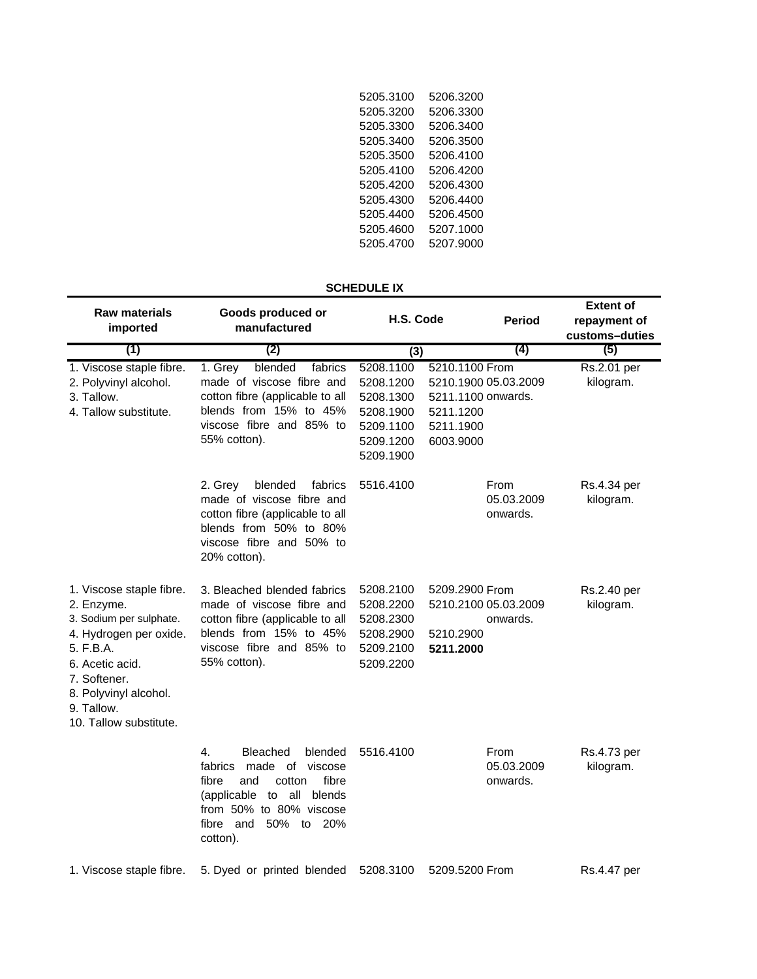| 5206.3200 |
|-----------|
| 5206.3300 |
| 5206.3400 |
| 5206.3500 |
| 5206.4100 |
| 5206 4200 |
| 5206.4300 |
| 5206.4400 |
| 5206.4500 |
| 5207.1000 |
| 5207.9000 |
|           |

# **SCHEDULE IX**

| <b>Raw materials</b><br>imported                                                                                                                                                                             | Goods produced or<br>manufactured                                                                                                                                                               | H.S. Code                                                                               | <b>Period</b>                                                                                       | <b>Extent of</b><br>repayment of<br>customs-duties |
|--------------------------------------------------------------------------------------------------------------------------------------------------------------------------------------------------------------|-------------------------------------------------------------------------------------------------------------------------------------------------------------------------------------------------|-----------------------------------------------------------------------------------------|-----------------------------------------------------------------------------------------------------|----------------------------------------------------|
| (1)                                                                                                                                                                                                          | (2)                                                                                                                                                                                             | (3)                                                                                     | (4)                                                                                                 | (5)                                                |
| 1. Viscose staple fibre.<br>2. Polyvinyl alcohol.<br>3. Tallow.<br>4. Tallow substitute.                                                                                                                     | blended<br>1. Grey<br>fabrics<br>made of viscose fibre and<br>cotton fibre (applicable to all<br>blends from 15% to 45%<br>viscose fibre and 85% to<br>55% cotton).                             | 5208.1100<br>5208.1200<br>5208.1300<br>5208.1900<br>5209.1100<br>5209.1200<br>5209.1900 | 5210.1100 From<br>5210.1900 05.03.2009<br>5211.1100 onwards.<br>5211.1200<br>5211.1900<br>6003.9000 | Rs.2.01 per<br>kilogram.                           |
|                                                                                                                                                                                                              | fabrics<br>2. Grey<br>blended<br>made of viscose fibre and<br>cotton fibre (applicable to all<br>blends from 50% to 80%<br>viscose fibre and 50% to<br>20% cotton).                             | 5516.4100                                                                               | From<br>05.03.2009<br>onwards.                                                                      | Rs.4.34 per<br>kilogram.                           |
| 1. Viscose staple fibre.<br>2. Enzyme.<br>3. Sodium per sulphate.<br>4. Hydrogen per oxide.<br>5. F.B.A.<br>6. Acetic acid.<br>7. Softener.<br>8. Polyvinyl alcohol.<br>9. Tallow.<br>10. Tallow substitute. | 3. Bleached blended fabrics<br>made of viscose fibre and<br>cotton fibre (applicable to all<br>blends from 15% to 45%<br>viscose fibre and 85% to<br>55% cotton).                               | 5208.2100<br>5208.2200<br>5208.2300<br>5208.2900<br>5209.2100<br>5209.2200              | 5209.2900 From<br>5210.2100 05.03.2009<br>onwards.<br>5210.2900<br>5211.2000                        | Rs.2.40 per<br>kilogram.                           |
|                                                                                                                                                                                                              | 4.<br>Bleached<br>blended<br>fabrics<br>made of<br>viscose<br>fibre<br>fibre<br>and<br>cotton<br>(applicable to all<br>blends<br>from 50% to 80% viscose<br>fibre and<br>50% to 20%<br>cotton). | 5516.4100                                                                               | From<br>05.03.2009<br>onwards.                                                                      | Rs.4.73 per<br>kilogram.                           |
| 1. Viscose staple fibre.                                                                                                                                                                                     | 5. Dyed or printed blended                                                                                                                                                                      | 5208.3100                                                                               | 5209.5200 From                                                                                      | Rs.4.47 per                                        |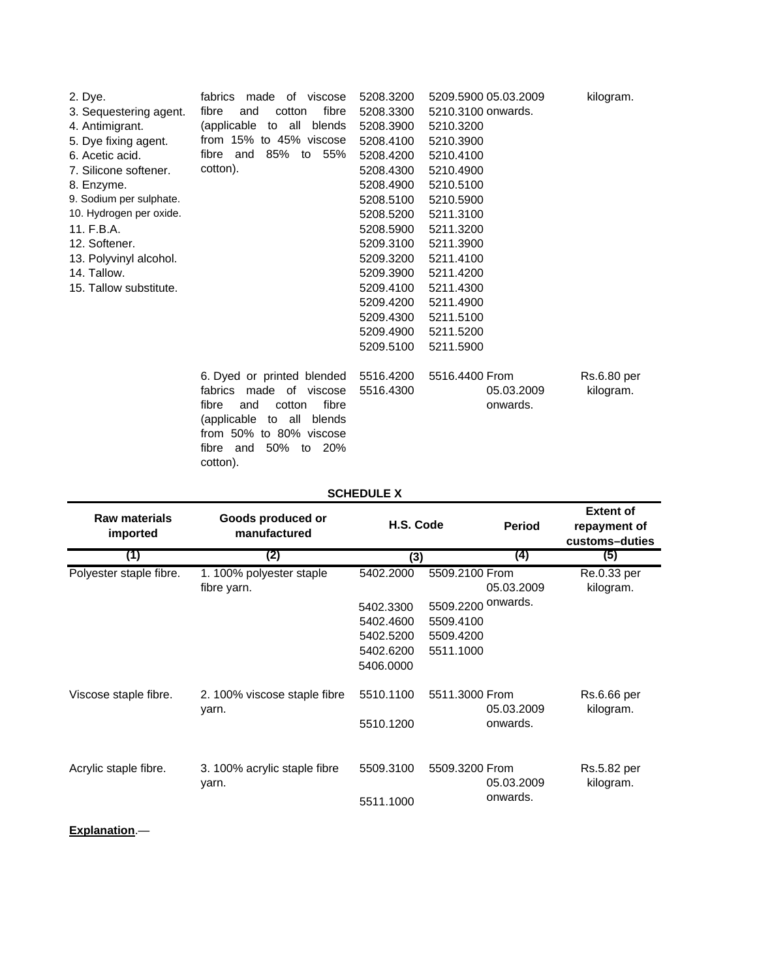| 2. Dye.                 | fabrics<br>made of viscose         | 5208.3200 | 5209.5900 05.03.2009 | kilogram.   |
|-------------------------|------------------------------------|-----------|----------------------|-------------|
| 3. Sequestering agent.  | fibre<br>fibre<br>and<br>cotton    | 5208.3300 | 5210.3100 onwards.   |             |
| 4. Antimigrant.         | (applicable to all blends          | 5208.3900 | 5210.3200            |             |
| 5. Dye fixing agent.    | from 15% to 45% viscose            | 5208.4100 | 5210.3900            |             |
| 6. Acetic acid.         | 85% to 55%<br>fibre and            | 5208.4200 | 5210.4100            |             |
| 7. Silicone softener.   | cotton).                           | 5208.4300 | 5210.4900            |             |
| 8. Enzyme.              |                                    | 5208.4900 | 5210.5100            |             |
| 9. Sodium per sulphate. |                                    | 5208.5100 | 5210.5900            |             |
| 10. Hydrogen per oxide. |                                    | 5208.5200 | 5211.3100            |             |
| 11. F.B.A.              |                                    | 5208.5900 | 5211.3200            |             |
| 12. Softener.           |                                    | 5209.3100 | 5211.3900            |             |
| 13. Polyvinyl alcohol.  |                                    | 5209.3200 | 5211.4100            |             |
| 14. Tallow.             |                                    | 5209.3900 | 5211.4200            |             |
| 15. Tallow substitute.  |                                    | 5209.4100 | 5211.4300            |             |
|                         |                                    | 5209.4200 | 5211.4900            |             |
|                         |                                    | 5209.4300 | 5211.5100            |             |
|                         |                                    | 5209.4900 | 5211.5200            |             |
|                         |                                    | 5209.5100 | 5211.5900            |             |
|                         | 6. Dyed or printed blended         | 5516.4200 | 5516.4400 From       | Rs.6.80 per |
|                         | fabrics made of viscose            | 5516.4300 | 05.03.2009           | kilogram.   |
|                         | fibre<br>fibre<br>cotton<br>and    |           | onwards.             |             |
|                         | (applicable<br>all<br>to<br>blends |           |                      |             |
|                         | from 50% to 80% viscose            |           |                      |             |
|                         | 50%<br>to 20%<br>fibre<br>and      |           |                      |             |

**SCHEDULE X**

cotton).

| <b>Raw materials</b><br>imported | Goods produced or<br>manufactured      | H.S. Code |                    | <b>Period</b>     | <b>Extent of</b><br>repayment of<br>customs-duties |
|----------------------------------|----------------------------------------|-----------|--------------------|-------------------|----------------------------------------------------|
| (1)                              | (2)                                    | (3)       |                    | $\left( 4\right)$ | (5)                                                |
| Polyester staple fibre.          | 1.100% polyester staple<br>fibre yarn. | 5402.2000 | 5509.2100 From     | 05.03.2009        | Re.0.33 per<br>kilogram.                           |
|                                  |                                        | 5402.3300 | 5509.2200 onwards. |                   |                                                    |
|                                  |                                        | 5402.4600 | 5509.4100          |                   |                                                    |
|                                  |                                        | 5402.5200 | 5509.4200          |                   |                                                    |
|                                  |                                        | 5402.6200 | 5511.1000          |                   |                                                    |
|                                  |                                        | 5406.0000 |                    |                   |                                                    |
| Viscose staple fibre.            | 2. 100% viscose staple fibre<br>yarn.  | 5510.1100 | 5511.3000 From     | 05.03.2009        | Rs.6.66 per<br>kilogram.                           |
|                                  |                                        | 5510.1200 |                    | onwards.          |                                                    |
| Acrylic staple fibre.            | 3. 100% acrylic staple fibre           | 5509.3100 | 5509.3200 From     | 05.03.2009        | Rs.5.82 per                                        |
|                                  | yarn.                                  | 5511.1000 |                    | onwards.          | kilogram.                                          |

**Explanation**.—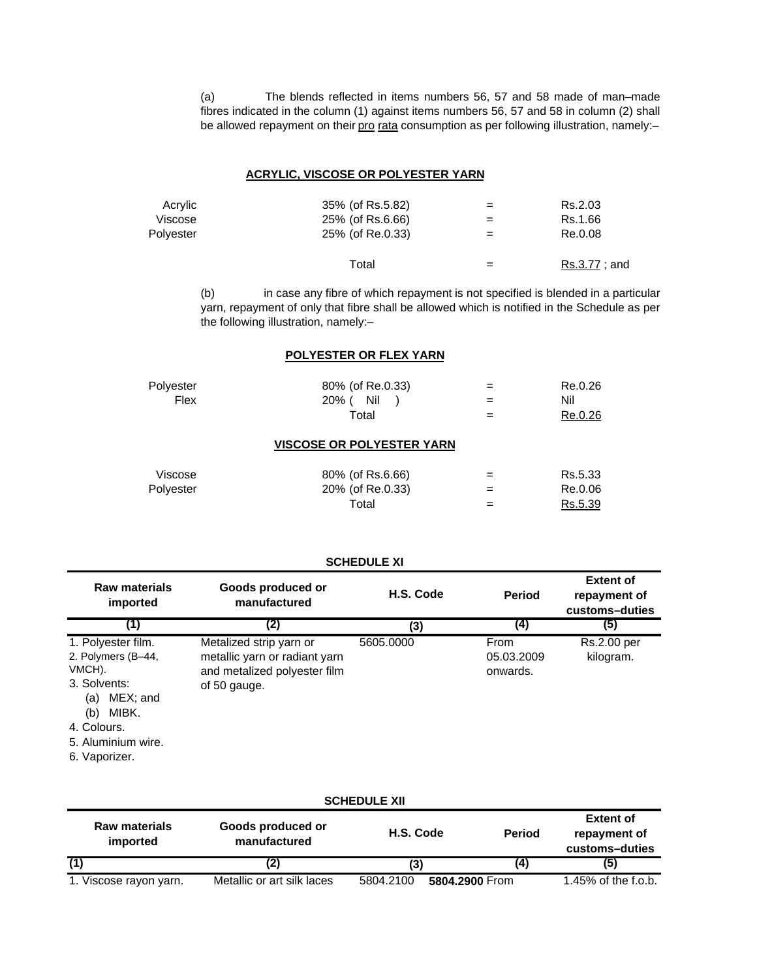(a) The blends reflected in items numbers 56, 57 and 58 made of man–made fibres indicated in the column (1) against items numbers 56, 57 and 58 in column (2) shall be allowed repayment on their pro rata consumption as per following illustration, namely:-

## **ACRYLIC, VISCOSE OR POLYESTER YARN**

| Acrylic   | 35% (of Rs.5.82) | $=$ | Rs.2.03      |
|-----------|------------------|-----|--------------|
| Viscose   | 25% (of Rs.6.66) | $=$ | Rs.1.66      |
| Polvester | 25% (of Re.0.33) | $=$ | Re.0.08      |
|           | Total            |     | Rs.3.77; and |

(b) in case any fibre of which repayment is not specified is blended in a particular yarn, repayment of only that fibre shall be allowed which is notified in the Schedule as per the following illustration, namely:–

## **POLYESTER OR FLEX YARN**

| Polyester | 80% (of Re.0.33)                 | Re.0.26 |
|-----------|----------------------------------|---------|
| Flex      | Nil<br>20% (                     | Nil     |
|           | Total                            | Re.0.26 |
|           | <b>VISCOSE OR POLYESTER YARN</b> |         |
| Viscose   | 80% (of Rs.6.66)                 | Rs.5.33 |
| Polyester | 20% (of Re.0.33)                 | Re.0.06 |
|           | Total                            | Rs.5.39 |

#### **Raw materials imported Goods produced or manufactured Period Extent of repayment of customs–duties (1) (2) (4) (5)** 1. Polyester film. 5605.0000 Metalized strip yarn or 2. Polymers (B–44, VMCH). 3. Solvents: (a) MEX; and (b) MIBK. 4. Colours. 5. Aluminium wire. 6. Vaporizer. **H.S. Code (3) SCHEDULE XI** metallic yarn or radiant yarn and metalized polyester film of 50 gauge. From 05.03.2009 onwards. Rs.2.00 per kilogram.

| <b>SCHEDULE XII</b>              |                                   |                             |               |                                                    |  |  |
|----------------------------------|-----------------------------------|-----------------------------|---------------|----------------------------------------------------|--|--|
| <b>Raw materials</b><br>imported | Goods produced or<br>manufactured | H.S. Code                   | <b>Period</b> | <b>Extent of</b><br>repayment of<br>customs-duties |  |  |
|                                  | (2)                               | (3)                         | (4)           | (5)                                                |  |  |
| 1. Viscose rayon yarn.           | Metallic or art silk laces        | 5804.2100<br>5804.2900 From |               | 1.45% of the f.o.b.                                |  |  |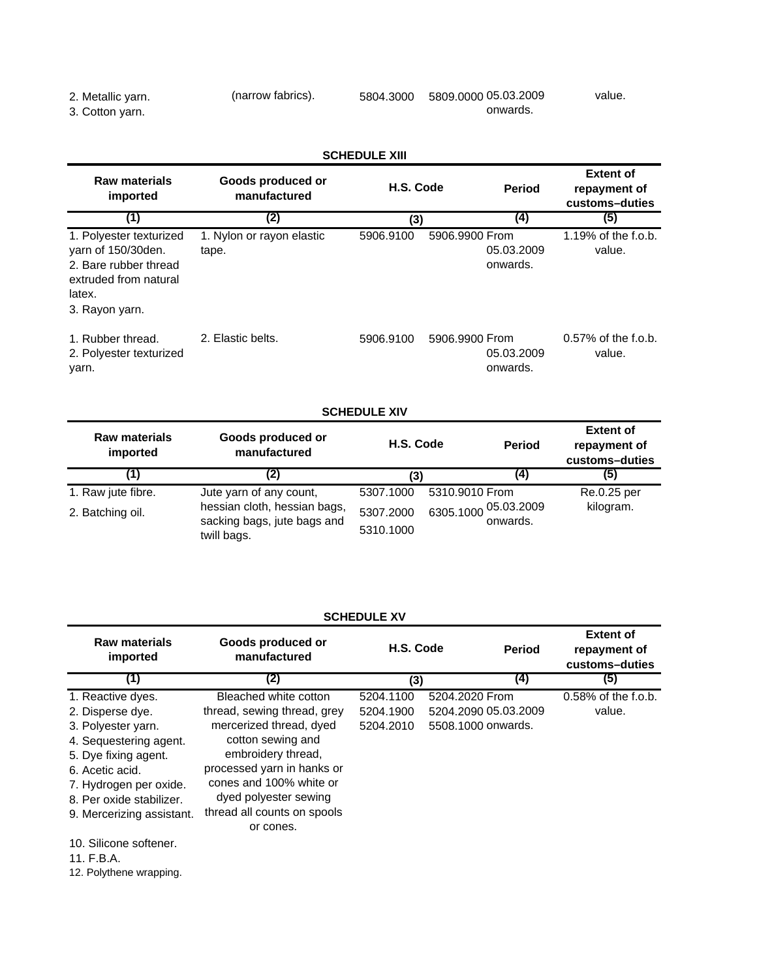#### 2. Metallic yarn. 5804.3000 5809.0000 (narrow fabrics). 05.03.2009 2. Metallic yarn.<br>3. Cotton yarn. onwards. value.

| <b>SCHEDULE XIII</b>                                                                                                        |                                    |           |                                          |                                                    |  |
|-----------------------------------------------------------------------------------------------------------------------------|------------------------------------|-----------|------------------------------------------|----------------------------------------------------|--|
| <b>Raw materials</b><br>imported                                                                                            | Goods produced or<br>manufactured  | H.S. Code | <b>Period</b>                            | <b>Extent of</b><br>repayment of<br>customs-duties |  |
| (1)                                                                                                                         | (2)                                | (3)       | (4)                                      | (5)                                                |  |
| 1. Polyester texturized<br>varn of 150/30den.<br>2. Bare rubber thread<br>extruded from natural<br>latex.<br>3. Rayon yarn. | 1. Nylon or rayon elastic<br>tape. | 5906.9100 | 5906.9900 From<br>05.03.2009<br>onwards. | 1.19% of the f.o.b.<br>value.                      |  |
| 1. Rubber thread.<br>2. Polyester texturized<br>yarn.                                                                       | 2. Elastic belts.                  | 5906.9100 | 5906.9900 From<br>05.03.2009<br>onwards. | $0.57\%$ of the f.o.b.<br>value.                   |  |

# **SCHEDULE XIV**

| <b>Raw materials</b><br>imported | Goods produced or<br>manufactured                                          | H.S. Code              | <b>Period</b>                       | <b>Extent of</b><br>repayment of<br>customs-duties |
|----------------------------------|----------------------------------------------------------------------------|------------------------|-------------------------------------|----------------------------------------------------|
| [1]                              | 2)                                                                         | (3)                    | (4)                                 | (5)                                                |
| 1. Raw jute fibre.               | Jute yarn of any count,                                                    | 5307.1000              | 5310.9010 From                      | Re.0.25 per                                        |
| 2. Batching oil.                 | hessian cloth, hessian bags,<br>sacking bags, jute bags and<br>twill bags. | 5307.2000<br>5310.1000 | 05.03.2009<br>6305.1000<br>onwards. | kilogram.                                          |

| <b>SCHEDULE XV</b>                                                                                                                                   |                                                                                                                                                                       |                                     |                                                              |               |                                                    |
|------------------------------------------------------------------------------------------------------------------------------------------------------|-----------------------------------------------------------------------------------------------------------------------------------------------------------------------|-------------------------------------|--------------------------------------------------------------|---------------|----------------------------------------------------|
| <b>Raw materials</b><br>imported                                                                                                                     | Goods produced or<br>manufactured                                                                                                                                     | H.S. Code                           |                                                              | <b>Period</b> | <b>Extent of</b><br>repayment of<br>customs-duties |
| (1)                                                                                                                                                  | (2)                                                                                                                                                                   | (3)                                 |                                                              | (4)           | (5)                                                |
| 1. Reactive dyes.<br>2. Disperse dye.<br>3. Polyester yarn.                                                                                          | Bleached white cotton<br>thread, sewing thread, grey<br>mercerized thread, dyed                                                                                       | 5204.1100<br>5204.1900<br>5204.2010 | 5204.2020 From<br>5204.2090 05.03.2009<br>5508.1000 onwards. |               | $0.58\%$ of the f.o.b.<br>value.                   |
| 4. Sequestering agent.<br>5. Dye fixing agent.<br>6. Acetic acid.<br>7. Hydrogen per oxide.<br>8. Per oxide stabilizer.<br>9. Mercerizing assistant. | cotton sewing and<br>embroidery thread,<br>processed yarn in hanks or<br>cones and 100% white or<br>dyed polyester sewing<br>thread all counts on spools<br>or cones. |                                     |                                                              |               |                                                    |
| 10. Silicone softener.<br>11. F.B.A.                                                                                                                 |                                                                                                                                                                       |                                     |                                                              |               |                                                    |

12. Polythene wrapping.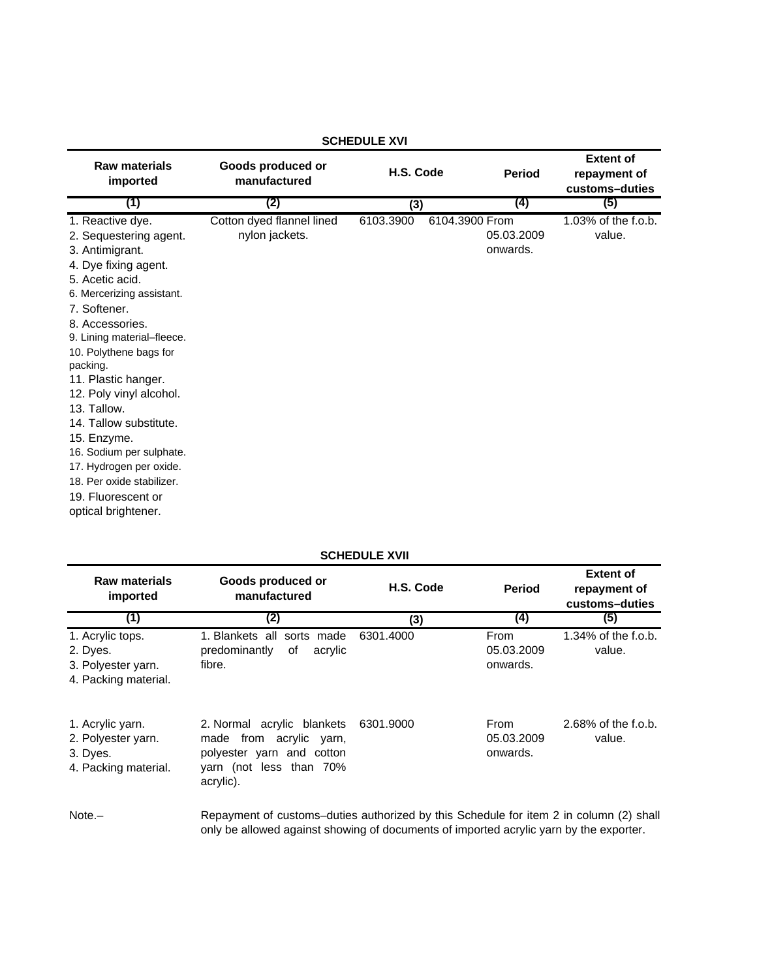| <b>Raw materials</b><br>imported | Goods produced or<br>manufactured | H.S. Code |                | <b>Period</b> | <b>Extent of</b><br>repayment of<br>customs-duties |
|----------------------------------|-----------------------------------|-----------|----------------|---------------|----------------------------------------------------|
| (1)                              | (2)                               | (3)       |                | (4)           | (5)                                                |
| 1. Reactive dye.                 | Cotton dyed flannel lined         | 6103.3900 | 6104.3900 From |               | 1.03% of the f.o.b.                                |
| 2. Sequestering agent.           | nylon jackets.                    |           |                | 05.03.2009    | value.                                             |
| 3. Antimigrant.                  |                                   |           |                | onwards.      |                                                    |
| 4. Dye fixing agent.             |                                   |           |                |               |                                                    |
| 5. Acetic acid.                  |                                   |           |                |               |                                                    |
| 6. Mercerizing assistant.        |                                   |           |                |               |                                                    |
| 7. Softener.                     |                                   |           |                |               |                                                    |
| 8. Accessories.                  |                                   |           |                |               |                                                    |
| 9. Lining material-fleece.       |                                   |           |                |               |                                                    |
| 10. Polythene bags for           |                                   |           |                |               |                                                    |
| packing.                         |                                   |           |                |               |                                                    |
| 11. Plastic hanger.              |                                   |           |                |               |                                                    |
| 12. Poly vinyl alcohol.          |                                   |           |                |               |                                                    |
| 13. Tallow.                      |                                   |           |                |               |                                                    |
| 14. Tallow substitute.           |                                   |           |                |               |                                                    |
| 15. Enzyme.                      |                                   |           |                |               |                                                    |
| 16. Sodium per sulphate.         |                                   |           |                |               |                                                    |
| 17. Hydrogen per oxide.          |                                   |           |                |               |                                                    |
| 18. Per oxide stabilizer.        |                                   |           |                |               |                                                    |
| 19. Fluorescent or               |                                   |           |                |               |                                                    |
| optical brightener.              |                                   |           |                |               |                                                    |

## **SCHEDULE XVII**

| <b>Raw materials</b><br>imported                                           | Goods produced or<br>manufactured                                                                                                                                                | H.S. Code | <b>Period</b>                  | <b>Extent of</b><br>repayment of<br>customs-duties |
|----------------------------------------------------------------------------|----------------------------------------------------------------------------------------------------------------------------------------------------------------------------------|-----------|--------------------------------|----------------------------------------------------|
| (1)                                                                        | (2)                                                                                                                                                                              | (3)       | (4)                            | (5)                                                |
| 1. Acrylic tops.<br>2. Dyes.<br>3. Polyester yarn.<br>4. Packing material. | 1. Blankets all sorts made<br>predominantly<br>of<br>acrylic<br>fibre.                                                                                                           | 6301.4000 | From<br>05.03.2009<br>onwards. | $1.34\%$ of the f.o.b.<br>value.                   |
| 1. Acrylic yarn.<br>2. Polyester yarn.<br>3. Dyes.<br>4. Packing material. | 2. Normal acrylic blankets<br>made from acrylic yarn,<br>polyester yarn and cotton<br>yarn (not less than 70%<br>acrylic).                                                       | 6301.9000 | From<br>05.03.2009<br>onwards. | 2.68% of the f.o.b.<br>value.                      |
| $Note. -$                                                                  | Repayment of customs-duties authorized by this Schedule for item 2 in column (2) shall<br>only be allowed against showing of documents of imported acrylic yarn by the exporter. |           |                                |                                                    |

## **SCHEDULE XVI**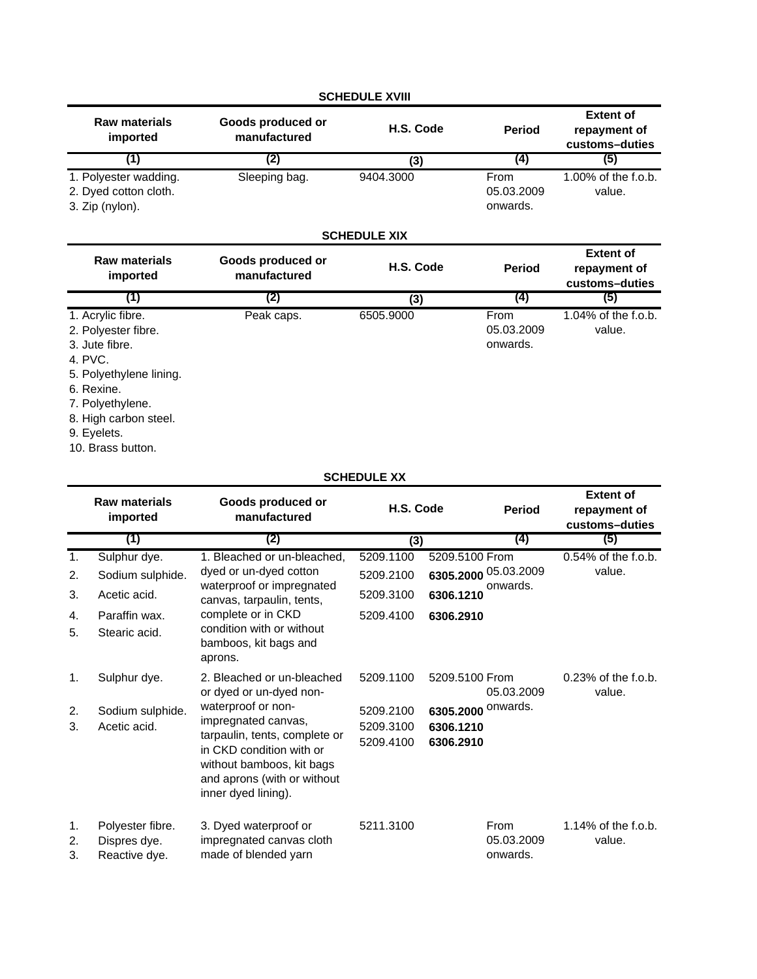|                                                                   |                                   | <b>SCHEDULE XVIII</b> |                                |                                                    |
|-------------------------------------------------------------------|-----------------------------------|-----------------------|--------------------------------|----------------------------------------------------|
| <b>Raw materials</b><br>imported                                  | Goods produced or<br>manufactured | H.S. Code             | <b>Period</b>                  | <b>Extent of</b><br>repayment of<br>customs-duties |
| (1)                                                               | (2)                               | (3)                   | (4)                            | (5)                                                |
| 1. Polyester wadding.<br>2. Dyed cotton cloth.<br>3. Zip (nylon). | Sleeping bag.                     | 9404.3000             | From<br>05.03.2009<br>onwards. | 1.00% of the f.o.b.<br>value.                      |
|                                                                   |                                   | <b>SCHEDULE XIX</b>   |                                |                                                    |
| <b>Raw materials</b><br>imported                                  | Goods produced or<br>manufactured | H.S. Code             | <b>Period</b>                  | <b>Extent of</b><br>repayment of<br>customs-duties |
| (1)                                                               | (2)                               | (3)                   | $\left( 4\right)$              | (5)                                                |
| 1. Acrylic fibre.                                                 | Peak caps.                        | 6505.9000             | From                           | $1.04\%$ of the f.o.b.                             |

05.03.2009 onwards.

value.

| .                   | . van vapor | ----- |
|---------------------|-------------|-------|
| 2. Polyester fibre. |             |       |
| 3. Jute fibre.      |             |       |
| 4. PVC.             |             |       |

- 5. Polyethylene lining.
- 6. Rexine.
- 7. Polyethylene.
- 8. High carbon steel.

9. Eyelets.

10. Brass button.

# **SCHEDULE XX**

|                | <b>Raw materials</b><br>imported                  | Goods produced or<br>manufactured                                                                                                                                                         | H.S. Code                           |                                     | <b>Period</b>                  | <b>Extent of</b><br>repayment of<br>customs-duties |
|----------------|---------------------------------------------------|-------------------------------------------------------------------------------------------------------------------------------------------------------------------------------------------|-------------------------------------|-------------------------------------|--------------------------------|----------------------------------------------------|
|                | (1)                                               | (2)                                                                                                                                                                                       | (3)                                 |                                     | (4)                            | (5)                                                |
| 1.             | Sulphur dye.                                      | 1. Bleached or un-bleached,                                                                                                                                                               | 5209.1100                           | 5209.5100 From                      |                                | 0.54% of the f.o.b.                                |
| 2.             | Sodium sulphide.                                  | dyed or un-dyed cotton                                                                                                                                                                    | 5209.2100                           | 6305.2000 05.03.2009                |                                | value.                                             |
| 3.             | Acetic acid.                                      | waterproof or impregnated<br>canvas, tarpaulin, tents,                                                                                                                                    | 5209.3100                           | 6306.1210                           | onwards.                       |                                                    |
| 4.             | Paraffin wax.                                     | complete or in CKD                                                                                                                                                                        | 5209.4100                           | 6306.2910                           |                                |                                                    |
| 5.             | Stearic acid.                                     | condition with or without<br>bamboos, kit bags and<br>aprons.                                                                                                                             |                                     |                                     |                                |                                                    |
| 1.             | Sulphur dye.                                      | 2. Bleached or un-bleached<br>or dyed or un-dyed non-                                                                                                                                     | 5209.1100                           | 5209.5100 From                      | 05.03.2009                     | $0.23\%$ of the f.o.b.<br>value.                   |
| 2.<br>3.       | Sodium sulphide.<br>Acetic acid.                  | waterproof or non-<br>impregnated canvas,<br>tarpaulin, tents, complete or<br>in CKD condition with or<br>without bamboos, kit bags<br>and aprons (with or without<br>inner dyed lining). | 5209.2100<br>5209.3100<br>5209.4100 | 6305.2000<br>6306.1210<br>6306.2910 | onwards.                       |                                                    |
| 1.<br>2.<br>3. | Polyester fibre.<br>Dispres dye.<br>Reactive dye. | 3. Dyed waterproof or<br>impregnated canvas cloth<br>made of blended yarn                                                                                                                 | 5211.3100                           |                                     | From<br>05.03.2009<br>onwards. | $1.14\%$ of the f.o.b.<br>value.                   |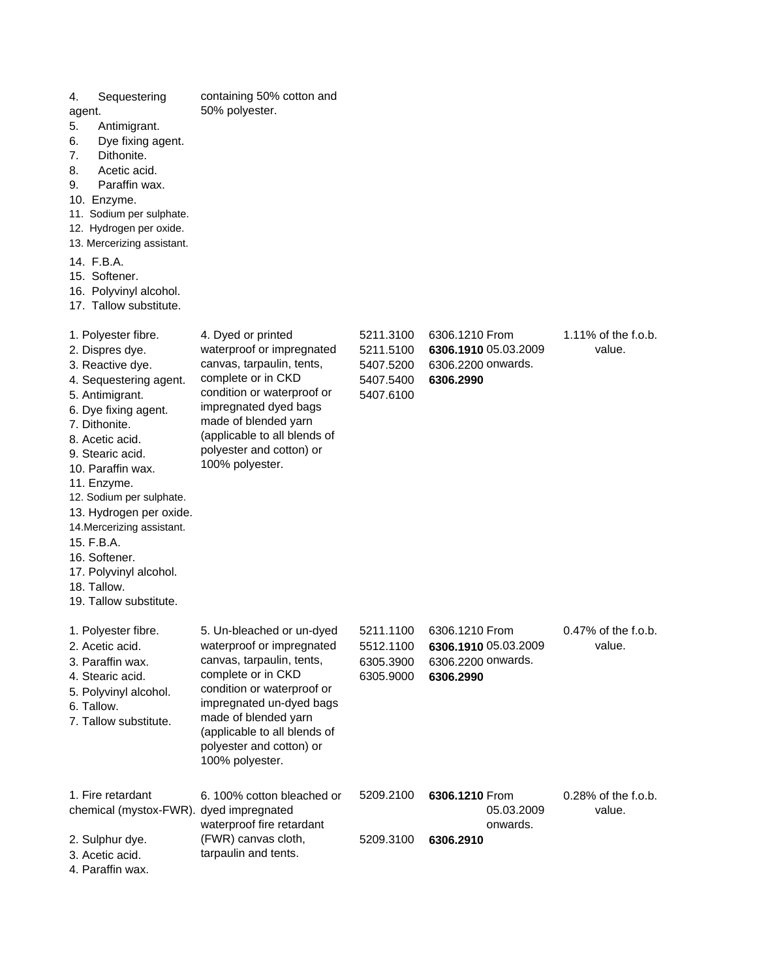| Sequestering<br>4.<br>agent.<br>5.<br>Antimigrant.<br>Dye fixing agent.<br>6.<br>Dithonite.<br>7.<br>8.<br>Acetic acid.<br>9.<br>Paraffin wax.<br>10. Enzyme.<br>11. Sodium per sulphate.<br>12. Hydrogen per oxide.<br>13. Mercerizing assistant.<br>14. F.B.A.<br>15. Softener.<br>16. Polyvinyl alcohol.<br>17. Tallow substitute.                                                                              | containing 50% cotton and<br>50% polyester.                                                                                                                                                                                                                                |                                                               |                                                                                     |                                  |
|--------------------------------------------------------------------------------------------------------------------------------------------------------------------------------------------------------------------------------------------------------------------------------------------------------------------------------------------------------------------------------------------------------------------|----------------------------------------------------------------------------------------------------------------------------------------------------------------------------------------------------------------------------------------------------------------------------|---------------------------------------------------------------|-------------------------------------------------------------------------------------|----------------------------------|
| 1. Polyester fibre.<br>2. Dispres dye.<br>3. Reactive dye.<br>4. Sequestering agent.<br>5. Antimigrant.<br>6. Dye fixing agent.<br>7. Dithonite.<br>8. Acetic acid.<br>9. Stearic acid.<br>10. Paraffin wax.<br>11. Enzyme.<br>12. Sodium per sulphate.<br>13. Hydrogen per oxide.<br>14. Mercerizing assistant.<br>15. F.B.A.<br>16. Softener.<br>17. Polyvinyl alcohol.<br>18. Tallow.<br>19. Tallow substitute. | 4. Dyed or printed<br>waterproof or impregnated<br>canvas, tarpaulin, tents,<br>complete or in CKD<br>condition or waterproof or<br>impregnated dyed bags<br>made of blended yarn<br>(applicable to all blends of<br>polyester and cotton) or<br>100% polyester.           | 5211.3100<br>5211.5100<br>5407.5200<br>5407.5400<br>5407.6100 | 6306.1210 From<br>6306.1910 05.03.2009<br>6306.2200 onwards.<br>6306.2990           | 1.11% of the f.o.b.<br>value.    |
| 1. Polyester fibre.<br>2. Acetic acid.<br>3. Paraffin wax.<br>4. Stearic acid.<br>5. Polyvinyl alcohol.<br>6. Tallow.<br>7. Tallow substitute.                                                                                                                                                                                                                                                                     | 5. Un-bleached or un-dyed<br>waterproof or impregnated<br>canvas, tarpaulin, tents,<br>complete or in CKD<br>condition or waterproof or<br>impregnated un-dyed bags<br>made of blended yarn<br>(applicable to all blends of<br>polyester and cotton) or<br>100% polyester. | 5211.1100<br>6305.3900<br>6305.9000                           | 6306.1210 From<br>5512.1100 6306.1910 05.03.2009<br>6306.2200 onwards.<br>6306.2990 | $0.47\%$ of the f.o.b.<br>value. |
| 1. Fire retardant<br>chemical (mystox-FWR). dyed impregnated<br>2. Sulphur dye.<br>3. Acetic acid.<br>4. Paraffin wax.                                                                                                                                                                                                                                                                                             | 6.100% cotton bleached or<br>waterproof fire retardant<br>(FWR) canvas cloth,<br>tarpaulin and tents.                                                                                                                                                                      | 5209.2100<br>5209.3100                                        | 6306.1210 From<br>05.03.2009<br>onwards.<br>6306.2910                               | $0.28\%$ of the f.o.b.<br>value. |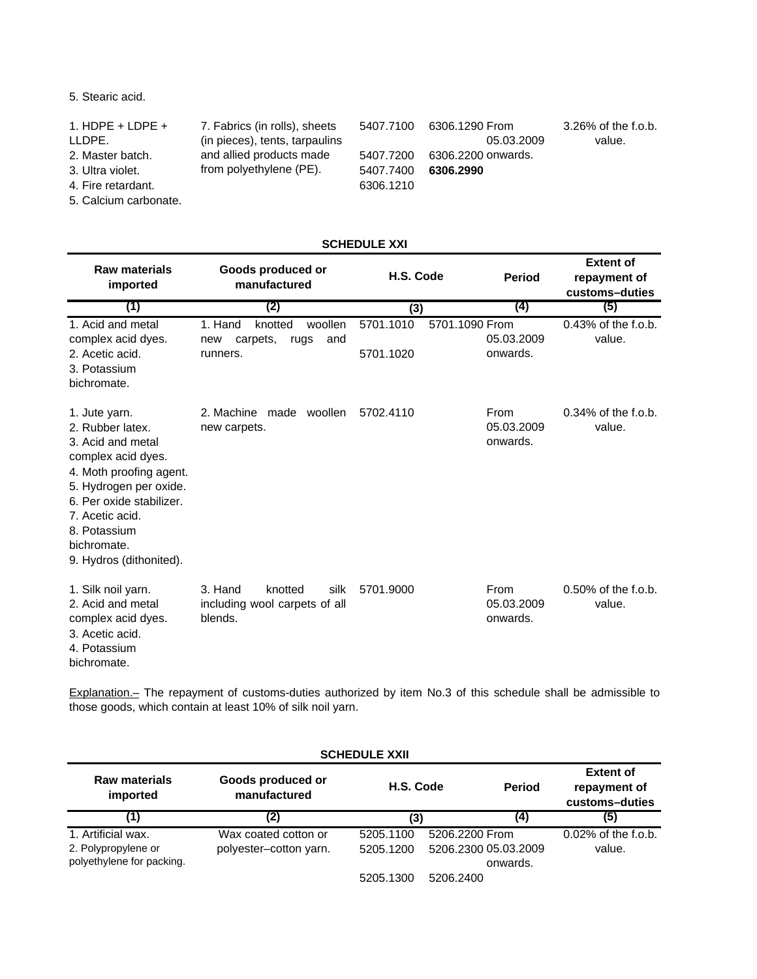# 5. Stearic acid.

| 1. HDPE + LDPE +      | 7. Fabrics (in rolls), sheets  | 5407.7100 | 6306.1290 From     | 3.26% of the f.o.b. |
|-----------------------|--------------------------------|-----------|--------------------|---------------------|
| LLDPE.                | (in pieces), tents, tarpaulins |           | 05.03.2009         | value.              |
| 2. Master batch.      | and allied products made       | 5407.7200 | 6306.2200 onwards. |                     |
| 3. Ultra violet.      | from polyethylene (PE).        | 5407.7400 | 6306.2990          |                     |
| 4. Fire retardant.    |                                | 6306.1210 |                    |                     |
| 5. Calcium carbonate. |                                |           |                    |                     |

|                                                                                                                                                                                                                                            | ורש בבטשבו וטט                                                              |                                          |                                |                                                    |  |  |
|--------------------------------------------------------------------------------------------------------------------------------------------------------------------------------------------------------------------------------------------|-----------------------------------------------------------------------------|------------------------------------------|--------------------------------|----------------------------------------------------|--|--|
| <b>Raw materials</b><br>imported                                                                                                                                                                                                           | Goods produced or<br>manufactured                                           | H.S. Code                                | <b>Period</b>                  | <b>Extent of</b><br>repayment of<br>customs-duties |  |  |
| (1)                                                                                                                                                                                                                                        | (2)                                                                         | (3)                                      | (4)                            | (5)                                                |  |  |
| 1. Acid and metal<br>complex acid dyes.<br>2. Acetic acid.<br>3. Potassium<br>bichromate.                                                                                                                                                  | woollen<br>1. Hand<br>knotted<br>carpets,<br>rugs<br>and<br>new<br>runners. | 5701.1010<br>5701.1090 From<br>5701.1020 | 05.03.2009<br>onwards.         | $0.43\%$ of the f.o.b.<br>value.                   |  |  |
| 1. Jute yarn.<br>2. Rubber latex.<br>3. Acid and metal<br>complex acid dyes.<br>4. Moth proofing agent.<br>5. Hydrogen per oxide.<br>6. Per oxide stabilizer.<br>7. Acetic acid.<br>8. Potassium<br>bichromate.<br>9. Hydros (dithonited). | 2. Machine made woollen<br>new carpets.                                     | 5702.4110                                | From<br>05.03.2009<br>onwards. | $0.34\%$ of the f.o.b.<br>value.                   |  |  |
| 1. Silk noil yarn.<br>2. Acid and metal<br>complex acid dyes.<br>3. Acetic acid.<br>4. Potassium<br>bichromate.                                                                                                                            | 3. Hand<br>silk<br>knotted<br>including wool carpets of all<br>blends.      | 5701.9000                                | From<br>05.03.2009<br>onwards. | $0.50\%$ of the f.o.b.<br>value.                   |  |  |

Explanation.– The repayment of customs-duties authorized by item No.3 of this schedule shall be admissible to those goods, which contain at least 10% of silk noil yarn.

| <b>SCHEDULE XXII</b>      |                                   |           |                      |                                                    |  |
|---------------------------|-----------------------------------|-----------|----------------------|----------------------------------------------------|--|
| Raw materials<br>imported | Goods produced or<br>manufactured | H.S. Code | <b>Period</b>        | <b>Extent of</b><br>repayment of<br>customs-duties |  |
| (1)                       | (2)                               | (3)       | (4)                  | (5)                                                |  |
| 1. Artificial wax.        | Wax coated cotton or              | 5205.1100 | 5206.2200 From       | $0.02\%$ of the f.o.b.                             |  |
| 2. Polypropylene or       | polyester-cotton yarn.            | 5205.1200 | 5206.2300 05.03.2009 | value.                                             |  |
| polyethylene for packing. |                                   |           | onwards.             |                                                    |  |
|                           |                                   | 5205.1300 | 5206.2400            |                                                    |  |

# **SCHEDULE XXI**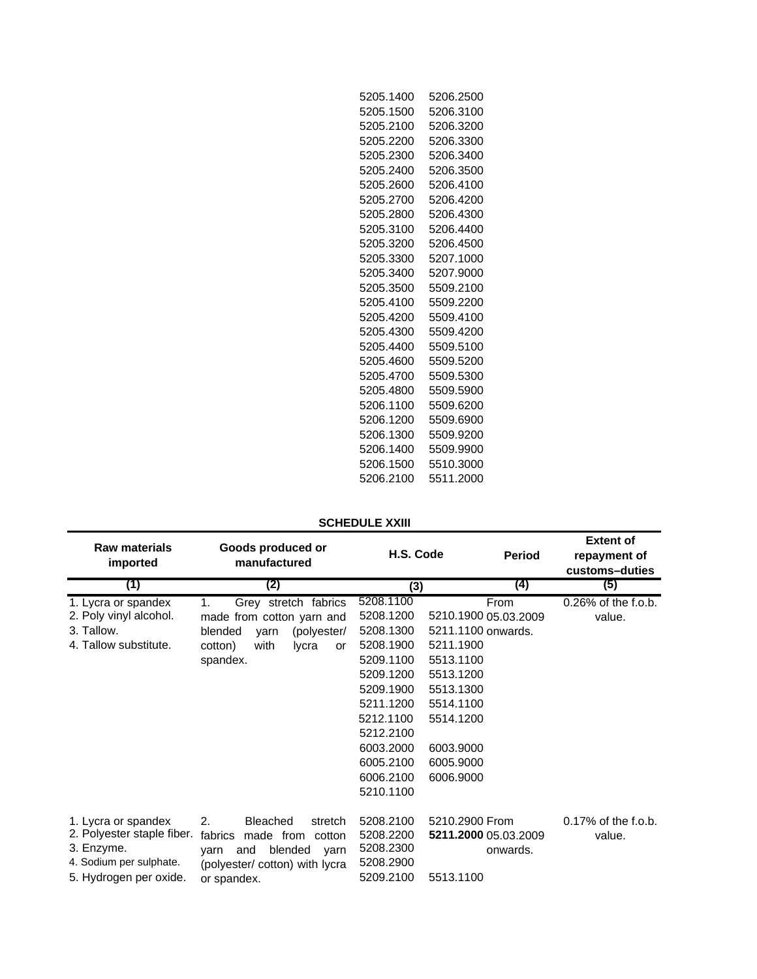| 5205.1400 | 5206.2500 |
|-----------|-----------|
| 5205.1500 | 5206.3100 |
| 5205.2100 | 5206.3200 |
| 5205.2200 | 5206.3300 |
| 5205.2300 | 5206.3400 |
| 5205.2400 | 5206.3500 |
| 5205.2600 | 5206.4100 |
| 5205.2700 | 5206.4200 |
| 5205.2800 | 5206.4300 |
| 5205.3100 | 5206.4400 |
| 5205.3200 | 5206.4500 |
| 5205.3300 | 5207.1000 |
| 5205.3400 | 5207.9000 |
| 5205.3500 | 5509.2100 |
| 5205.4100 | 5509.2200 |
| 5205.4200 | 5509.4100 |
| 5205.4300 | 5509.4200 |
| 5205.4400 | 5509.5100 |
| 5205.4600 | 5509.5200 |
| 5205.4700 | 5509.5300 |
| 5205.4800 | 5509.5900 |
| 5206.1100 | 5509.6200 |
| 5206.1200 | 5509.6900 |
| 5206.1300 | 5509.9200 |
| 5206.1400 | 5509.9900 |
| 5206.1500 | 5510.3000 |
| 5206.2100 | 5511.2000 |
|           |           |

## **SCHEDULE XXIII**

| <b>Raw materials</b><br>imported                                                                                     | Goods produced or<br>manufactured                                                                                                             | H.S. Code                                                                                                                                                                          | <b>Period</b>                                                                                                                                                           | <b>Extent of</b><br>repayment of<br>customs-duties |
|----------------------------------------------------------------------------------------------------------------------|-----------------------------------------------------------------------------------------------------------------------------------------------|------------------------------------------------------------------------------------------------------------------------------------------------------------------------------------|-------------------------------------------------------------------------------------------------------------------------------------------------------------------------|----------------------------------------------------|
| (1)                                                                                                                  | (2)                                                                                                                                           | (3)                                                                                                                                                                                | (4)                                                                                                                                                                     | (5)                                                |
| 1. Lycra or spandex<br>2. Poly vinyl alcohol.<br>3. Tallow.<br>4. Tallow substitute.                                 | Grey stretch fabrics<br>1.<br>made from cotton yarn and<br>blended<br>(polyester/<br>yarn<br>with<br>lycra<br>cotton)<br>or<br>spandex.       | 5208.1100<br>5208.1200<br>5208.1300<br>5208.1900<br>5209.1100<br>5209.1200<br>5209.1900<br>5211.1200<br>5212.1100<br>5212.2100<br>6003.2000<br>6005.2100<br>6006.2100<br>5210.1100 | From<br>5210.1900 05.03.2009<br>5211.1100 onwards.<br>5211.1900<br>5513.1100<br>5513.1200<br>5513.1300<br>5514.1100<br>5514.1200<br>6003.9000<br>6005.9000<br>6006.9000 | $0.26\%$ of the f.o.b.<br>value.                   |
| 1. Lycra or spandex<br>2. Polyester staple fiber.<br>3. Enzyme.<br>4. Sodium per sulphate.<br>5. Hydrogen per oxide. | 2.<br>Bleached<br>stretch<br>fabrics<br>made from<br>cotton<br>and<br>blended<br>varn<br>varn<br>(polyester/cotton) with lycra<br>or spandex. | 5208.2100<br>5208.2200<br>5208.2300<br>5208.2900<br>5209.2100                                                                                                                      | 5210.2900 From<br>5211.2000 05.03.2009<br>onwards.<br>5513.1100                                                                                                         | $0.17\%$ of the f.o.b.<br>value.                   |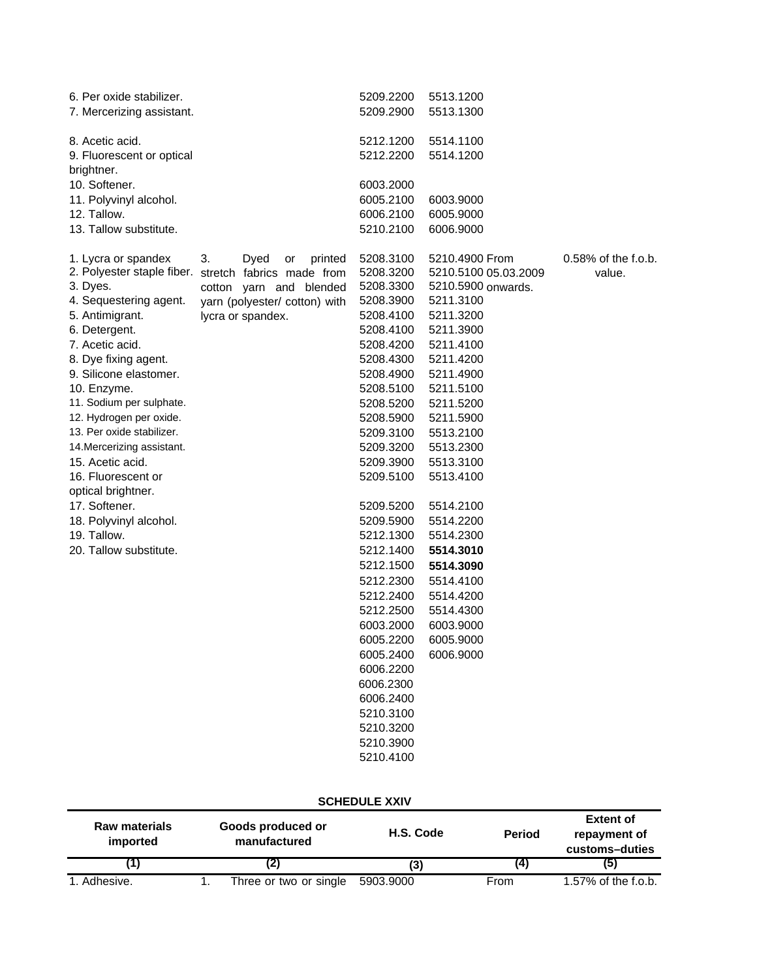|                            | 5209.2200                                                                                                                                 | 5513.1200                                                                                                                                                                                                                                                                                  |                                                                                                                                                                                                                                                                                                        |
|----------------------------|-------------------------------------------------------------------------------------------------------------------------------------------|--------------------------------------------------------------------------------------------------------------------------------------------------------------------------------------------------------------------------------------------------------------------------------------------|--------------------------------------------------------------------------------------------------------------------------------------------------------------------------------------------------------------------------------------------------------------------------------------------------------|
|                            |                                                                                                                                           |                                                                                                                                                                                                                                                                                            |                                                                                                                                                                                                                                                                                                        |
|                            |                                                                                                                                           |                                                                                                                                                                                                                                                                                            |                                                                                                                                                                                                                                                                                                        |
|                            |                                                                                                                                           |                                                                                                                                                                                                                                                                                            |                                                                                                                                                                                                                                                                                                        |
|                            |                                                                                                                                           |                                                                                                                                                                                                                                                                                            |                                                                                                                                                                                                                                                                                                        |
|                            |                                                                                                                                           |                                                                                                                                                                                                                                                                                            |                                                                                                                                                                                                                                                                                                        |
|                            | 6005.2100                                                                                                                                 | 6003.9000                                                                                                                                                                                                                                                                                  |                                                                                                                                                                                                                                                                                                        |
|                            | 6006.2100                                                                                                                                 | 6005.9000                                                                                                                                                                                                                                                                                  |                                                                                                                                                                                                                                                                                                        |
|                            | 5210.2100                                                                                                                                 | 6006.9000                                                                                                                                                                                                                                                                                  |                                                                                                                                                                                                                                                                                                        |
|                            |                                                                                                                                           |                                                                                                                                                                                                                                                                                            | $0.58\%$ of the f.o.b.                                                                                                                                                                                                                                                                                 |
| 2. Polyester staple fiber. |                                                                                                                                           |                                                                                                                                                                                                                                                                                            | value.                                                                                                                                                                                                                                                                                                 |
|                            |                                                                                                                                           |                                                                                                                                                                                                                                                                                            |                                                                                                                                                                                                                                                                                                        |
|                            |                                                                                                                                           |                                                                                                                                                                                                                                                                                            |                                                                                                                                                                                                                                                                                                        |
|                            | 5208.4100                                                                                                                                 |                                                                                                                                                                                                                                                                                            |                                                                                                                                                                                                                                                                                                        |
|                            |                                                                                                                                           |                                                                                                                                                                                                                                                                                            |                                                                                                                                                                                                                                                                                                        |
|                            | 5208.4200                                                                                                                                 | 5211.4100                                                                                                                                                                                                                                                                                  |                                                                                                                                                                                                                                                                                                        |
|                            | 5208.4300                                                                                                                                 | 5211.4200                                                                                                                                                                                                                                                                                  |                                                                                                                                                                                                                                                                                                        |
|                            | 5208.4900                                                                                                                                 | 5211.4900                                                                                                                                                                                                                                                                                  |                                                                                                                                                                                                                                                                                                        |
|                            | 5208.5100                                                                                                                                 | 5211.5100                                                                                                                                                                                                                                                                                  |                                                                                                                                                                                                                                                                                                        |
|                            | 5208.5200                                                                                                                                 | 5211.5200                                                                                                                                                                                                                                                                                  |                                                                                                                                                                                                                                                                                                        |
|                            | 5208.5900                                                                                                                                 | 5211.5900                                                                                                                                                                                                                                                                                  |                                                                                                                                                                                                                                                                                                        |
|                            | 5209.3100                                                                                                                                 | 5513.2100                                                                                                                                                                                                                                                                                  |                                                                                                                                                                                                                                                                                                        |
|                            | 5209.3200                                                                                                                                 | 5513.2300                                                                                                                                                                                                                                                                                  |                                                                                                                                                                                                                                                                                                        |
|                            | 5209.3900                                                                                                                                 | 5513.3100                                                                                                                                                                                                                                                                                  |                                                                                                                                                                                                                                                                                                        |
|                            |                                                                                                                                           |                                                                                                                                                                                                                                                                                            |                                                                                                                                                                                                                                                                                                        |
|                            |                                                                                                                                           |                                                                                                                                                                                                                                                                                            |                                                                                                                                                                                                                                                                                                        |
|                            |                                                                                                                                           |                                                                                                                                                                                                                                                                                            |                                                                                                                                                                                                                                                                                                        |
|                            |                                                                                                                                           |                                                                                                                                                                                                                                                                                            |                                                                                                                                                                                                                                                                                                        |
|                            |                                                                                                                                           |                                                                                                                                                                                                                                                                                            |                                                                                                                                                                                                                                                                                                        |
|                            |                                                                                                                                           |                                                                                                                                                                                                                                                                                            |                                                                                                                                                                                                                                                                                                        |
|                            |                                                                                                                                           |                                                                                                                                                                                                                                                                                            |                                                                                                                                                                                                                                                                                                        |
|                            |                                                                                                                                           |                                                                                                                                                                                                                                                                                            |                                                                                                                                                                                                                                                                                                        |
|                            |                                                                                                                                           |                                                                                                                                                                                                                                                                                            |                                                                                                                                                                                                                                                                                                        |
|                            |                                                                                                                                           |                                                                                                                                                                                                                                                                                            |                                                                                                                                                                                                                                                                                                        |
|                            |                                                                                                                                           |                                                                                                                                                                                                                                                                                            |                                                                                                                                                                                                                                                                                                        |
|                            |                                                                                                                                           |                                                                                                                                                                                                                                                                                            |                                                                                                                                                                                                                                                                                                        |
|                            |                                                                                                                                           |                                                                                                                                                                                                                                                                                            |                                                                                                                                                                                                                                                                                                        |
|                            | 6006.2300                                                                                                                                 |                                                                                                                                                                                                                                                                                            |                                                                                                                                                                                                                                                                                                        |
|                            | 6006.2400                                                                                                                                 |                                                                                                                                                                                                                                                                                            |                                                                                                                                                                                                                                                                                                        |
|                            | 5210.3100                                                                                                                                 |                                                                                                                                                                                                                                                                                            |                                                                                                                                                                                                                                                                                                        |
|                            | 5210.3200                                                                                                                                 |                                                                                                                                                                                                                                                                                            |                                                                                                                                                                                                                                                                                                        |
|                            | 5210.3900                                                                                                                                 |                                                                                                                                                                                                                                                                                            |                                                                                                                                                                                                                                                                                                        |
|                            | 5210.4100                                                                                                                                 |                                                                                                                                                                                                                                                                                            |                                                                                                                                                                                                                                                                                                        |
|                            | 3.<br>printed<br>Dyed<br>or<br>stretch fabrics made from<br>cotton yarn and blended<br>yarn (polyester/ cotton) with<br>lycra or spandex. | 5209.2900<br>5212.1200<br>5212.2200<br>6003.2000<br>5208.3100<br>5208.3200<br>5208.3300<br>5208.3900<br>5208.4100<br>5209.5100<br>5209.5200<br>5209.5900<br>5212.1300<br>5212.1400<br>5212.1500<br>5212.2300<br>5212.2400<br>5212.2500<br>6003.2000<br>6005.2200<br>6005.2400<br>6006.2200 | 5513.1300<br>5514.1100<br>5514.1200<br>5210.4900 From<br>5210.5100 05.03.2009<br>5210.5900 onwards.<br>5211.3100<br>5211.3200<br>5211.3900<br>5513.4100<br>5514.2100<br>5514.2200<br>5514.2300<br>5514.3010<br>5514.3090<br>5514.4100<br>5514.4200<br>5514.4300<br>6003.9000<br>6005.9000<br>6006.9000 |

## **SCHEDULE XXIV**

| <b>Raw materials</b><br>imported | Goods produced or<br>manufactured | H.S. Code | <b>Period</b> | <b>Extent of</b><br>repayment of<br>customs-duties |
|----------------------------------|-----------------------------------|-----------|---------------|----------------------------------------------------|
|                                  |                                   | (3)       |               | (5)                                                |
| 1. Adhesive.                     | Three or two or single            | 5903.9000 | From          | 1.57% of the f.o.b.                                |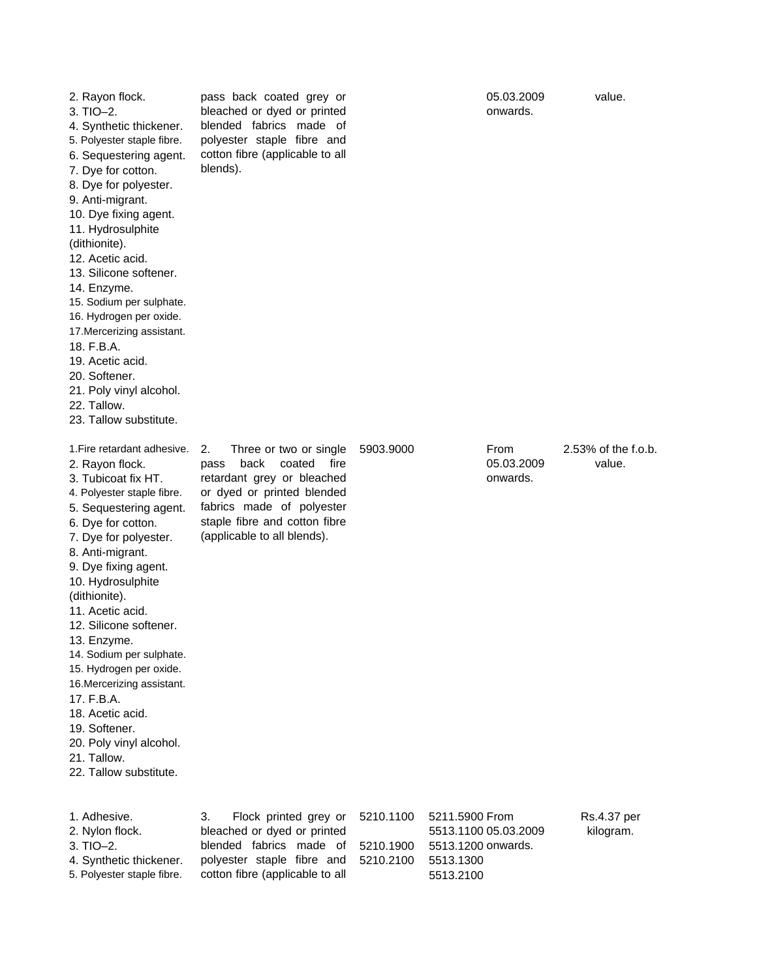| 2. Rayon flock.<br>$3. TIO-2.$<br>4. Synthetic thickener.<br>5. Polyester staple fibre.<br>6. Sequestering agent.<br>7. Dye for cotton.<br>8. Dye for polyester.<br>9. Anti-migrant.<br>10. Dye fixing agent.<br>11. Hydrosulphite<br>(dithionite).<br>12. Acetic acid.<br>13. Silicone softener.<br>14. Enzyme.<br>15. Sodium per sulphate.<br>16. Hydrogen per oxide.<br>17. Mercerizing assistant.<br>18. F.B.A.<br>19. Acetic acid.<br>20. Softener.<br>21. Poly vinyl alcohol.<br>22. Tallow.<br>23. Tallow substitute.            | pass back coated grey or<br>bleached or dyed or printed<br>blended fabrics made of<br>polyester staple fibre and<br>cotton fibre (applicable to all<br>blends).                                                         |                                     | 05.03.2009<br>onwards.                                                                 | value.                        |
|-----------------------------------------------------------------------------------------------------------------------------------------------------------------------------------------------------------------------------------------------------------------------------------------------------------------------------------------------------------------------------------------------------------------------------------------------------------------------------------------------------------------------------------------|-------------------------------------------------------------------------------------------------------------------------------------------------------------------------------------------------------------------------|-------------------------------------|----------------------------------------------------------------------------------------|-------------------------------|
| 1. Fire retardant adhesive.<br>2. Rayon flock.<br>3. Tubicoat fix HT.<br>4. Polyester staple fibre.<br>5. Sequestering agent.<br>6. Dye for cotton.<br>7. Dye for polyester.<br>8. Anti-migrant.<br>9. Dye fixing agent.<br>10. Hydrosulphite<br>(dithionite).<br>11. Acetic acid.<br>12. Silicone softener.<br>13. Enzyme.<br>14. Sodium per sulphate.<br>15. Hydrogen per oxide.<br>16. Mercerizing assistant.<br>17. F.B.A.<br>18. Acetic acid.<br>19. Softener.<br>20. Poly vinyl alcohol.<br>21. Tallow.<br>22. Tallow substitute. | 2.<br>Three or two or single<br>back<br>coated<br>fire<br>pass<br>retardant grey or bleached<br>or dyed or printed blended<br>fabrics made of polyester<br>staple fibre and cotton fibre<br>(applicable to all blends). | 5903.9000                           | From<br>05.03.2009<br>onwards.                                                         | 2.53% of the f.o.b.<br>value. |
| 1. Adhesive.<br>2. Nylon flock.<br>$3. TIO-2.$<br>4. Synthetic thickener.<br>5. Polyester staple fibre.                                                                                                                                                                                                                                                                                                                                                                                                                                 | З.<br>Flock printed grey or<br>bleached or dyed or printed<br>blended fabrics made of<br>polyester staple fibre and<br>cotton fibre (applicable to all                                                                  | 5210.1100<br>5210.1900<br>5210.2100 | 5211.5900 From<br>5513.1100 05.03.2009<br>5513.1200 onwards.<br>5513.1300<br>5513.2100 | Rs.4.37 per<br>kilogram.      |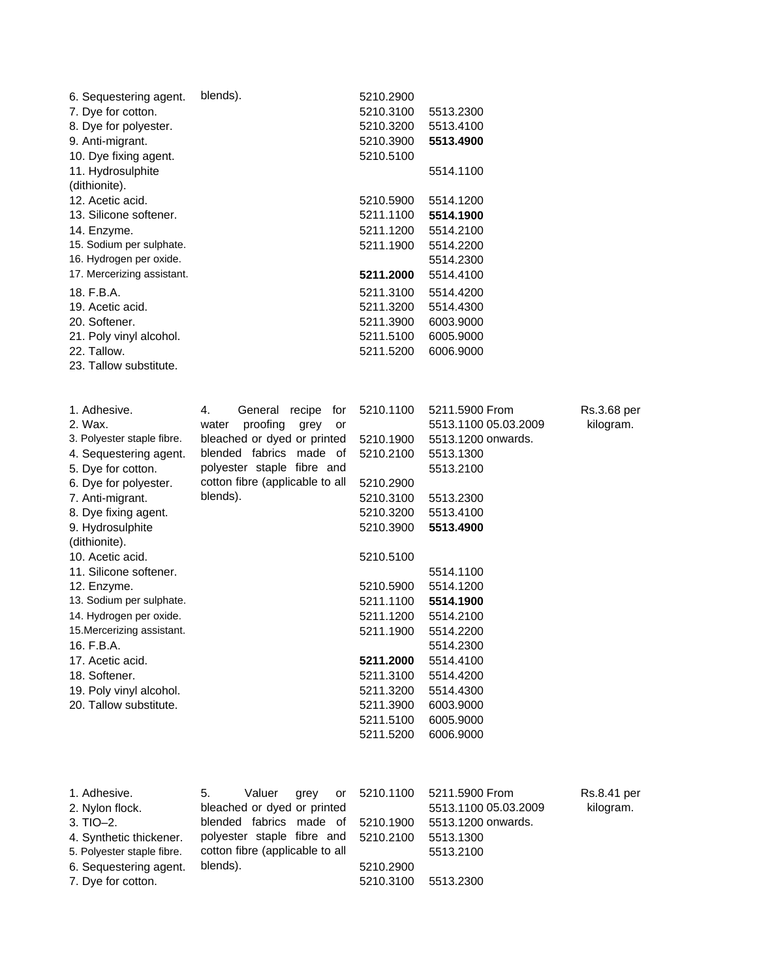| 6. Sequestering agent.<br>7. Dye for cotton.<br>8. Dye for polyester.<br>9. Anti-migrant.<br>10. Dye fixing agent.<br>11. Hydrosulphite<br>(dithionite).<br>12. Acetic acid.<br>13. Silicone softener.<br>14. Enzyme.<br>15. Sodium per sulphate.<br>16. Hydrogen per oxide.<br>17. Mercerizing assistant.<br>18. F.B.A.<br>19. Acetic acid.                                                                                                                              | blends).                                                                                                                                                                                              | 5210.2900<br>5210.3100<br>5210.3200<br>5210.3900<br>5210.5100<br>5210.5900<br>5211.1100<br>5211.1200<br>5211.1900<br>5211.2000<br>5211.3100<br>5211.3200                                                                               | 5513.2300<br>5513.4100<br>5513.4900<br>5514.1100<br>5514.1200<br>5514.1900<br>5514.2100<br>5514.2200<br>5514.2300<br>5514.4100<br>5514.4200<br>5514.4300                                                                                                                                  |                          |
|---------------------------------------------------------------------------------------------------------------------------------------------------------------------------------------------------------------------------------------------------------------------------------------------------------------------------------------------------------------------------------------------------------------------------------------------------------------------------|-------------------------------------------------------------------------------------------------------------------------------------------------------------------------------------------------------|----------------------------------------------------------------------------------------------------------------------------------------------------------------------------------------------------------------------------------------|-------------------------------------------------------------------------------------------------------------------------------------------------------------------------------------------------------------------------------------------------------------------------------------------|--------------------------|
| 20. Softener.<br>21. Poly vinyl alcohol.<br>22. Tallow.<br>23. Tallow substitute.                                                                                                                                                                                                                                                                                                                                                                                         |                                                                                                                                                                                                       | 5211.3900<br>5211.5100<br>5211.5200                                                                                                                                                                                                    | 6003.9000<br>6005.9000<br>6006.9000                                                                                                                                                                                                                                                       |                          |
| 1. Adhesive.<br>2. Wax.<br>3. Polyester staple fibre.<br>4. Sequestering agent.<br>5. Dye for cotton.<br>6. Dye for polyester.<br>7. Anti-migrant.<br>8. Dye fixing agent.<br>9. Hydrosulphite<br>(dithionite).<br>10. Acetic acid.<br>11. Silicone softener.<br>12. Enzyme.<br>13. Sodium per sulphate.<br>14. Hydrogen per oxide.<br>15. Mercerizing assistant.<br>16. F.B.A.<br>17. Acetic acid.<br>18. Softener.<br>19. Poly vinyl alcohol.<br>20. Tallow substitute. | 4.<br>General recipe<br>for<br>proofing<br>water<br>grey<br>or<br>bleached or dyed or printed<br>blended fabrics made of<br>polyester staple fibre and<br>cotton fibre (applicable to all<br>blends). | 5210.1100<br>5210.1900<br>5210.2100<br>5210.2900<br>5210.3100<br>5210.3200<br>5210.3900<br>5210.5100<br>5210.5900<br>5211.1100<br>5211.1200<br>5211.1900<br>5211.2000<br>5211.3100<br>5211.3200<br>5211.3900<br>5211.5100<br>5211.5200 | 5211.5900 From<br>5513.1100 05.03.2009<br>5513.1200 onwards.<br>5513.1300<br>5513.2100<br>5513.2300<br>5513.4100<br>5513.4900<br>5514.1100<br>5514.1200<br>5514.1900<br>5514.2100<br>5514.2200<br>5514.2300<br>5514.4100<br>5514.4200<br>5514.4300<br>6003.9000<br>6005.9000<br>6006.9000 | Rs.3.68 per<br>kilogram. |
| 1. Adhesive.<br>2. Nylon flock.<br>3. TIO-2.<br>4. Synthetic thickener.<br>5. Polyester staple fibre.<br>6. Sequestering agent.<br>7. Dye for cotton.                                                                                                                                                                                                                                                                                                                     | 5.<br>Valuer<br>grey<br>or<br>bleached or dyed or printed<br>blended fabrics made of<br>polyester staple fibre and<br>cotton fibre (applicable to all<br>blends).                                     | 5210.1100<br>5210.1900<br>5210.2100<br>5210.2900<br>5210.3100                                                                                                                                                                          | 5211.5900 From<br>5513.1100 05.03.2009<br>5513.1200 onwards.<br>5513.1300<br>5513.2100<br>5513.2300                                                                                                                                                                                       | Rs.8.41 per<br>kilogram. |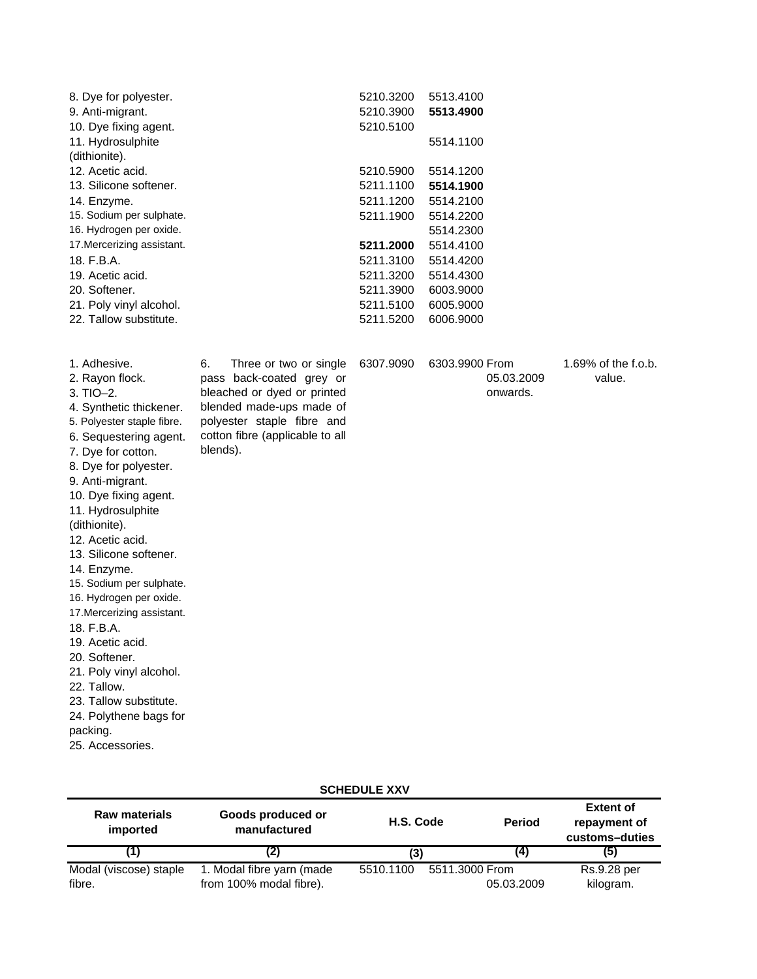| 8. Dye for polyester.      | 5210.3200 | 5513.4100 |
|----------------------------|-----------|-----------|
| 9. Anti-migrant.           | 5210.3900 | 5513.4900 |
| 10. Dye fixing agent.      | 5210.5100 |           |
| 11. Hydrosulphite          |           | 5514.1100 |
| (dithionite).              |           |           |
| 12. Acetic acid.           | 5210.5900 | 5514.1200 |
| 13. Silicone softener.     | 5211.1100 | 5514.1900 |
| 14. Enzyme.                | 5211.1200 | 5514.2100 |
| 15. Sodium per sulphate.   | 5211.1900 | 5514.2200 |
| 16. Hydrogen per oxide.    |           | 5514.2300 |
| 17. Mercerizing assistant. | 5211.2000 | 5514.4100 |
| 18. F.B.A.                 | 5211.3100 | 5514.4200 |
| 19. Acetic acid.           | 5211.3200 | 5514.4300 |
| 20. Softener.              | 5211.3900 | 6003.9000 |
| 21. Poly vinyl alcohol.    | 5211.5100 | 6005.9000 |
| 22. Tallow substitute.     | 5211.5200 | 6006.9000 |
|                            |           |           |

| 1. Adhesive.               | Three or two or single<br>6.    | 6307.9090 | 6303.9900 |
|----------------------------|---------------------------------|-----------|-----------|
| 2. Rayon flock.            | pass back-coated grey or        |           |           |
| $3. TIO-2.$                | bleached or dyed or printed     |           |           |
| 4. Synthetic thickener.    | blended made-ups made of        |           |           |
| 5. Polyester staple fibre. | polyester staple fibre and      |           |           |
| 6. Sequestering agent.     | cotton fibre (applicable to all |           |           |
| 7. Dye for cotton.         | blends).                        |           |           |
| 8. Dye for polyester.      |                                 |           |           |
| 9. Anti-migrant.           |                                 |           |           |
| 10. Dye fixing agent.      |                                 |           |           |
| 11. Hydrosulphite          |                                 |           |           |

| 090- | 6303.9900 From |  |
|------|----------------|--|
|      | 05.03.2009     |  |
|      | onwards.       |  |

1.69% of the f.o.b. value.

24. Polythene bags for packing.

(dithionite). 12. Acetic acid. 13. Silicone softener.

14. Enzyme.

18. F.B.A. 19. Acetic acid. 20. Softener.

22. Tallow.

15. Sodium per sulphate. 16. Hydrogen per oxide. 17.Mercerizing assistant.

21. Poly vinyl alcohol.

23. Tallow substitute.

25. Accessories.

| <u> 991169966 AMT</u>            |                                   |           |                |                                                    |
|----------------------------------|-----------------------------------|-----------|----------------|----------------------------------------------------|
| <b>Raw materials</b><br>imported | Goods produced or<br>manufactured | H.S. Code | <b>Period</b>  | <b>Extent of</b><br>repayment of<br>customs-duties |
|                                  |                                   | (3)       | (4             | (5)                                                |
| Modal (viscose) staple           | 1. Modal fibre yarn (made         | 5510.1100 | 5511.3000 From | Rs.9.28 per                                        |
| fibre.                           | from 100% modal fibre).           |           | 05.03.2009     | kilogram.                                          |

# **SCHEDULE XXV**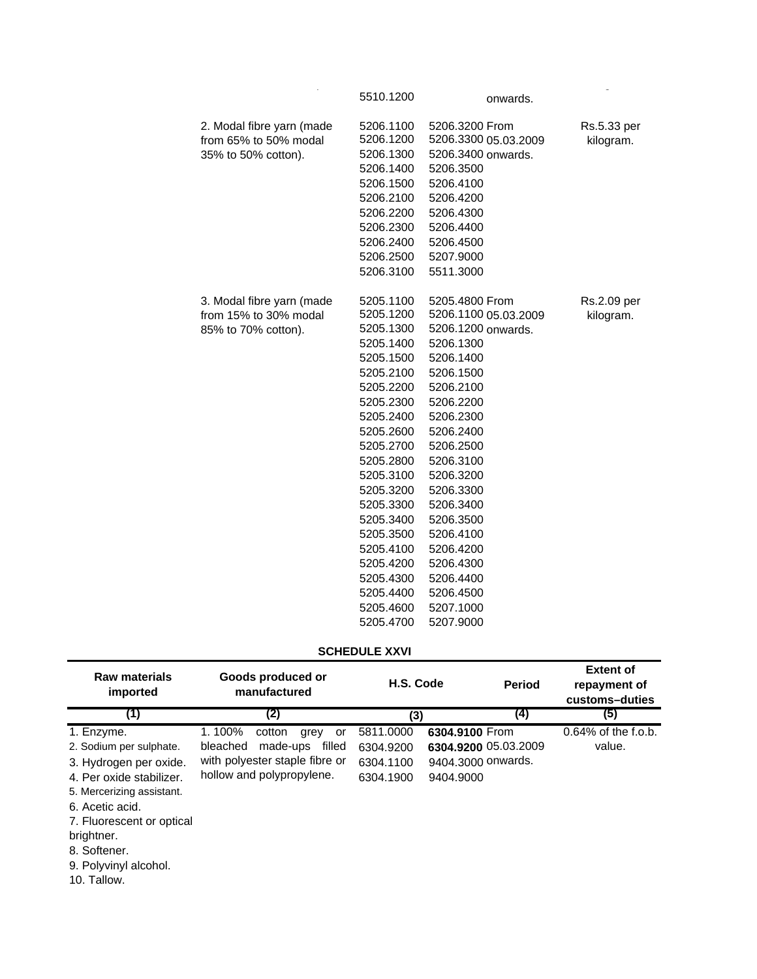|                                                                           | 5510.1200                                                                                                                                                                                                                                                        | onwards.                                                                                                                                                                                                                                                                                  |                          |
|---------------------------------------------------------------------------|------------------------------------------------------------------------------------------------------------------------------------------------------------------------------------------------------------------------------------------------------------------|-------------------------------------------------------------------------------------------------------------------------------------------------------------------------------------------------------------------------------------------------------------------------------------------|--------------------------|
| 2. Modal fibre yarn (made<br>from 65% to 50% modal<br>35% to 50% cotton). | 5206.1100<br>5206.1200<br>5206.1300<br>5206.1400<br>5206.1500<br>5206.2100<br>5206.2200<br>5206.2300<br>5206.2400<br>5206.2500<br>5206.3100                                                                                                                      | 5206.3200 From<br>5206.3300 05.03.2009<br>5206.3400 onwards.<br>5206.3500<br>5206.4100<br>5206.4200<br>5206.4300<br>5206.4400<br>5206.4500<br>5207.9000<br>5511.3000                                                                                                                      | Rs.5.33 per<br>kilogram. |
| 3. Modal fibre yarn (made<br>from 15% to 30% modal<br>85% to 70% cotton). | 5205.1100<br>5205.1200<br>5205.1300<br>5205.1400<br>5205.1500<br>5205.2100<br>5205.2200<br>5205.2300<br>5205.2400<br>5205.2600<br>5205.2700<br>5205.2800<br>5205.3100<br>5205.3200<br>5205.3300<br>5205.3400<br>5205.3500<br>5205.4100<br>5205.4200<br>5205.4300 | 5205.4800 From<br>5206.1100 05.03.2009<br>5206.1200 onwards.<br>5206.1300<br>5206.1400<br>5206.1500<br>5206.2100<br>5206.2200<br>5206.2300<br>5206.2400<br>5206.2500<br>5206.3100<br>5206.3200<br>5206.3300<br>5206.3400<br>5206.3500<br>5206.4100<br>5206.4200<br>5206.4300<br>5206.4400 | Rs.2.09 per<br>kilogram. |
|                                                                           | 5205.4400<br>5205.4600<br>5205.4700                                                                                                                                                                                                                              | 5206.4500<br>5207.1000<br>5207.9000                                                                                                                                                                                                                                                       |                          |

# **SCHEDULE XXVI**

| <b>Raw materials</b><br>imported                                                                                                                                                                       | Goods produced or<br>manufactured                                                                                               | H.S. Code                                        | <b>Period</b>                                                             | <b>Extent of</b><br>repayment of<br>customs-duties |
|--------------------------------------------------------------------------------------------------------------------------------------------------------------------------------------------------------|---------------------------------------------------------------------------------------------------------------------------------|--------------------------------------------------|---------------------------------------------------------------------------|----------------------------------------------------|
| (1)                                                                                                                                                                                                    | (2)                                                                                                                             | (3)                                              | (4)                                                                       | (5)                                                |
| 1. Enzyme.<br>2. Sodium per sulphate.<br>3. Hydrogen per oxide.<br>4. Per oxide stabilizer.<br>5. Mercerizing assistant.<br>6. Acetic acid.<br>7. Fluorescent or optical<br>brightner.<br>8. Softener. | 1.100%<br>cotton<br>grey<br>or<br>bleached<br>made-ups<br>filled<br>with polyester staple fibre or<br>hollow and polypropylene. | 5811.0000<br>6304.9200<br>6304.1100<br>6304.1900 | 6304.9100 From<br>6304.9200 05.03.2009<br>9404.3000 onwards.<br>9404.9000 | $0.64\%$ of the f.o.b.<br>value.                   |

9. Polyvinyl alcohol.

10. Tallow.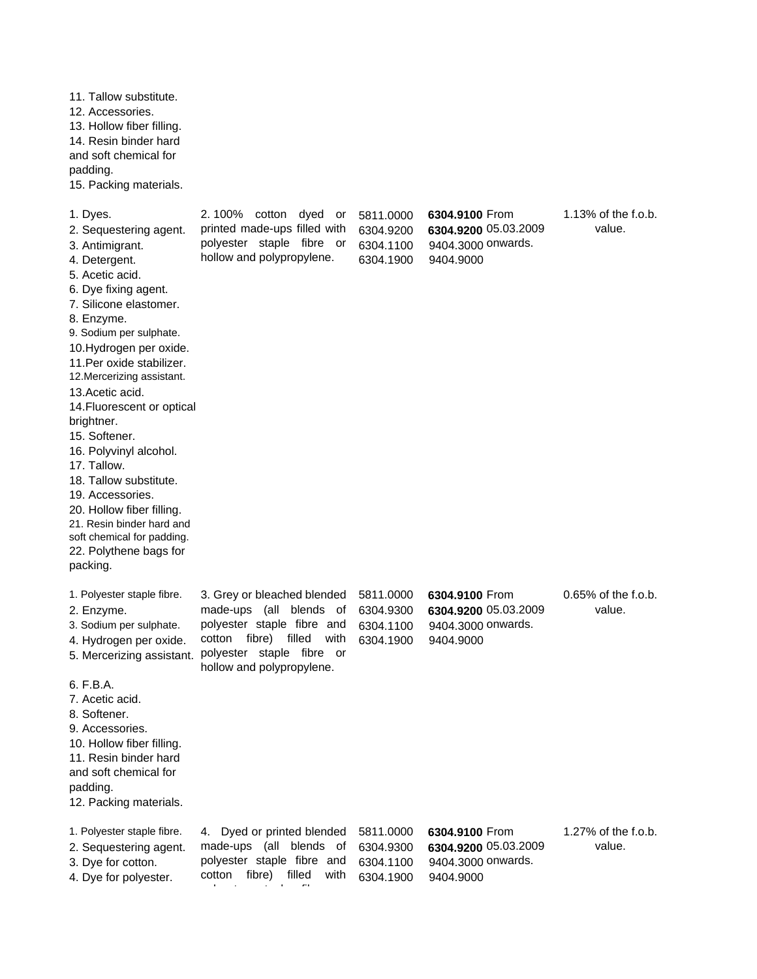11. Tallow substitute. 12. Accessories. 13. Hollow fiber filling. 14. Resin binder hard and soft chemical for padding. 15. Packing materials. 1. Dyes. **5811.000 12 100%** cotton dyed or 5811.0000 6304.9100 2. Sequestering agent. printed made-ups filled with 6304.9200 6304.9200 3. Antimigrant. 6304.1100 9404.3000 polyester staple fibre or 4. Detergent. **hollow and polypropylene.** 6304.1900 9404.9000 5. Acetic acid. 6. Dye fixing agent. 7. Silicone elastomer. 8. Enzyme. 9. Sodium per sulphate. 10.Hydrogen per oxide. 11.Per oxide stabilizer. 12.Mercerizing assistant. 13.Acetic acid. 14.Fluorescent or optical brightner. 15. Softener. 16. Polyvinyl alcohol. 17. Tallow. 18. Tallow substitute. 19. Accessories. 20. Hollow fiber filling. 21. Resin binder hard and soft chemical for padding. 22. Polythene bags for packing. 1. Polyester staple fibre. 3. Grey or bleached blended 5811.0000 6304.9100 2. Enzyme. 6304.9300 **6304.9200** made-ups (all blends of 3. Sodium per sulphate. polyester staple fibre and 6304.1100 9404.3000 4. Hydrogen per oxide. cotton fibre) filled with 6304.1900 9404.9000 5. Mercerizing assistant. 6. F.B.A. 7. Acetic acid. 8. Softener. 9. Accessories. 10. Hollow fiber filling. 11. Resin binder hard and soft chemical for padding. 12. Packing materials. 1. Polyester staple fibre. 4. Dyed or printed blended 5811.0000 6304.9100 2. Sequestering agent. made-ups (all blends of 6304.9300 6304.9200 3. Dye for cotton. 
bolyester staple fibre and 6304.1100 9404.3000 4. Dye for polyester. cotton fibre) filled with 6304.1900 9404.9000 1.13% of the f.o.b. value. 6304.9100 From 6304.9200 05.03.2009 9404.3000 onwards. polyester staple fibre or hollow and polypropylene. 6304.9100 From 6304.9200 05.03.2009 9404.3000 onwards. cotton fibre) 6304.9100 From 6304.9200 05.03.2009 9404.3000 onwards. 0.65% of the f.o.b. value. 1.27% of the f.o.b. value.

l t l'antico de la fibre del partir.<br>L'antico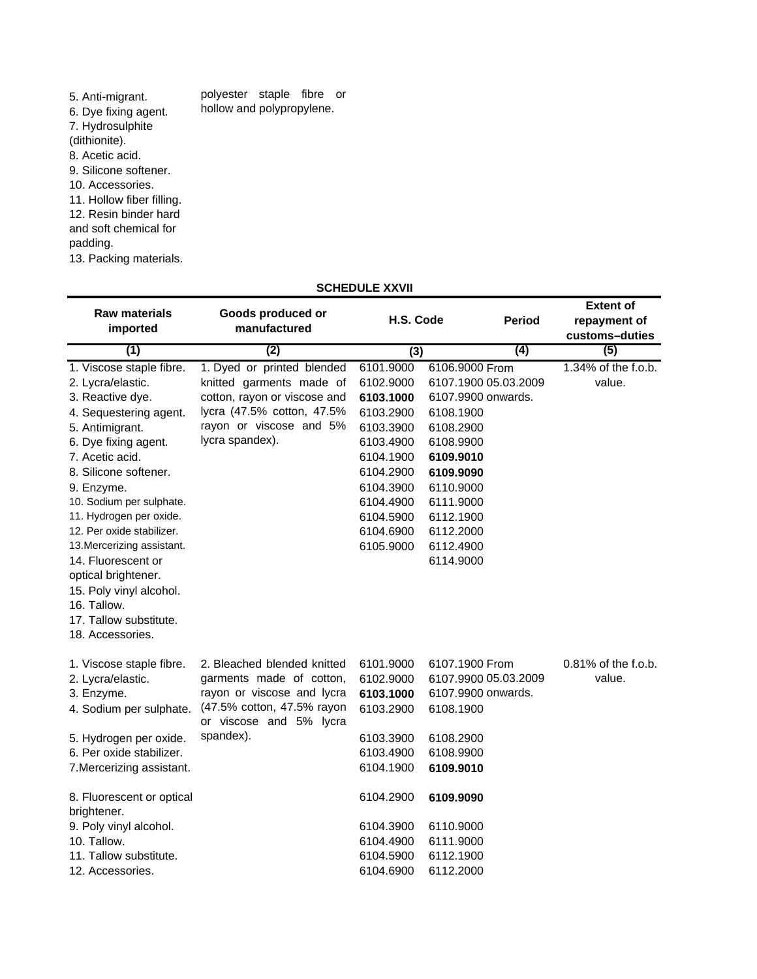| 5. Anti-migrant.          | polyester staple fibre or |  |  |
|---------------------------|---------------------------|--|--|
| 6. Dye fixing agent.      | hollow and polypropylene. |  |  |
| 7. Hydrosulphite          |                           |  |  |
| (dithionite).             |                           |  |  |
| 8. Acetic acid.           |                           |  |  |
| 9. Silicone softener.     |                           |  |  |
| 10. Accessories.          |                           |  |  |
| 11. Hollow fiber filling. |                           |  |  |
| 12. Resin binder hard     |                           |  |  |
| and soft chemical for     |                           |  |  |
| padding.                  |                           |  |  |
| 13. Packing materials.    |                           |  |  |

## **SCHEDULE XXVII**

| <b>Raw materials</b><br>imported<br>(1)                                                                     | Goods produced or<br>manufactured<br>(2)                 | H.S. Code              | <b>Period</b><br>(4)                       | <b>Extent of</b><br>repayment of<br>customs-duties<br>(5) |
|-------------------------------------------------------------------------------------------------------------|----------------------------------------------------------|------------------------|--------------------------------------------|-----------------------------------------------------------|
|                                                                                                             |                                                          | $\overline{(3)}$       |                                            |                                                           |
| 1. Viscose staple fibre.                                                                                    | 1. Dyed or printed blended                               | 6101.9000              | 6106.9000 From                             | $1.34\%$ of the f.o.b.<br>value.                          |
| 2. Lycra/elastic.<br>3. Reactive dye.                                                                       | knitted garments made of<br>cotton, rayon or viscose and | 6102.9000<br>6103.1000 | 6107.1900 05.03.2009<br>6107.9900 onwards. |                                                           |
| 4. Sequestering agent.                                                                                      | lycra (47.5% cotton, 47.5%                               | 6103.2900              | 6108.1900                                  |                                                           |
| 5. Antimigrant.                                                                                             | rayon or viscose and 5%                                  | 6103.3900              | 6108.2900                                  |                                                           |
| 6. Dye fixing agent.                                                                                        | lycra spandex).                                          | 6103.4900              | 6108.9900                                  |                                                           |
| 7. Acetic acid.                                                                                             |                                                          | 6104.1900              | 6109.9010                                  |                                                           |
| 8. Silicone softener.                                                                                       |                                                          | 6104.2900              | 6109.9090                                  |                                                           |
| 9. Enzyme.                                                                                                  |                                                          | 6104.3900              | 6110.9000                                  |                                                           |
| 10. Sodium per sulphate.                                                                                    |                                                          | 6104.4900              | 6111.9000                                  |                                                           |
| 11. Hydrogen per oxide.                                                                                     |                                                          | 6104.5900              | 6112.1900                                  |                                                           |
| 12. Per oxide stabilizer.                                                                                   |                                                          | 6104.6900              | 6112.2000                                  |                                                           |
| 13. Mercerizing assistant.                                                                                  |                                                          | 6105.9000              | 6112.4900                                  |                                                           |
| 14. Fluorescent or                                                                                          |                                                          |                        | 6114.9000                                  |                                                           |
| optical brightener.<br>15. Poly vinyl alcohol.<br>16. Tallow.<br>17. Tallow substitute.<br>18. Accessories. |                                                          |                        |                                            |                                                           |
| 1. Viscose staple fibre.                                                                                    | 2. Bleached blended knitted                              | 6101.9000              | 6107.1900 From                             | 0.81% of the f.o.b.                                       |
| 2. Lycra/elastic.                                                                                           | garments made of cotton,                                 | 6102.9000              | 6107.9900 05.03.2009                       | value.                                                    |
| 3. Enzyme.                                                                                                  | rayon or viscose and lycra                               | 6103.1000              | 6107.9900 onwards.                         |                                                           |
| 4. Sodium per sulphate.                                                                                     | (47.5% cotton, 47.5% rayon<br>or viscose and 5% lycra    | 6103.2900              | 6108.1900                                  |                                                           |
| 5. Hydrogen per oxide.                                                                                      | spandex).                                                | 6103.3900              | 6108.2900                                  |                                                           |
| 6. Per oxide stabilizer.                                                                                    |                                                          | 6103.4900              | 6108.9900                                  |                                                           |
| 7. Mercerizing assistant.                                                                                   |                                                          | 6104.1900              | 6109.9010                                  |                                                           |
| 8. Fluorescent or optical<br>brightener.                                                                    |                                                          | 6104.2900              | 6109.9090                                  |                                                           |
| 9. Poly vinyl alcohol.                                                                                      |                                                          | 6104.3900              | 6110.9000                                  |                                                           |
| 10. Tallow.                                                                                                 |                                                          | 6104.4900              | 6111.9000                                  |                                                           |
| 11. Tallow substitute.                                                                                      |                                                          | 6104.5900              | 6112.1900                                  |                                                           |
| 12. Accessories.                                                                                            |                                                          | 6104.6900              | 6112.2000                                  |                                                           |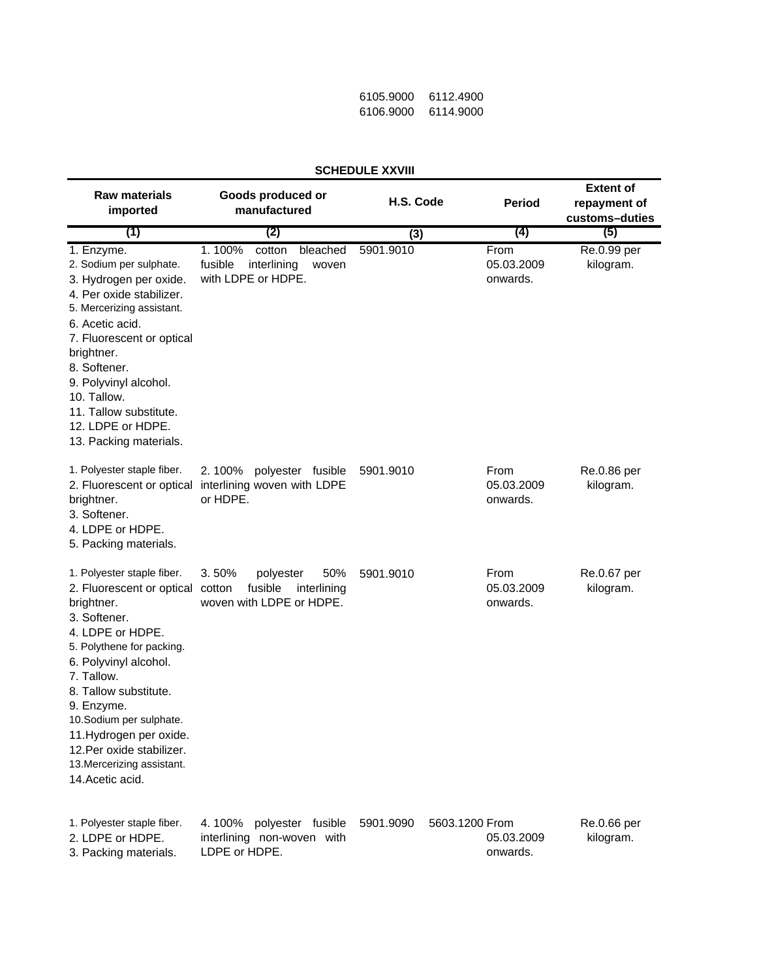| 6105.9000 | 6112.4900 |
|-----------|-----------|
| 6106.9000 | 6114.9000 |

| JUNEDULE AAVIII                                                                                                                                                                                                                                                                                                                                           |                                                                                           |                             |                                |                                                    |
|-----------------------------------------------------------------------------------------------------------------------------------------------------------------------------------------------------------------------------------------------------------------------------------------------------------------------------------------------------------|-------------------------------------------------------------------------------------------|-----------------------------|--------------------------------|----------------------------------------------------|
| <b>Raw materials</b><br>imported                                                                                                                                                                                                                                                                                                                          | Goods produced or<br>manufactured                                                         | H.S. Code                   | <b>Period</b>                  | <b>Extent of</b><br>repayment of<br>customs-duties |
| (1)                                                                                                                                                                                                                                                                                                                                                       | (2)                                                                                       | (3)                         | (4)                            | (5)                                                |
| 1. Enzyme.<br>2. Sodium per sulphate.<br>3. Hydrogen per oxide.<br>4. Per oxide stabilizer.<br>5. Mercerizing assistant.<br>6. Acetic acid.<br>7. Fluorescent or optical<br>brightner.<br>8. Softener.<br>9. Polyvinyl alcohol.<br>10. Tallow.<br>11. Tallow substitute.<br>12. LDPE or HDPE.<br>13. Packing materials.                                   | 1.100%<br>cotton<br>bleached<br>fusible<br>interlining<br>woven<br>with LDPE or HDPE.     | 5901.9010                   | From<br>05.03.2009<br>onwards. | Re.0.99 per<br>kilogram.                           |
| 1. Polyester staple fiber.<br>2. Fluorescent or optical<br>brightner.<br>3. Softener.<br>4. LDPE or HDPE.<br>5. Packing materials.                                                                                                                                                                                                                        | 2.100%<br>polyester fusible<br>interlining woven with LDPE<br>or HDPE.                    | 5901.9010                   | From<br>05.03.2009<br>onwards. | Re.0.86 per<br>kilogram.                           |
| 1. Polyester staple fiber.<br>2. Fluorescent or optical<br>brightner.<br>3. Softener.<br>4. LDPE or HDPE.<br>5. Polythene for packing.<br>6. Polyvinyl alcohol.<br>7. Tallow.<br>8. Tallow substitute.<br>9. Enzyme.<br>10.Sodium per sulphate.<br>11. Hydrogen per oxide.<br>12. Per oxide stabilizer.<br>13. Mercerizing assistant.<br>14. Acetic acid. | 3.50%<br>50%<br>polyester<br>fusible<br>cotton<br>interlining<br>woven with LDPE or HDPE. | 5901.9010                   | From<br>05.03.2009<br>onwards. | Re.0.67 per<br>kilogram.                           |
| 1. Polyester staple fiber.<br>2. LDPE or HDPE.<br>3. Packing materials.                                                                                                                                                                                                                                                                                   | 4.100%<br>polyester fusible<br>interlining non-woven with<br>LDPE or HDPE.                | 5603.1200 From<br>5901.9090 | 05.03.2009<br>onwards.         | Re.0.66 per<br>kilogram.                           |

## **SCHEDULE XXVIII**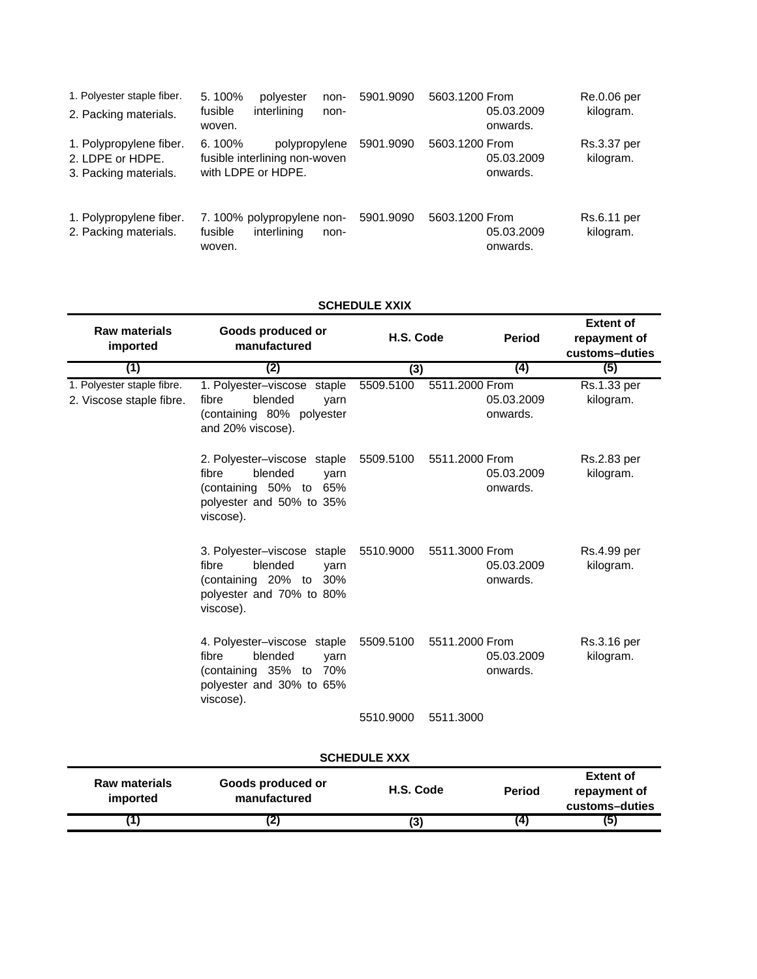| 1. Polyester staple fiber.<br>2. Packing materials.                  | 5.100%<br>polyester<br>non-<br>interlining<br>fusible<br>non-<br>woven.           | 5603.1200 From<br>5901.9090 | 05.03.2009<br>onwards. | Re.0.06 per<br>kilogram. |
|----------------------------------------------------------------------|-----------------------------------------------------------------------------------|-----------------------------|------------------------|--------------------------|
| 1. Polypropylene fiber.<br>2. LDPE or HDPE.<br>3. Packing materials. | $6.100\%$<br>polypropylene<br>fusible interlining non-woven<br>with LDPE or HDPE. | 5603.1200 From<br>5901.9090 | 05.03.2009<br>onwards. | Rs.3.37 per<br>kilogram. |
| 1. Polypropylene fiber.<br>2. Packing materials.                     | 7.100% polypropylene non-<br>fusible<br>interlining<br>non-<br>woven.             | 5603.1200 From<br>5901.9090 | 05.03.2009<br>onwards. | Rs.6.11 per<br>kilogram. |

## **SCHEDULE XXIX**

| <b>Raw materials</b><br>imported                       | Goods produced or<br>manufactured                                                                                             | H.S. Code           |                | <b>Period</b>          | <b>Extent of</b><br>repayment of<br>customs-duties |
|--------------------------------------------------------|-------------------------------------------------------------------------------------------------------------------------------|---------------------|----------------|------------------------|----------------------------------------------------|
| (1)                                                    | (2)                                                                                                                           | (3)                 |                | (4)                    | (5)                                                |
| 1. Polyester staple fibre.<br>2. Viscose staple fibre. | 1. Polyester-viscose staple<br>blended<br>fibre<br>yarn<br>(containing 80% polyester<br>and 20% viscose).                     | 5509.5100           | 5511.2000 From | 05.03.2009<br>onwards. | Rs.1.33 per<br>kilogram.                           |
|                                                        | 2. Polyester-viscose staple<br>blended<br>fibre<br>varn<br>(containing 50% to<br>65%<br>polyester and 50% to 35%<br>viscose). | 5509.5100           | 5511.2000 From | 05.03.2009<br>onwards. | Rs.2.83 per<br>kilogram.                           |
|                                                        | 3. Polyester-viscose staple<br>fibre<br>blended<br>yarn<br>(containing 20% to 30%<br>polyester and 70% to 80%<br>viscose).    | 5510.9000           | 5511.3000 From | 05.03.2009<br>onwards. | Rs.4.99 per<br>kilogram.                           |
|                                                        | 4. Polyester-viscose staple<br>blended<br>fibre<br>yarn<br>(containing 35% to 70%<br>polyester and 30% to 65%<br>viscose).    | 5509.5100           | 5511.2000 From | 05.03.2009<br>onwards. | Rs.3.16 per<br>kilogram.                           |
|                                                        |                                                                                                                               | 5510.9000           | 5511.3000      |                        |                                                    |
|                                                        |                                                                                                                               | <b>SCHEDULE XXX</b> |                |                        |                                                    |
| <b>Raw materials</b><br>imported                       | Goods produced or<br>manufactured                                                                                             | H.S. Code           |                | <b>Period</b>          | <b>Extent of</b><br>repayment of<br>customs-duties |
| (1)                                                    | (2)                                                                                                                           | (3)                 |                | (4)                    | (5)                                                |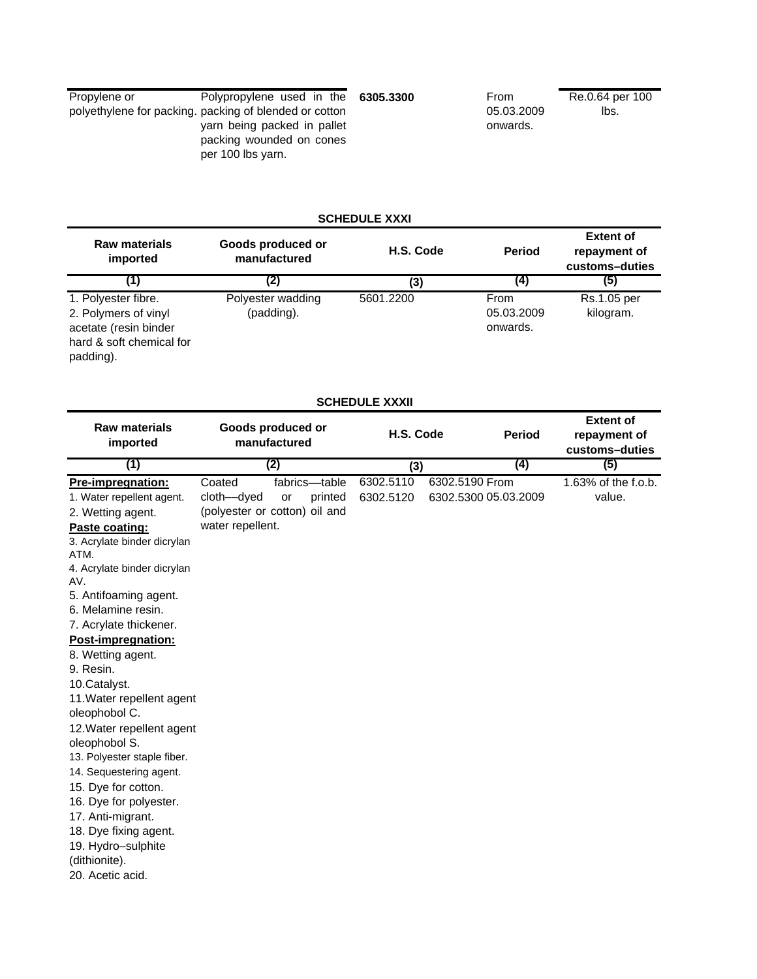| Propylene or | Polypropylene used in the 6305.3300                                          | From       | Re.0.64 per 100 |
|--------------|------------------------------------------------------------------------------|------------|-----------------|
|              | polyethylene for packing, packing of blended or cotton                       | 05.03.2009 | lbs.            |
|              | yarn being packed in pallet<br>packing wounded on cones<br>per 100 lbs yarn. | onwards.   |                 |

# **SCHEDULE XXXI**

| <b>Raw materials</b><br>imported                                                                                                                                                                                                                                                                                                                                                                                                                                                                                                                                                                                                    |                                          | Goods produced or<br>manufactured                               | H.S. Code              |                | <b>Period</b>                  | <b>Extent of</b><br>repayment of<br>customs-duties |
|-------------------------------------------------------------------------------------------------------------------------------------------------------------------------------------------------------------------------------------------------------------------------------------------------------------------------------------------------------------------------------------------------------------------------------------------------------------------------------------------------------------------------------------------------------------------------------------------------------------------------------------|------------------------------------------|-----------------------------------------------------------------|------------------------|----------------|--------------------------------|----------------------------------------------------|
| (1)                                                                                                                                                                                                                                                                                                                                                                                                                                                                                                                                                                                                                                 |                                          | (2)                                                             | (3)                    |                | (4)                            | (5)                                                |
| 1. Polyester fibre.<br>2. Polymers of vinyl<br>acetate (resin binder<br>hard & soft chemical for<br>padding).                                                                                                                                                                                                                                                                                                                                                                                                                                                                                                                       |                                          | Polyester wadding<br>(padding).                                 | 5601.2200              |                | From<br>05.03.2009<br>onwards. | Rs.1.05 per<br>kilogram.                           |
|                                                                                                                                                                                                                                                                                                                                                                                                                                                                                                                                                                                                                                     |                                          |                                                                 | <b>SCHEDULE XXXII</b>  |                |                                |                                                    |
| <b>Raw materials</b><br>imported                                                                                                                                                                                                                                                                                                                                                                                                                                                                                                                                                                                                    |                                          | Goods produced or<br>manufactured                               | H.S. Code              |                | <b>Period</b>                  | <b>Extent of</b><br>repayment of<br>customs-duties |
| (1)                                                                                                                                                                                                                                                                                                                                                                                                                                                                                                                                                                                                                                 |                                          | (2)                                                             | (3)                    |                | $\left(4\right)$               | (5)                                                |
| Pre-impregnation:<br>1. Water repellent agent.<br>2. Wetting agent.<br>Paste coating:<br>3. Acrylate binder dicrylan<br>ATM.<br>4. Acrylate binder dicrylan<br>AV.<br>5. Antifoaming agent.<br>6. Melamine resin.<br>7. Acrylate thickener.<br>Post-impregnation:<br>8. Wetting agent.<br>9. Resin.<br>10.Catalyst.<br>11. Water repellent agent<br>oleophobol C.<br>12. Water repellent agent<br>oleophobol S.<br>13. Polyester staple fiber.<br>14. Sequestering agent.<br>15. Dye for cotton.<br>16. Dye for polyester.<br>17. Anti-migrant.<br>18. Dye fixing agent.<br>19. Hydro-sulphite<br>(dithionite).<br>20. Acetic acid. | Coated<br>cloth-dyed<br>water repellent. | fabrics-table<br>printed<br>or<br>(polyester or cotton) oil and | 6302.5110<br>6302.5120 | 6302.5190 From | 6302.5300 05.03.2009           | 1.63% of the f.o.b.<br>value.                      |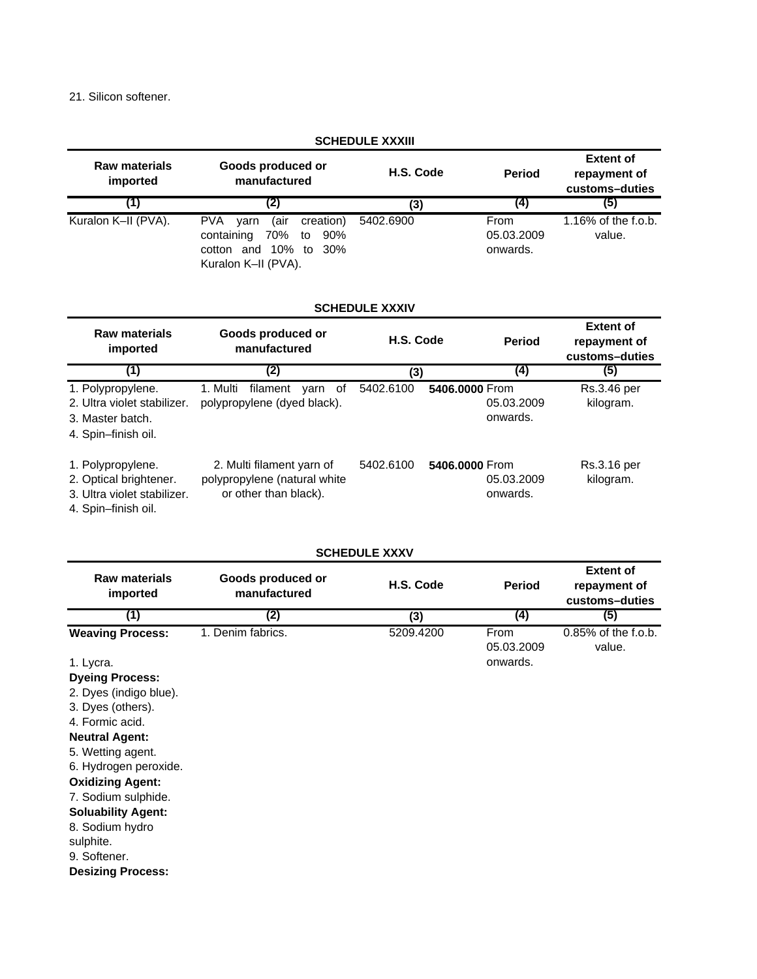21. Silicon softener.

|                                                                                                   |                                                                                                                              | <b>SCHEDULE XXXIII</b> |                |                                |                                                    |
|---------------------------------------------------------------------------------------------------|------------------------------------------------------------------------------------------------------------------------------|------------------------|----------------|--------------------------------|----------------------------------------------------|
| <b>Raw materials</b><br>imported                                                                  | Goods produced or<br>manufactured                                                                                            | H.S. Code              |                | <b>Period</b>                  | <b>Extent of</b><br>repayment of<br>customs-duties |
| (1)                                                                                               | (2)                                                                                                                          | (3)                    |                | (4)                            | (5)                                                |
| Kuralon K-II (PVA).                                                                               | <b>PVA</b><br>(air<br>creation)<br>varn<br>containing<br>70%<br>90%<br>to<br>cotton and 10% to<br>30%<br>Kuralon K-II (PVA). | 5402.6900              |                | From<br>05.03.2009<br>onwards. | 1.16% of the f.o.b.<br>value.                      |
|                                                                                                   |                                                                                                                              | <b>SCHEDULE XXXIV</b>  |                |                                |                                                    |
| <b>Raw materials</b><br>imported                                                                  | Goods produced or<br>manufactured                                                                                            | H.S. Code              |                | <b>Period</b>                  | <b>Extent of</b><br>repayment of<br>customs-duties |
| (1)                                                                                               | (2)                                                                                                                          | (3)                    |                | (4)                            | (5)                                                |
| 1. Polypropylene.<br>2. Ultra violet stabilizer.<br>3. Master batch.<br>4. Spin-finish oil.       | 1. Multi<br>filament<br>yarn of<br>polypropylene (dyed black).                                                               | 5402.6100              | 5406.0000 From | 05.03.2009<br>onwards.         | Rs.3.46 per<br>kilogram.                           |
| 1. Polypropylene.<br>2. Optical brightener.<br>3. Ultra violet stabilizer.<br>4. Spin-finish oil. | 2. Multi filament yarn of<br>polypropylene (natural white<br>or other than black).                                           | 5402.6100              | 5406.0000 From | 05.03.2009<br>onwards.         | Rs.3.16 per<br>kilogram.                           |
|                                                                                                   |                                                                                                                              | <b>SCHEDULE XXXV</b>   |                |                                |                                                    |

## **SCHEDULE XXXV**

| <b>Raw materials</b><br>imported | Goods produced or<br>manufactured | H.S. Code | <b>Period</b>      | <b>Extent of</b><br>repayment of<br>customs-duties |
|----------------------------------|-----------------------------------|-----------|--------------------|----------------------------------------------------|
| (1)                              | (2)                               | (3)       | (4)                | (5)                                                |
| <b>Weaving Process:</b>          | 1. Denim fabrics.                 | 5209.4200 | From<br>05.03.2009 | $0.85\%$ of the f.o.b.<br>value.                   |
| 1. Lycra.                        |                                   |           | onwards.           |                                                    |
| <b>Dyeing Process:</b>           |                                   |           |                    |                                                    |
| 2. Dyes (indigo blue).           |                                   |           |                    |                                                    |
| 3. Dyes (others).                |                                   |           |                    |                                                    |
| 4. Formic acid.                  |                                   |           |                    |                                                    |
| <b>Neutral Agent:</b>            |                                   |           |                    |                                                    |
| 5. Wetting agent.                |                                   |           |                    |                                                    |
| 6. Hydrogen peroxide.            |                                   |           |                    |                                                    |
| <b>Oxidizing Agent:</b>          |                                   |           |                    |                                                    |
| 7. Sodium sulphide.              |                                   |           |                    |                                                    |
| <b>Soluability Agent:</b>        |                                   |           |                    |                                                    |
| 8. Sodium hydro                  |                                   |           |                    |                                                    |
| sulphite.                        |                                   |           |                    |                                                    |
| 9. Softener.                     |                                   |           |                    |                                                    |
| <b>Desizing Process:</b>         |                                   |           |                    |                                                    |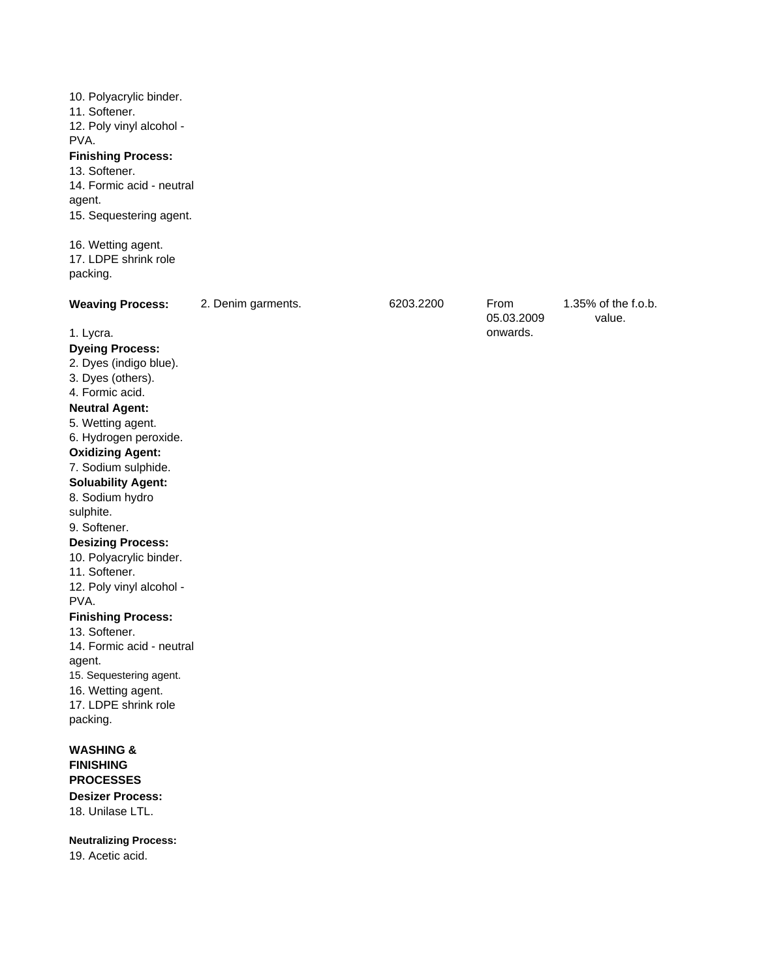10. Polyacrylic binder. 11. Softener. 12. Poly vinyl alcohol - PVA. **Finishing Process:** 13. Softener. 14. Formic acid - neutral agent. 15. Sequestering agent. 16. Wetting agent. 17. LDPE shrink role packing. Weaving Process: 2. Denim garments. 6203.2200 From 1.35% of the f.o.b. value. 1. Lycra. **Dyeing Process:** 2. Dyes (indigo blue). 3. Dyes (others). 4. Formic acid. **Neutral Agent:** 5. Wetting agent. 6. Hydrogen peroxide. **Oxidizing Agent:** 7. Sodium sulphide. **Soluability Agent:** 8. Sodium hydro sulphite. 9. Softener. **Desizing Process:** 10. Polyacrylic binder. 11. Softener. 12. Poly vinyl alcohol - PVA. **Finishing Process:** 13. Softener. 14. Formic acid - neutral agent. 15. Sequestering agent. 16. Wetting agent. 17. LDPE shrink role packing. **WASHING & FINISHING PROCESSES Desizer Process:** 18. Unilase LTL. 6203.2200 05.03.2009 onwards.

**Neutralizing Process:** 19. Acetic acid.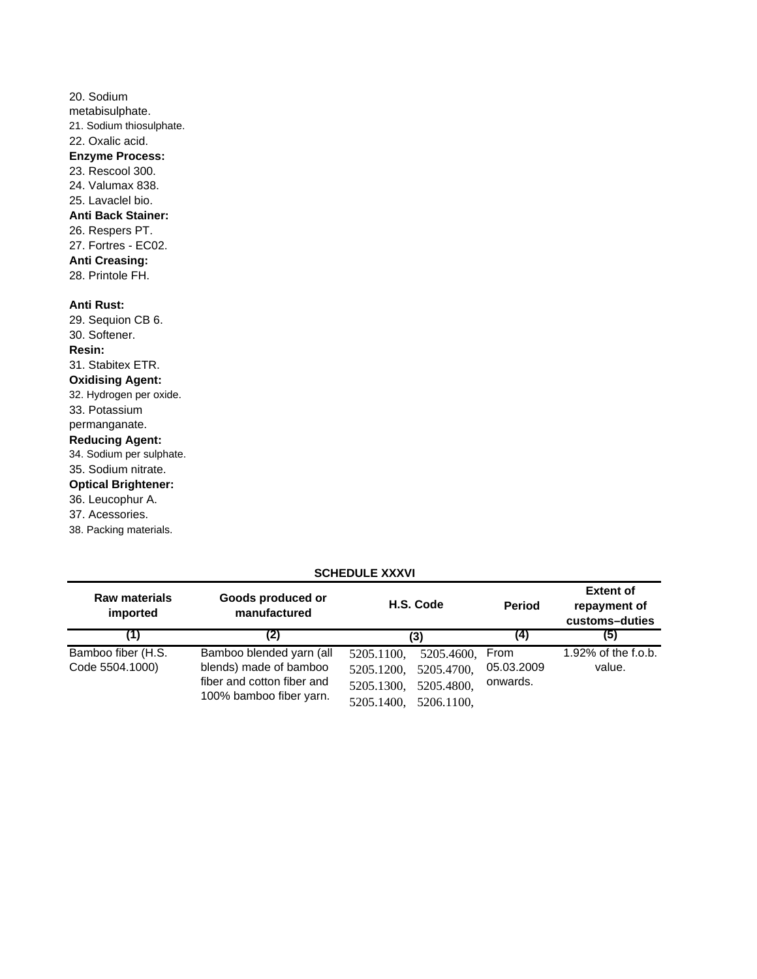| 20. Sodium                 |
|----------------------------|
| metabisulphate.            |
| 21. Sodium thiosulphate.   |
| 22. Oxalic acid.           |
| <b>Enzyme Process:</b>     |
| 23. Rescool 300.           |
| 24. Valumax 838.           |
| 25. Lavaclel bio.          |
| <b>Anti Back Stainer:</b>  |
| 26. Respers PT.            |
| 27. Fortres - EC02.        |
| <b>Anti Creasing:</b>      |
| 28. Printole FH.           |
|                            |
| <b>Anti Rust:</b>          |
| 29. Sequion CB 6.          |
| 30. Softener.              |
| <b>Resin:</b>              |
| 31. Stabitex ETR.          |
| <b>Oxidising Agent:</b>    |
| 32. Hydrogen per oxide.    |
| 33. Potassium              |
| permanganate.              |
| <b>Reducing Agent:</b>     |
| 34. Sodium per sulphate.   |
| 35. Sodium nitrate.        |
| <b>Optical Brightener:</b> |
| 36. Leucophur A.           |
| 37. Acessories.            |
| 38. Packing materials.     |

# **SCHEDULE XXXVI**

| <b>Raw materials</b><br>imported | Goods produced or<br>manufactured | H.S. Code                | <b>Period</b> | <b>Extent of</b><br>repayment of<br>customs-duties |
|----------------------------------|-----------------------------------|--------------------------|---------------|----------------------------------------------------|
| (1)                              | (2)                               | (3)                      | (4)           | (5)                                                |
| Bamboo fiber (H.S.               | Bamboo blended yarn (all          | 5205.1100,<br>5205.4600, | From          | 1.92% of the f.o.b.                                |
| Code 5504.1000)                  | blends) made of bamboo            | 5205.4700,<br>5205.1200. | 05.03.2009    | value.                                             |
|                                  | fiber and cotton fiber and        | 5205.4800,<br>5205.1300, | onwards.      |                                                    |
|                                  | 100% bamboo fiber yarn.           | 5205.1400,<br>5206.1100. |               |                                                    |